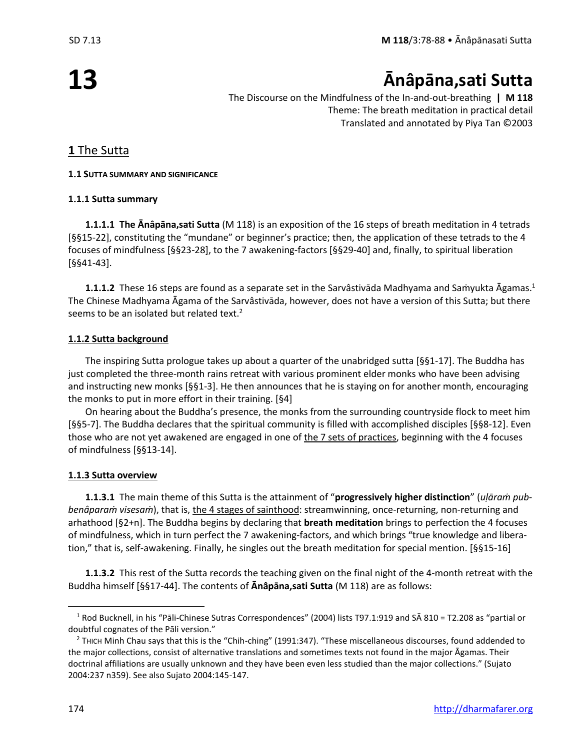## **Ānâpāna,sati Sutta**

The Discourse on the Mindfulness of the In-and-out-breathing **| M 118** Theme: The breath meditation in practical detail Translated and annotated by Piya Tan ©2003

### **1** The Sutta

### **1.1 SUTTA SUMMARY AND SIGNIFICANCE**

### **1.1.1 Sutta summary**

**1.1.1.1 The Ānâpāna,sati Sutta** (M 118) is an exposition of the 16 steps of breath meditation in 4 tetrads [§§15-22], constituting the "mundane" or beginner's practice; then, the application of these tetrads to the 4 focuses of mindfulness [§§23-28], to the 7 awakening-factors [§§29-40] and, finally, to spiritual liberation [§§41-43].

**1.1.1.2** These 16 steps are found as a separate set in the Sarvâstivāda Madhyama and Saṁyukta Āgamas. 1 The Chinese Madhyama Āgama of the Sarvâstivāda, however, does not have a version of this Sutta; but there seems to be an isolated but related text. $2$ 

### **1.1.2 Sutta background**

The inspiring Sutta prologue takes up about a quarter of the unabridged sutta [§§1-17]. The Buddha has just completed the three-month rains retreat with various prominent elder monks who have been advising and instructing new monks [§§1-3]. He then announces that he is staying on for another month, encouraging the monks to put in more effort in their training. [§4]

On hearing about the Buddha's presence, the monks from the surrounding countryside flock to meet him [§§5-7]. The Buddha declares that the spiritual community is filled with accomplished disciples [§§8-12]. Even those who are not yet awakened are engaged in one of the 7 sets of practices, beginning with the 4 focuses of mindfulness [§§13-14].

### **1.1.3 Sutta overview**

**1.1.3.1** The main theme of this Sutta is the attainment of "**progressively higher distinction**" (*uḷāraṁ pubbenâparaṁ visesaṁ*), that is, the 4 stages of sainthood: streamwinning, once-returning, non-returning and arhathood [§2+n]. The Buddha begins by declaring that **breath meditation** brings to perfection the 4 focuses of mindfulness, which in turn perfect the 7 awakening-factors, and which brings "true knowledge and liberation," that is, self-awakening. Finally, he singles out the breath meditation for special mention. [§§15-16]

**1.1.3.2** This rest of the Sutta records the teaching given on the final night of the 4-month retreat with the Buddha himself [§§17-44]. The contents of **Ānâpāna,sati Sutta** (M 118) are as follows:

<sup>1</sup> Rod Bucknell, in his "Pāli-Chinese Sutras Correspondences" (2004) lists T97.1:919 and SĀ 810 = T2.208 as "partial or doubtful cognates of the Pāli version."

<sup>&</sup>lt;sup>2</sup> THICH Minh Chau says that this is the "Chih-ching" (1991:347). "These miscellaneous discourses, found addended to the major collections, consist of alternative translations and sometimes texts not found in the major Āgamas. Their doctrinal affiliations are usually unknown and they have been even less studied than the major collections." (Sujato 2004:237 n359). See also Sujato 2004:145-147.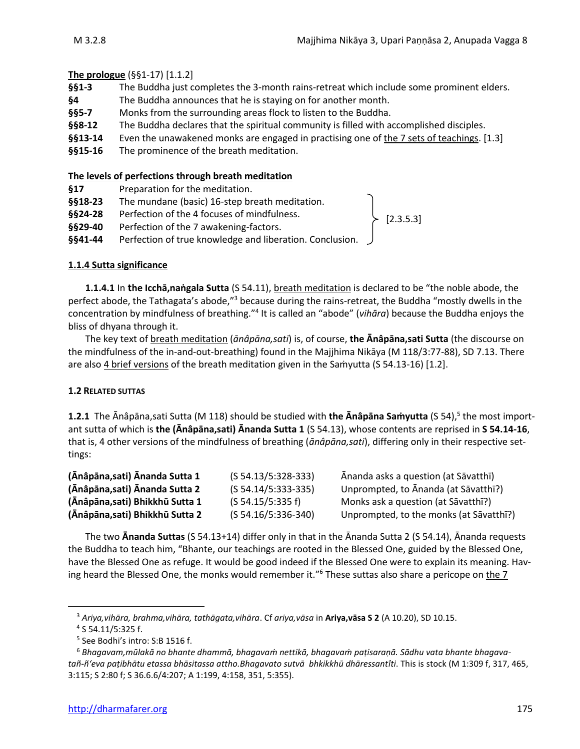[2.3.5.3]

### **The prologue** (§§1-17) [1.1.2]

- **§§1-3** The Buddha just completes the 3-month rains-retreat which include some prominent elders.
- **§4** The Buddha announces that he is staying on for another month.
- **§§5-7** Monks from the surrounding areas flock to listen to the Buddha.
- §§8-12 The Buddha declares that the spiritual community is filled with accomplished disciples.
- **§§13-14** Even the unawakened monks are engaged in practising one of the 7 sets of teachings. [1.3]
- **§§15-16** The prominence of the breath meditation.

#### **The levels of perfections through breath meditation**

- **§17** Preparation for the meditation.
- **§§18-23** The mundane (basic) 16-step breath meditation.
- **§§24-28** Perfection of the 4 focuses of mindfulness.
- **§§29-40** Perfection of the 7 awakening-factors.
- **§§41-44** Perfection of true knowledge and liberation. Conclusion.

### **1.1.4 Sutta significance**

**1.1.4.1** In **the Icchā,naṅgala Sutta** (S 54.11), breath meditation is declared to be "the noble abode, the perfect abode, the Tathagata's abode,"<sup>3</sup> because during the rains-retreat, the Buddha "mostly dwells in the concentration by mindfulness of breathing."<sup>4</sup> It is called an "abode" (*vihāra*) because the Buddha enjoys the bliss of dhyana through it.

The key text of breath meditation (*ānâpāna,sati*) is, of course, **the Ānâpāna,sati Sutta** (the discourse on the mindfulness of the in-and-out-breathing) found in the Majjhima Nikāya (M 118/3:77-88), SD 7.13. There are also 4 brief versions of the breath meditation given in the Samyutta (S 54.13-16) [1.2].

### **1.2 RELATED SUTTAS**

**1.2.1** The Ānâpāna,sati Sutta (M 118) should be studied with **the Ānâpāna Saṁyutta** (S 54), 5 the most important sutta of which is **the (Ānâpāna,sati) Ᾱnanda Sutta 1** (S 54.13), whose contents are reprised in **S 54.14-16**, that is, 4 other versions of the mindfulness of breathing (*ānâpāna,sati*), differing only in their respective settings:

| (Ānâpāna, sati) Ānanda Sutta 1 | $(S 54.13/5:328-333)$ | Ānanda asks a question (at Sāvatthī)    |
|--------------------------------|-----------------------|-----------------------------------------|
| (Ānâpāna,sati) Ānanda Sutta 2  | $(S 54.14/5:333-335)$ | Unprompted, to Ananda (at Sāvatthī?)    |
| (Ānâpāna,sati) Bhikkhū Sutta 1 | (S 54.15/5:335 f)     | Monks ask a question (at Sāvatthī?)     |
| (Ānâpāna,sati) Bhikkhū Sutta 2 | $(S 54.16/5:336-340)$ | Unprompted, to the monks (at Sāvatthī?) |

The two **Ānanda Suttas** (S 54.13+14) differ only in that in the Ānanda Sutta 2 (S 54.14), Ānanda requests the Buddha to teach him, "Bhante, our teachings are rooted in the Blessed One, guided by the Blessed One, have the Blessed One as refuge. It would be good indeed if the Blessed One were to explain its meaning. Having heard the Blessed One, the monks would remember it."<sup>6</sup> These suttas also share a pericope on <u>the 7</u>

<sup>3</sup> *Ariya,vihāra, brahma,vihāra, tathāgata,vihāra*. Cf *ariya,vāsa* in **Ariya,vāsa S 2** (A 10.20), SD 10.15.

<sup>4</sup> S 54.11/5:325 f.

<sup>5</sup> See Bodhi's intro: S:B 1516 f.

<sup>6</sup> *Bhagavam,mūlakā no bhante dhammā, bhagavaṁ nettikā, bhagavaṁ paṭisaraṇā. Sādhu vata bhante bhagavatañ-ñ'eva paṭibhātu etassa bhāsitassa attho.Bhagavato sutvā bhkikkhū dhāressantîti*. This is stock (M 1:309 f, 317, 465, 3:115; S 2:80 f; S 36.6.6/4:207; A 1:199, 4:158, 351, 5:355).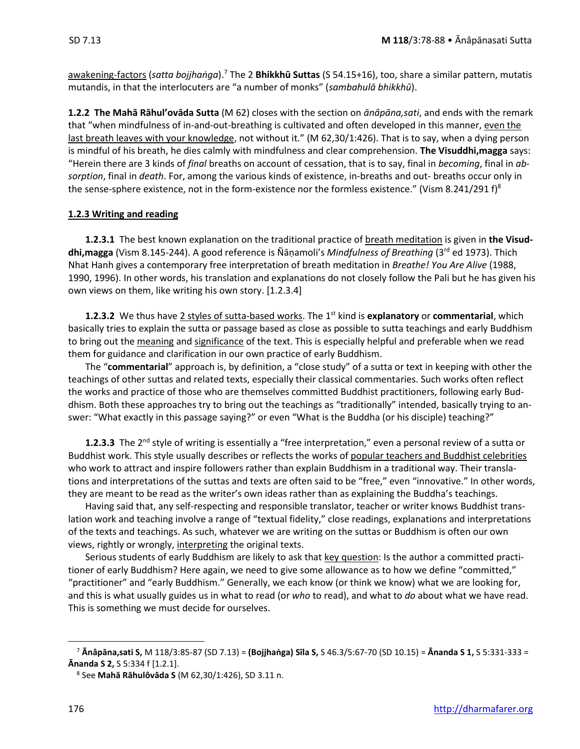awakening-factors (*satta bojjhaṅga*).<sup>7</sup> The 2 **Bhikkhū Suttas** (S 54.15+16), too, share a similar pattern, mutatis mutandis, in that the interlocuters are "a number of monks" (*sambahulā bhikkhū*).

**1.2.2 The Mahā Rāhul'ovāda Sutta** (M 62) closes with the section on *ānâpāna,sati*, and ends with the remark that "when mindfulness of in-and-out-breathing is cultivated and often developed in this manner, even the last breath leaves with your knowledge, not without it." (M 62,30/1:426). That is to say, when a dying person is mindful of his breath, he dies calmly with mindfulness and clear comprehension. **The Visuddhi,magga** says: "Herein there are 3 kinds of *final* breaths on account of cessation, that is to say, final in *becoming*, final in *absorption*, final in *death*. For, among the various kinds of existence, in-breaths and out- breaths occur only in the sense-sphere existence, not in the form-existence nor the formless existence." (Vism 8.241/291 f)<sup>8</sup>

### **1.2.3 Writing and reading**

**1.2.3.1** The best known explanation on the traditional practice of breath meditation is given in **the Visuddhi,magga** (Vism 8.145-244). A good reference is Ñāṇamoli's *Mindfulness of Breathing* (3rd ed 1973). Thich Nhat Hanh gives a contemporary free interpretation of breath meditation in *Breathe! You Are Alive* (1988, 1990, 1996). In other words, his translation and explanations do not closely follow the Pali but he has given his own views on them, like writing his own story. [1.2.3.4]

**1.2.3.2** We thus have 2 styles of sutta-based works. The 1st kind is **explanatory** or **commentarial**, which basically tries to explain the sutta or passage based as close as possible to sutta teachings and early Buddhism to bring out the meaning and significance of the text. This is especially helpful and preferable when we read them for guidance and clarification in our own practice of early Buddhism.

The "**commentarial**" approach is, by definition, a "close study" of a sutta or text in keeping with other the teachings of other suttas and related texts, especially their classical commentaries. Such works often reflect the works and practice of those who are themselves committed Buddhist practitioners, following early Buddhism. Both these approaches try to bring out the teachings as "traditionally" intended, basically trying to answer: "What exactly in this passage saying?" or even "What is the Buddha (or his disciple) teaching?"

**1.2.3.3** The 2nd style of writing is essentially a "free interpretation," even a personal review of a sutta or Buddhist work. This style usually describes or reflects the works of popular teachers and Buddhist celebrities who work to attract and inspire followers rather than explain Buddhism in a traditional way. Their translations and interpretations of the suttas and texts are often said to be "free," even "innovative." In other words, they are meant to be read as the writer's own ideas rather than as explaining the Buddha's teachings.

Having said that, any self-respecting and responsible translator, teacher or writer knows Buddhist translation work and teaching involve a range of "textual fidelity," close readings, explanations and interpretations of the texts and teachings. As such, whatever we are writing on the suttas or Buddhism is often our own views, rightly or wrongly, interpreting the original texts.

Serious students of early Buddhism are likely to ask that key question: Is the author a committed practitioner of early Buddhism? Here again, we need to give some allowance as to how we define "committed," "practitioner" and "early Buddhism." Generally, we each know (or think we know) what we are looking for, and this is what usually guides us in what to read (or *who* to read), and what to *do* about what we have read. This is something we must decide for ourselves.

<sup>7</sup> **Ᾱnâpāna,sati S,** M 118/3:85-87 (SD 7.13) = **(Bojjhaṅga) Sīla S,** S 46.3/5:67-70 (SD 10.15) = **Ᾱnanda S 1,** S 5:331-333 = **Ᾱnanda S 2,** S 5:334 f [1.2.1].

<sup>8</sup> See **Mahā Rāhulôvāda S** (M 62,30/1:426), SD 3.11 n.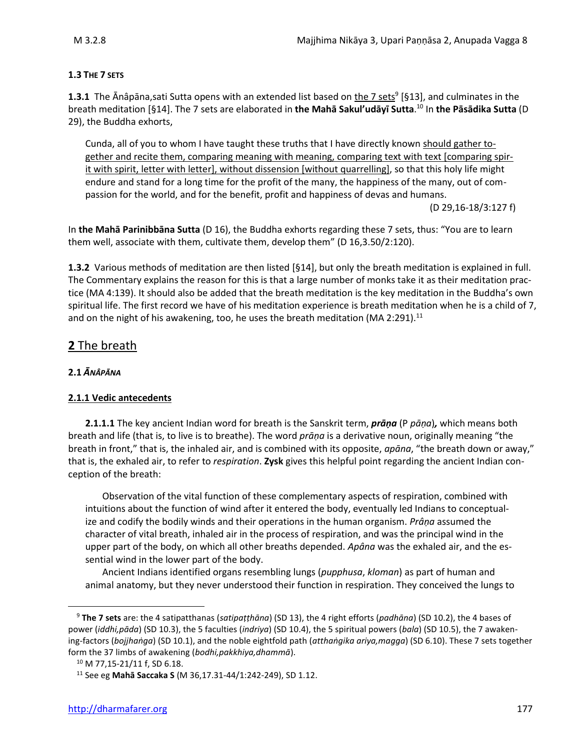### **1.3 THE 7 SETS**

1.3.1 The Ānâpāna,sati Sutta opens with an extended list based on the 7 sets<sup>9</sup> [§13], and culminates in the breath meditation [§14]. The 7 sets are elaborated in **the Mahā Sakul'udāyī Sutta**. <sup>10</sup> In **the Pāsādika Sutta** (D 29), the Buddha exhorts,

Cunda, all of you to whom I have taught these truths that I have directly known should gather together and recite them, comparing meaning with meaning, comparing text with text [comparing spirit with spirit, letter with letter], without dissension [without quarrelling], so that this holy life might endure and stand for a long time for the profit of the many, the happiness of the many, out of compassion for the world, and for the benefit, profit and happiness of devas and humans.

(D 29,16-18/3:127 f)

In **the Mahā Parinibbāna Sutta** (D 16), the Buddha exhorts regarding these 7 sets, thus: "You are to learn them well, associate with them, cultivate them, develop them" (D 16,3.50/2:120).

**1.3.2** Various methods of meditation are then listed [§14], but only the breath meditation is explained in full. The Commentary explains the reason for this is that a large number of monks take it as their meditation practice (MA 4:139). It should also be added that the breath meditation is the key meditation in the Buddha's own spiritual life. The first record we have of his meditation experience is breath meditation when he is a child of 7, and on the night of his awakening, too, he uses the breath meditation (MA 2:291).<sup>11</sup>

### **2** The breath

### **2.1** *ĀNÂPĀNA*

### **2.1.1 Vedic antecedents**

**2.1.1.1** The key ancient Indian word for breath is the Sanskrit term, *prāṇa* (P *pāṇa*)*,* which means both breath and life (that is, to live is to breathe). The word *prāṇa* is a derivative noun, originally meaning "the breath in front," that is, the inhaled air, and is combined with its opposite, *apāna*, "the breath down or away," that is, the exhaled air, to refer to *respiration*. **Zysk** gives this helpful point regarding the ancient Indian conception of the breath:

Observation of the vital function of these complementary aspects of respiration, combined with intuitions about the function of wind after it entered the body, eventually led Indians to conceptualize and codify the bodily winds and their operations in the human organism. *Prâṇa* assumed the character of vital breath, inhaled air in the process of respiration, and was the principal wind in the upper part of the body, on which all other breaths depended. *Apâna* was the exhaled air, and the essential wind in the lower part of the body.

Ancient Indians identified organs resembling lungs (*pupphusa*, *kloman*) as part of human and animal anatomy, but they never understood their function in respiration. They conceived the lungs to

<sup>9</sup> **The 7 sets** are: the 4 satipatthanas (*satipaṭṭhāna*) (SD 13), the 4 right efforts (*padhāna*) (SD 10.2), the 4 bases of power (*iddhi,pāda*) (SD 10.3), the 5 faculties (*indriya*) (SD 10.4), the 5 spiritual powers (*bala*) (SD 10.5), the 7 awakening-factors (*bojjhaṅga*) (SD 10.1), and the noble eightfold path (*atthaṅgika ariya,magga*) (SD 6.10). These 7 sets together form the 37 limbs of awakening (*bodhi,pakkhiya,dhammā*).

<sup>10</sup> M 77,15-21/11 f, SD 6.18.

<sup>11</sup> See eg **Mahā Saccaka S** (M 36,17.31-44/1:242-249), SD 1.12.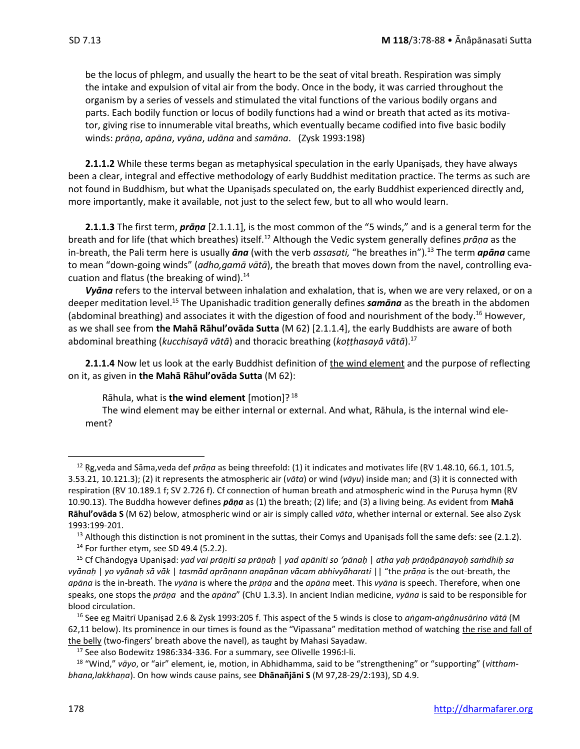be the locus of phlegm, and usually the heart to be the seat of vital breath. Respiration was simply the intake and expulsion of vital air from the body. Once in the body, it was carried throughout the organism by a series of vessels and stimulated the vital functions of the various bodily organs and parts. Each bodily function or locus of bodily functions had a wind or breath that acted as its motivator, giving rise to innumerable vital breaths, which eventually became codified into five basic bodily winds: *prāṇa*, *apāna*, *vyāna*, *udāna* and *samāna*. (Zysk 1993:198)

**2.1.1.2** While these terms began as metaphysical speculation in the early Upaniṣads, they have always been a clear, integral and effective methodology of early Buddhist meditation practice. The terms as such are not found in Buddhism, but what the Upaniṣads speculated on, the early Buddhist experienced directly and, more importantly, make it available, not just to the select few, but to all who would learn.

**2.1.1.3** The first term, *prāṇa* [2.1.1.1], is the most common of the "5 winds," and is a general term for the breath and for life (that which breathes) itself.<sup>12</sup> Although the Vedic system generally defines *prāṇa* as the in-breath, the Pali term here is usually *āna* (with the verb *assasati,* "he breathes in")*.* <sup>13</sup> The term *apāna* came to mean "down-going winds" (*adho,gamā vātā*), the breath that moves down from the navel, controlling evacuation and flatus (the breaking of wind).<sup>14</sup>

*Vyāna* refers to the interval between inhalation and exhalation, that is, when we are very relaxed, or on a deeper meditation level.<sup>15</sup> The Upanishadic tradition generally defines *samāna* as the breath in the abdomen (abdominal breathing) and associates it with the digestion of food and nourishment of the body.<sup>16</sup> However, as we shall see from **the Mahā Rāhul'ovāda Sutta** (M 62) [2.1.1.4], the early Buddhists are aware of both abdominal breathing (*kucchisayā vātā*) and thoracic breathing (*koṭṭhasayā vātā*).<sup>17</sup>

**2.1.1.4** Now let us look at the early Buddhist definition of the wind element and the purpose of reflecting on it, as given in **the Mahā Rāhul'ovāda Sutta** (M 62):

Rāhula, what is **the wind element** [motion]? <sup>18</sup>

The wind element may be either internal or external. And what, Rāhula, is the internal wind element?

<sup>12</sup> Ṛg,veda and Sāma,veda def *prāṇa* as being threefold: (1) it indicates and motivates life (ṚV 1.48.10, 66.1, 101.5, 3.53.21, 10.121.3); (2) it represents the atmospheric air (*vāta*) or wind (*vāyu*) inside man; and (3) it is connected with respiration (RV 10.189.1 f; SV 2.726 f). Cf connection of human breath and atmospheric wind in the Puruṣa hymn (RV 10.90.13). The Buddha however defines *pāṇa* as (1) the breath; (2) life; and (3) a living being. As evident from **Mahā Rāhul'ovāda S** (M 62) below, atmospheric wind or air is simply called *vāta*, whether internal or external. See also Zysk 1993:199-201.

<sup>&</sup>lt;sup>13</sup> Although this distinction is not prominent in the suttas, their Comys and Upanisads foll the same defs: see (2.1.2).

<sup>14</sup> For further etym, see SD 49.4 (5.2.2).

<sup>15</sup> Cf Chāndogya Upaniṣad: *yad vai prāṇiti sa prāṇaḥ* | *yad apāniti so 'pānaḥ* | *atha yaḥ prāṇâpānayoḥ saṁdhiḥ sa vyānaḥ* | *yo vyānaḥ sā vāk* | *tasmād aprāṇann anapānan vācam abhivyāharati* || "the *prāṇa* is the out-breath, the *apāna* is the in-breath. The *vyāna* is where the *prāṇa* and the *apāna* meet. This *vyāna* is speech. Therefore, when one speaks, one stops the *prāṇa* and the *apāna*" (ChU 1.3.3). In ancient Indian medicine, *vyāna* is said to be responsible for blood circulation.

<sup>16</sup> See eg Maitrī Upaniṣad 2.6 & Zysk 1993:205 f. This aspect of the 5 winds is close to *aṅgam-aṅgânusārino vātā* (M 62,11 below). Its prominence in our times is found as the "Vipassana" meditation method of watching the rise and fall of the belly (two-fingers' breath above the navel), as taught by Mahasi Sayadaw.

 $17$  See also Bodewitz 1986:334-336. For a summary, see Olivelle 1996:l-li.

<sup>18</sup> "Wind," *vāyo*, or "air" element, ie, motion, in Abhidhamma, said to be "strengthening" or "supporting" (*vitthambhana,lakkhaṇa*). On how winds cause pains, see **Dhānañjāni S** (M 97,28-29/2:193), SD 4.9.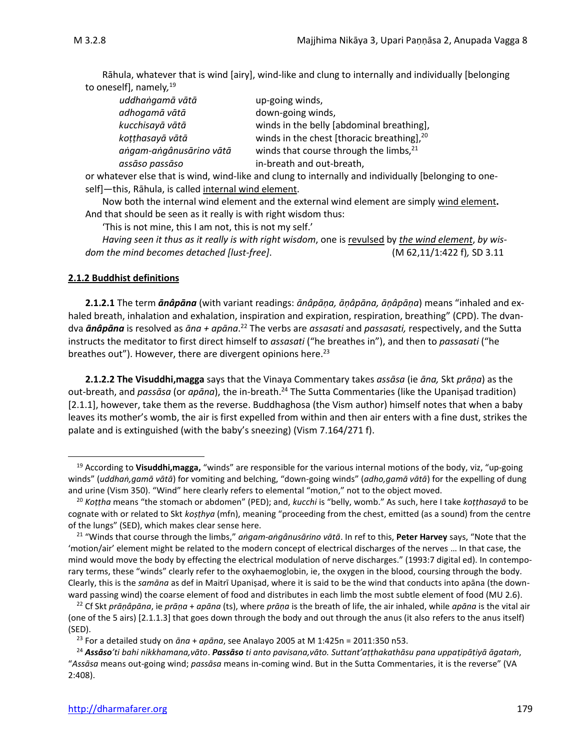Rāhula, whatever that is wind [airy], wind-like and clung to internally and individually [belonging to oneself], namely*,* 19

| uddhangamā vātā         | up-going winds,                                        |
|-------------------------|--------------------------------------------------------|
| adhoqamā vātā           | down-going winds,                                      |
| kucchisayā vātā         | winds in the belly [abdominal breathing],              |
| kotthasayā vātā         | winds in the chest [thoracic breathing], <sup>20</sup> |
| angam-angânusārino vātā | winds that course through the limbs, 21                |
| assāso passāso          | in-breath and out-breath,                              |

or whatever else that is wind, wind-like and clung to internally and individually [belonging to oneself]—this, Rāhula, is called internal wind element.

Now both the internal wind element and the external wind element are simply wind element**.**  And that should be seen as it really is with right wisdom thus:

'This is not mine, this I am not, this is not my self.'

*Having seen it thus as it really is with right wisdom*, one is revulsed by *the wind element*, *by wisdom the mind becomes detached [lust-free]*. (M 62,11/1:422 f)*,* SD 3.11

#### **2.1.2 Buddhist definitions**

**2.1.2.1** The term *ānâpāna* (with variant readings: *ānâpāṇa, āṇâpāna, āṇâpāṇa*) means "inhaled and exhaled breath, inhalation and exhalation, inspiration and expiration, respiration, breathing" (CPD). The dvandva *ānâpāna* is resolved as *āna + apāna*. <sup>22</sup> The verbs are *assasati* and *passasati,* respectively, and the Sutta instructs the meditator to first direct himself to *assasati* ("he breathes in"), and then to *passasati* ("he breathes out"). However, there are divergent opinions here. $^{23}$ 

**2.1.2.2 The Visuddhi,magga** says that the Vinaya Commentary takes *assāsa* (ie *āna,* Skt *prāṇa*) as the out-breath, and *passāsa* (or *apāna*), the in-breath.<sup>24</sup> The Sutta Commentaries (like the Upaniṣad tradition) [2.1.1], however, take them as the reverse. Buddhaghosa (the Vism author) himself notes that when a baby leaves its mother's womb, the air is first expelled from within and then air enters with a fine dust, strikes the palate and is extinguished (with the baby's sneezing) (Vism 7.164/271 f).

<sup>19</sup> According to **Visuddhi,magga,** "winds" are responsible for the various internal motions of the body, viz, "up-going winds" (*uddhaṅ,gamā vātā*) for vomiting and belching, "down-going winds" (*adho,gamā vātā*) for the expelling of dung and urine (Vism 350). "Wind" here clearly refers to elemental "motion," not to the object moved.

<sup>20</sup> *Koṭṭha* means "the stomach or abdomen" (PED); and, *kucchi* is "belly, womb." As such, here I take *koṭṭhasayā* to be cognate with or related to Skt *koṣṭhya* (mfn), meaning "proceeding from the chest, emitted (as a sound) from the centre of the lungs" (SED), which makes clear sense here.

<sup>21</sup> "Winds that course through the limbs," *aṅgam-aṅgânusārino vātā*. In ref to this, **Peter Harvey** says, "Note that the 'motion/air' element might be related to the modern concept of electrical discharges of the nerves … In that case, the mind would move the body by effecting the electrical modulation of nerve discharges." (1993:7 digital ed). In contemporary terms, these "winds" clearly refer to the oxyhaemoglobin, ie, the oxygen in the blood, coursing through the body. Clearly, this is the *samāna* as def in Maitrī Upaniṣad, where it is said to be the wind that conducts into apāna (the downward passing wind) the coarse element of food and distributes in each limb the most subtle element of food (MU 2.6).

<sup>22</sup> Cf Skt *prāṇâpāna*, ie *prāṇa* + *apāna* (ts), where *prāṇa* is the breath of life, the air inhaled, while *apāna* is the vital air (one of the 5 airs) [2.1.1.3] that goes down through the body and out through the anus (it also refers to the anus itself) (SED).

<sup>23</sup> For a detailed study on *āna* + *apāna*, see Analayo 2005 at M 1:425n = 2011:350 n53.

<sup>24</sup> *Assāso'ti bahi nikkhamana,vāto*. *Passāso ti anto pavisana,vāto. Suttant'aṭṭhakathāsu pana uppaṭipāṭiyā āgataṁ*, "*Assāsa* means out-going wind; *passāsa* means in-coming wind. But in the Sutta Commentaries, it is the reverse" (VA 2:408).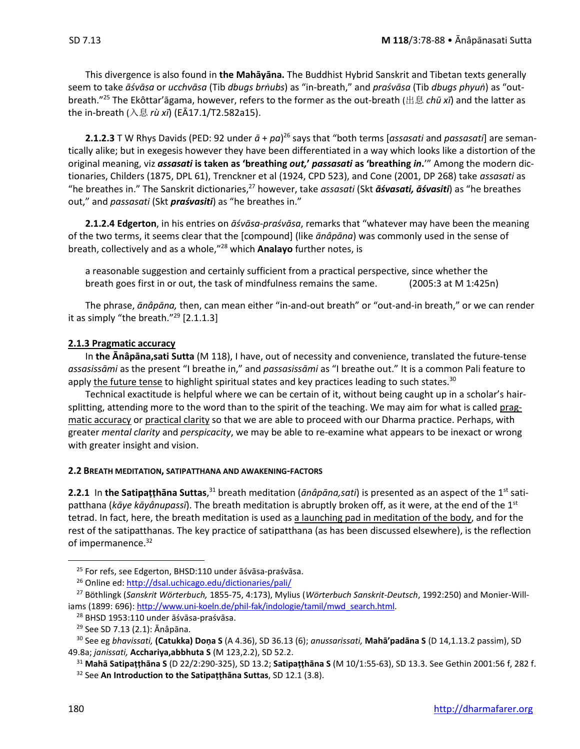This divergence is also found in **the Mahāyāna.** The Buddhist Hybrid Sanskrit and Tibetan texts generally seem to take āśvāsa or ucchvāsa (Tib dbugs brnubs) as "in-breath," and praśvāsa (Tib dbugs phyun) as "outbreath." <sup>25</sup> The Ekôttar'āgama, however, refers to the former as the out-breath (出息 *chū xī*) and the latter as the in-breath (入息 *rù xī*) (EĀ17.1/T2.582a15).

**2.1.2.3** T W Rhys Davids (PED: 92 under  $\bar{a}$  + pa)<sup>26</sup> says that "both terms [assasati and passasati] are semantically alike; but in exegesis however they have been differentiated in a way which looks like a distortion of the original meaning, viz *assasati* **is taken as 'breathing** *out,***'** *passasati* **as 'breathing** *in***.**'" Among the modern dictionaries, Childers (1875, DPL 61), Trenckner et al (1924, CPD 523), and Cone (2001, DP 268) take *assasati* as "he breathes in." The Sanskrit dictionaries, <sup>27</sup> however, take *assasati* (Skt *āśvasati, āśvasiti*) as "he breathes out," and *passasati* (Skt *praśvasiti*) as "he breathes in."

**2.1.2.4 Edgerton**, in his entries on *āśvāsa*-*praśvāsa*, remarks that "whatever may have been the meaning of the two terms, it seems clear that the [compound] (like *ānâpāna*) was commonly used in the sense of breath, collectively and as a whole," <sup>28</sup> which **Analayo** further notes, is

a reasonable suggestion and certainly sufficient from a practical perspective, since whether the breath goes first in or out, the task of mindfulness remains the same. (2005:3 at M 1:425n)

The phrase, *ānâpāna,* then, can mean either "in-and-out breath" or "out-and-in breath," or we can render it as simply "the breath." $^{29}$  [2.1.1.3]

### **2.1.3 Pragmatic accuracy**

In **the Ānâpāna,sati Sutta** (M 118), I have, out of necessity and convenience, translated the future-tense *assasissāmi* as the present "I breathe in," and *passasissāmi* as "I breathe out." It is a common Pali feature to apply the future tense to highlight spiritual states and key practices leading to such states.<sup>30</sup>

Technical exactitude is helpful where we can be certain of it, without being caught up in a scholar's hairsplitting, attending more to the word than to the spirit of the teaching. We may aim for what is called pragmatic accuracy or practical clarity so that we are able to proceed with our Dharma practice. Perhaps, with greater *mental clarity* and *perspicacity*, we may be able to re-examine what appears to be inexact or wrong with greater insight and vision.

### **2.2 BREATH MEDITATION, SATIPATTHANA AND AWAKENING-FACTORS**

2.2.1 In the Satipațțhāna Suttas,<sup>31</sup> breath meditation (*ānâpāna,sati*) is presented as an aspect of the 1<sup>st</sup> satipatthana (kāye kāyânupassī). The breath meditation is abruptly broken off, as it were, at the end of the 1<sup>st</sup> tetrad. In fact, here, the breath meditation is used as a launching pad in meditation of the body, and for the rest of the satipatthanas. The key practice of satipatthana (as has been discussed elsewhere), is the reflection of impermanence.<sup>32</sup>

<sup>30</sup> See eg *bhavissati,* **(Catukka) Doṇa S** (A 4.36), SD 36.13 (6); *anussarissati,* **Mahā'padāna S** (D 14,1.13.2 passim), SD 49.8a; *janissati,* **Acchariya,abbhuta S** (M 123,2.2), SD 52.2.

<sup>31</sup> **Mahā Satipaṭṭhāna S** (D 22/2:290-325), SD 13.2; **Satipaṭṭhāna S** (M 10/1:55-63), SD 13.3. See Gethin 2001:56 f, 282 f.

<sup>32</sup> See **An Introduction to the Satipaṭṭhāna Suttas**, SD 12.1 (3.8).

<sup>25</sup> For refs, see Edgerton, BHSD:110 under āśvāsa-praśvāsa.

<sup>&</sup>lt;sup>26</sup> Online ed:<http://dsal.uchicago.edu/dictionaries/pali/>

<sup>27</sup> Böthlingk (*Sanskrit Wörterbuch,* 1855-75, 4:173), Mylius (*Wörterbuch Sanskrit-Deutsch*, 1992:250) and Monier-Will-iams (1899: 696)[: http://www.uni-koeln.de/phil-fak/indologie/tamil/mwd\\_search.html.](http://www.uni-koeln.de/phil-fak/indologie/tamil/mwd_search.html)

<sup>28</sup> BHSD 1953:110 under āśvāsa-praśvāsa.

<sup>29</sup> See SD 7.13 (2.1): Ānâpāna.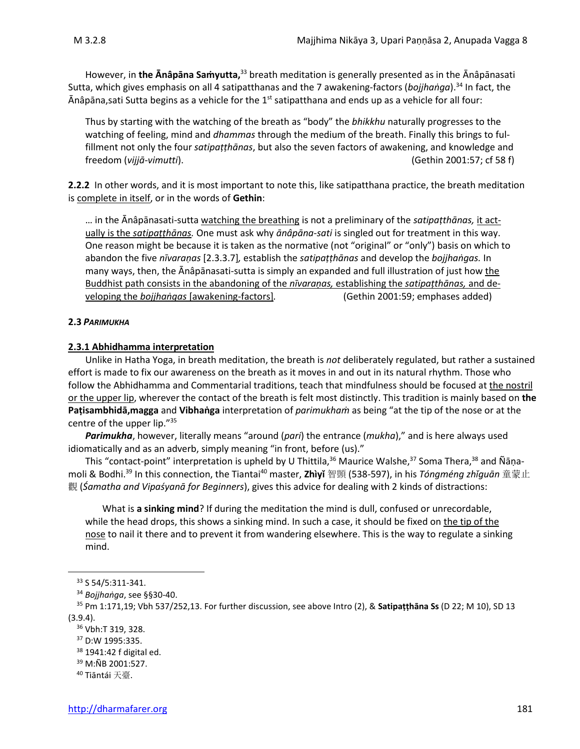However, in **the Ānâpāna Saṁyutta,**<sup>33</sup> breath meditation is generally presented as in the Ānâpānasati Sutta, which gives emphasis on all 4 satipatthanas and the 7 awakening-factors (*bojjhaṅga*).<sup>34</sup> In fact, the Ānâpāna,sati Sutta begins as a vehicle for the 1<sup>st</sup> satipatthana and ends up as a vehicle for all four:

Thus by starting with the watching of the breath as "body" the *bhikkhu* naturally progresses to the watching of feeling, mind and *dhammas* through the medium of the breath. Finally this brings to fulfillment not only the four *satipaṭṭhānas*, but also the seven factors of awakening, and knowledge and freedom (*vijjā-vimutti*). (Gethin 2001:57; cf 58 f)

**2.2.2** In other words, and it is most important to note this, like satipatthana practice, the breath meditation is complete in itself, or in the words of **Gethin**:

… in the Ānâpānasati-sutta watching the breathing is not a preliminary of the *satipaṭthānas,* it actually is the *satipaṭṭhānas.* One must ask why *ānâpāna-sati* is singled out for treatment in this way. One reason might be because it is taken as the normative (not "original" or "only") basis on which to abandon the five *nīvaraṇas* [2.3.3.7]*,* establish the *satipaṭṭhānas* and develop the *bojjhaṅgas.* In many ways, then, the Ānâpānasati-sutta is simply an expanded and full illustration of just how the Buddhist path consists in the abandoning of the *nīvaraṇas,* establishing the *satipaṭthānas,* and developing the *bojjhaṅgas* [awakening-factors]*.* (Gethin 2001:59; emphases added)

### **2.3** *PARIMUKHA*

### **2.3.1 Abhidhamma interpretation**

Unlike in Hatha Yoga, in breath meditation, the breath is *not* deliberately regulated, but rather a sustained effort is made to fix our awareness on the breath as it moves in and out in its natural rhythm. Those who follow the Abhidhamma and Commentarial traditions, teach that mindfulness should be focused at the nostril or the upper lip, wherever the contact of the breath is felt most distinctly. This tradition is mainly based on **the Paṭisambhidā,magga** and **Vibhaṅga** interpretation of *parimukhaṁ* as being "at the tip of the nose or at the centre of the upper lip."<sup>35</sup>

*Parimukha*, however, literally means "around (*pari*) the entrance (*mukha*)," and is here always used idiomatically and as an adverb, simply meaning "in front, before (us)."

This "contact-point" interpretation is upheld by U Thittila,<sup>36</sup> Maurice Walshe,<sup>37</sup> Soma Thera,<sup>38</sup> and Ñāṇamoli & Bodhi. <sup>39</sup> In this connection, the Tiantai<sup>40</sup> master, **Zhìyǐ** 智顗 (538-597), in his *Tóngméng zhǐguān* 童蒙止 觀 (*Śamatha and Vipaśyanā for Beginners*), gives this advice for dealing with 2 kinds of distractions:

What is **a sinking mind**? If during the meditation the mind is dull, confused or unrecordable, while the head drops, this shows a sinking mind. In such a case, it should be fixed on the tip of the nose to nail it there and to prevent it from wandering elsewhere. This is the way to regulate a sinking mind.

<sup>39</sup> M:ÑB 2001:527.

<sup>33</sup> S 54/5:311-341.

<sup>34</sup> *Bojjhaṅga*, see §§30-40.

<sup>35</sup> Pm 1:171,19; Vbh 537/252,13. For further discussion, see above Intro (2), & **Satipaṭṭhāna Ss** (D 22; M 10), SD 13 (3.9.4).

<sup>36</sup> Vbh:T 319, 328.

<sup>37</sup> D:W 1995:335.

<sup>38</sup> 1941:42 f digital ed.

<sup>40</sup> Tiāntái 天臺.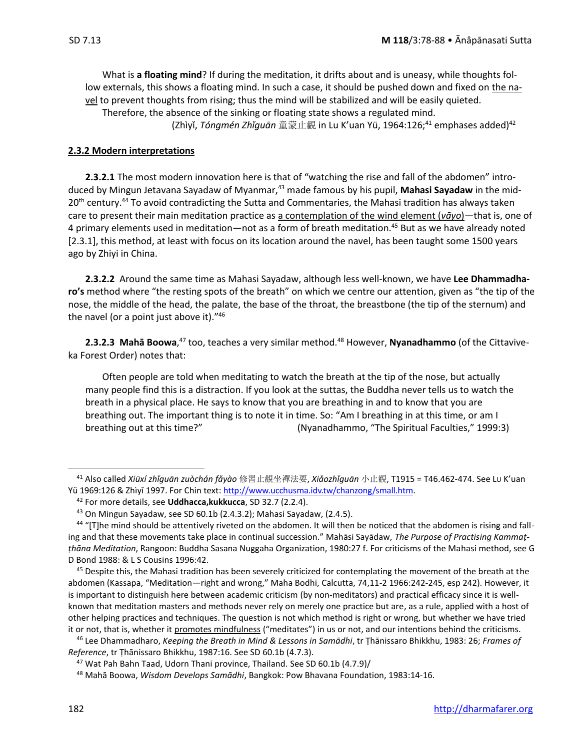What is **a floating mind**? If during the meditation, it drifts about and is uneasy, while thoughts follow externals, this shows a floating mind. In such a case, it should be pushed down and fixed on the navel to prevent thoughts from rising; thus the mind will be stabilized and will be easily quieted. Therefore, the absence of the sinking or floating state shows a regulated mind. (Zhìyǐ, *Tóngmén Zhǐguān* 童蒙止觀 in Lu K'uan Yü, 1964:126;<sup>41</sup> emphases added)<sup>42</sup>

#### **2.3.2 Modern interpretations**

**2.3.2.1** The most modern innovation here is that of "watching the rise and fall of the abdomen" introduced by Mingun Jetavana Sayadaw of Myanmar,<sup>43</sup> made famous by his pupil, Mahasi Sayadaw in the mid-20<sup>th</sup> century.<sup>44</sup> To avoid contradicting the Sutta and Commentaries, the Mahasi tradition has always taken care to present their main meditation practice as a contemplation of the wind element (*vāyo*)—that is, one of 4 primary elements used in meditation—not as a form of breath meditation.<sup>45</sup> But as we have already noted [2.3.1], this method, at least with focus on its location around the navel, has been taught some 1500 years ago by Zhiyi in China.

**2.3.2.2** Around the same time as Mahasi Sayadaw, although less well-known, we have **Lee Dhammadharo's** method where "the resting spots of the breath" on which we centre our attention, given as "the tip of the nose, the middle of the head, the palate, the base of the throat, the breastbone (the tip of the sternum) and the navel (or a point just above it)."<sup>46</sup>

**2.3.2.3 Mahā Boowa**, <sup>47</sup> too, teaches a very similar method.<sup>48</sup> However, **Nyanadhammo** (of the Cittaviveka Forest Order) notes that:

Often people are told when meditating to watch the breath at the tip of the nose, but actually many people find this is a distraction. If you look at the suttas, the Buddha never tells us to watch the breath in a physical place. He says to know that you are breathing in and to know that you are breathing out. The important thing is to note it in time. So: "Am I breathing in at this time, or am I breathing out at this time?" (Nyanadhammo, "The Spiritual Faculties," 1999:3)

<sup>41</sup> Also called *Xiūxí zhǐguān zuòchán fǎyào* 修習止觀坐禪法要, *Xiǎozhǐguān* 小止觀, T1915 = T46.462-474. See LU K'uan Yü 1969:126 & Zhìyǐ 1997. For Chin text: http://www.ucchusma.idv.tw/chanzong/small.htm.

<sup>42</sup> For more details, see **Uddhacca,kukkucca**, SD 32.7 (2.2.4).

<sup>43</sup> On Mingun Sayadaw, see SD 60.1b (2.4.3.2); Mahasi Sayadaw, (2.4.5).

<sup>44 &</sup>quot;[T]he mind should be attentively riveted on the abdomen. It will then be noticed that the abdomen is rising and falling and that these movements take place in continual succession." Mahāsi Sayādaw, *The Purpose of Practising Kammaṭṭhāna Meditation*, Rangoon: Buddha Sasana Nuggaha Organization, 1980:27 f. For criticisms of the Mahasi method, see G D Bond 1988: & L S Cousins 1996:42.

 $45$  Despite this, the Mahasi tradition has been severely criticized for contemplating the movement of the breath at the abdomen (Kassapa, "Meditation—right and wrong," Maha Bodhi, Calcutta, 74,11-2 1966:242-245, esp 242). However, it is important to distinguish here between academic criticism (by non-meditators) and practical efficacy since it is wellknown that meditation masters and methods never rely on merely one practice but are, as a rule, applied with a host of other helping practices and techniques. The question is not which method is right or wrong, but whether we have tried it or not, that is, whether it promotes mindfulness ("meditates") in us or not, and our intentions behind the criticisms.

<sup>46</sup> Lee Dhammadharo, *Keeping the Breath in Mind & Lessons in Samādhi*, tr Ṭhānissaro Bhikkhu, 1983: 26; *Frames of Reference*, tr Ṭhānissaro Bhikkhu, 1987:16. See SD 60.1b (4.7.3).

 $47$  Wat Pah Bahn Taad, Udorn Thani province, Thailand. See SD 60.1b (4.7.9)/

<sup>48</sup> Mahā Boowa, *Wisdom Develops Samādhi*, Bangkok: Pow Bhavana Foundation, 1983:14-16.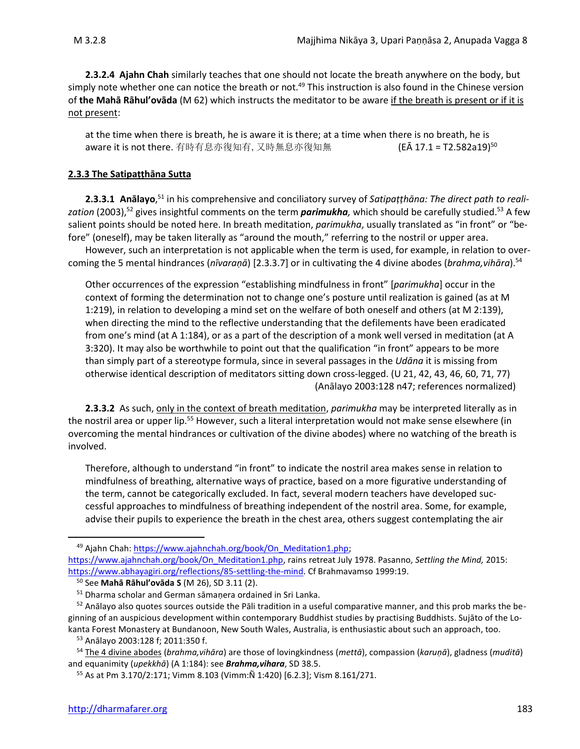**2.3.2.4 Ajahn Chah** similarly teaches that one should not locate the breath anywhere on the body, but simply note whether one can notice the breath or not.<sup>49</sup> This instruction is also found in the Chinese version of **the Mahā Rāhul'ovāda** (M 62) which instructs the meditator to be aware if the breath is present or if it is not present:

at the time when there is breath, he is aware it is there; at a time when there is no breath, he is aware it is not there. 有時有息亦復知有, 又時無息亦復知無 (EĀ 17.1 = T2.582a19)<sup>50</sup>

### **2.3.3 The Satipaṭṭhāna Sutta**

**2.3.3.1 Anālayo**, <sup>51</sup> in his comprehensive and conciliatory survey of *Satipaṭṭhāna: The direct path to reali*z*ation* (2003),<sup>52</sup> gives insightful comments on the term *parimukha,* which should be carefully studied.<sup>53</sup> A few salient points should be noted here. In breath meditation, *parimukha*, usually translated as "in front" or "before" (oneself), may be taken literally as "around the mouth," referring to the nostril or upper area.

However, such an interpretation is not applicable when the term is used, for example, in relation to overcoming the 5 mental hindrances (*nīvaraṇā*) [2.3.3.7] or in cultivating the 4 divine abodes (*brahma,vihāra*). 54

Other occurrences of the expression "establishing mindfulness in front" [*parimukha*] occur in the context of forming the determination not to change one's posture until realization is gained (as at M 1:219), in relation to developing a mind set on the welfare of both oneself and others (at M 2:139), when directing the mind to the reflective understanding that the defilements have been eradicated from one's mind (at A 1:184), or as a part of the description of a monk well versed in meditation (at A 3:320). It may also be worthwhile to point out that the qualification "in front" appears to be more than simply part of a stereotype formula, since in several passages in the *Udāna* it is missing from otherwise identical description of meditators sitting down cross-legged. (U 21, 42, 43, 46, 60, 71, 77) (Anālayo 2003:128 n47; references normalized)

**2.3.3.2** As such, only in the context of breath meditation, *parimukha* may be interpreted literally as in the nostril area or upper lip.<sup>55</sup> However, such a literal interpretation would not make sense elsewhere (in overcoming the mental hindrances or cultivation of the divine abodes) where no watching of the breath is involved.

Therefore, although to understand "in front" to indicate the nostril area makes sense in relation to mindfulness of breathing, alternative ways of practice, based on a more figurative understanding of the term, cannot be categorically excluded. In fact, several modern teachers have developed successful approaches to mindfulness of breathing independent of the nostril area. Some, for example, advise their pupils to experience the breath in the chest area, others suggest contemplating the air

<sup>&</sup>lt;sup>49</sup> Ajahn Chah: https://www.ajahnchah.org/book/On\_Meditation1.php;

[https://www.ajahnchah.org/book/On\\_Meditation1.php,](https://www.ajahnchah.org/book/On_Meditation1.php) rains retreat July 1978. Pasanno, *Settling the Mind,* 2015: [https://www.abhayagiri.org/reflections/85-settling-the-mind.](https://www.abhayagiri.org/reflections/85-settling-the-mind) Cf Brahmavamso 1999:19.

<sup>50</sup> See **Mahā Rāhul'ovāda S** (M 26), SD 3.11 (2).

<sup>51</sup> Dharma scholar and German sāmaṇera ordained in Sri Lanka.

 $52$  Anālayo also quotes sources outside the Pāli tradition in a useful comparative manner, and this prob marks the beginning of an auspicious development within contemporary Buddhist studies by practising Buddhists. Sujāto of the Lokanta Forest Monastery at Bundanoon, New South Wales, Australia, is enthusiastic about such an approach, too.

<sup>53</sup> Anālayo 2003:128 f; 2011:350 f.

<sup>54</sup> The 4 divine abodes (*brahma,vihāra*) are those of lovingkindness (*mettā*), compassion (*karuṇā*), gladness (*muditā*) and equanimity (*upekkhā*) (A 1:184): see *Brahma,vihara*, SD 38.5.

<sup>55</sup> As at Pm 3.170/2:171; Vimm 8.103 (Vimm:Ñ 1:420) [6.2.3]; Vism 8.161/271.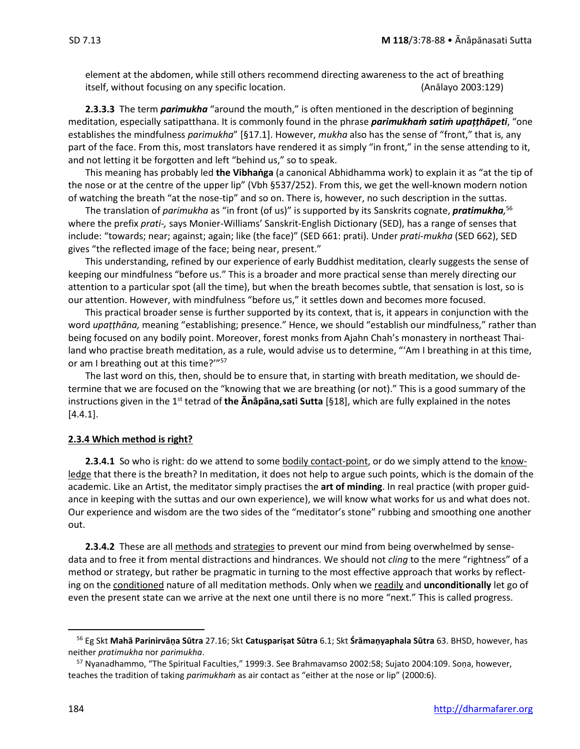element at the abdomen, while still others recommend directing awareness to the act of breathing itself, without focusing on any specific location. (Anālayo 2003:129)

**2.3.3.3** The term *parimukha* "around the mouth," is often mentioned in the description of beginning meditation, especially satipatthana. It is commonly found in the phrase *parimukhaṁ satiṁ upaṭṭhāpeti*, "one establishes the mindfulness *parimukha*" [§17.1]. However, *mukha* also has the sense of "front," that is, any part of the face. From this, most translators have rendered it as simply "in front," in the sense attending to it, and not letting it be forgotten and left "behind us," so to speak.

This meaning has probably led **the Vibhaṅga** (a canonical Abhidhamma work) to explain it as "at the tip of the nose or at the centre of the upper lip" (Vbh §537/252). From this, we get the well-known modern notion of watching the breath "at the nose-tip" and so on. There is, however, no such description in the suttas.

The translation of *parimukha* as "in front (of us)" is supported by its Sanskrits cognate, *pratimukha,* 56 where the prefix *prati-,* says Monier-Williams' Sanskrit-English Dictionary (SED), has a range of senses that include: "towards; near; against; again; like (the face)" (SED 661: prati). Under *prati-mukha* (SED 662), SED gives "the reflected image of the face; being near, present."

This understanding, refined by our experience of early Buddhist meditation, clearly suggests the sense of keeping our mindfulness "before us." This is a broader and more practical sense than merely directing our attention to a particular spot (all the time), but when the breath becomes subtle, that sensation is lost, so is our attention. However, with mindfulness "before us," it settles down and becomes more focused.

This practical broader sense is further supported by its context, that is, it appears in conjunction with the word *upaṭṭhāna,* meaning "establishing; presence." Hence, we should "establish our mindfulness," rather than being focused on any bodily point. Moreover, forest monks from Ajahn Chah's monastery in northeast Thailand who practise breath meditation, as a rule, would advise us to determine, "'Am I breathing in at this time, or am I breathing out at this time?'"<sup>57</sup>

The last word on this, then, should be to ensure that, in starting with breath meditation, we should determine that we are focused on the "knowing that we are breathing (or not)." This is a good summary of the instructions given in the 1<sup>st</sup> tetrad of **the Anâpāna, sati Sutta** [§18], which are fully explained in the notes [4.4.1].

#### **2.3.4 Which method is right?**

**2.3.4.1** So who is right: do we attend to some bodily contact-point, or do we simply attend to the knowledge that there is the breath? In meditation, it does not help to argue such points, which is the domain of the academic. Like an Artist, the meditator simply practises the **art of minding**. In real practice (with proper guidance in keeping with the suttas and our own experience), we will know what works for us and what does not. Our experience and wisdom are the two sides of the "meditator's stone" rubbing and smoothing one another out.

**2.3.4.2** These are all methods and strategies to prevent our mind from being overwhelmed by sensedata and to free it from mental distractions and hindrances. We should not *cling* to the mere "rightness" of a method or strategy, but rather be pragmatic in turning to the most effective approach that works by reflecting on the conditioned nature of all meditation methods. Only when we readily and **unconditionally** let go of even the present state can we arrive at the next one until there is no more "next." This is called progress.

<sup>56</sup> Eg Skt **Mahā Parinirvāṇa Sūtra** 27.16; Skt **Catuṣpariṣat Sūtra** 6.1; Skt **Śrāmaṇyaphala Sūtra** 63. BHSD, however, has neither *pratimukha* nor *parimukha*.

<sup>&</sup>lt;sup>57</sup> Nyanadhammo, "The Spiritual Faculties," 1999:3. See Brahmavamso 2002:58; Sujato 2004:109. Sona, however, teaches the tradition of taking *parimukhaṁ* as air contact as "either at the nose or lip" (2000:6).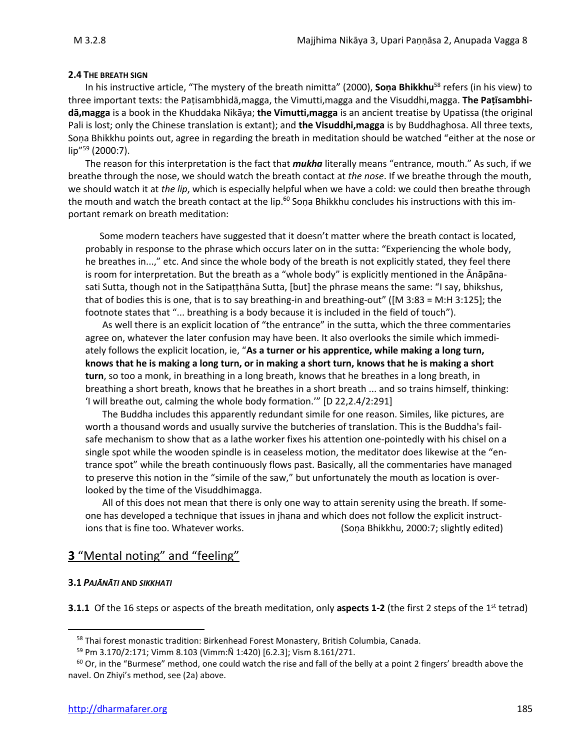#### **2.4 THE BREATH SIGN**

In his instructive article, "The mystery of the breath nimitta" (2000), **Soṇa Bhikkhu**<sup>58</sup> refers (in his view) to three important texts: the Paṭisambhidā,magga, the Vimutti,magga and the Visuddhi,magga. **The Paṭīsambhidā,magga** is a book in the Khuddaka Nikāya; **the Vimutti,magga** is an ancient treatise by Upatissa (the original Pali is lost; only the Chinese translation is extant); and **the Visuddhi,magga** is by Buddhaghosa. All three texts, Soṇa Bhikkhu points out, agree in regarding the breath in meditation should be watched "either at the nose or lip" <sup>59</sup> (2000:7).

The reason for this interpretation is the fact that *mukha* literally means "entrance, mouth." As such, if we breathe through the nose, we should watch the breath contact at *the nose*. If we breathe through the mouth, we should watch it at *the lip*, which is especially helpful when we have a cold: we could then breathe through the mouth and watch the breath contact at the lip.<sup>60</sup> Sona Bhikkhu concludes his instructions with this important remark on breath meditation:

Some modern teachers have suggested that it doesn't matter where the breath contact is located, probably in response to the phrase which occurs later on in the sutta: "Experiencing the whole body, he breathes in...," etc. And since the whole body of the breath is not explicitly stated, they feel there is room for interpretation. But the breath as a "whole body" is explicitly mentioned in the Ānāpānasati Sutta, though not in the Satipaṭṭhāna Sutta, [but] the phrase means the same: "I say, bhikshus, that of bodies this is one, that is to say breathing-in and breathing-out" ([M 3:83 = M:H 3:125]; the footnote states that "... breathing is a body because it is included in the field of touch").

As well there is an explicit location of "the entrance" in the sutta, which the three commentaries agree on, whatever the later confusion may have been. It also overlooks the simile which immediately follows the explicit location, ie, "**As a turner or his apprentice, while making a long turn, knows that he is making a long turn, or in making a short turn, knows that he is making a short turn**, so too a monk, in breathing in a long breath, knows that he breathes in a long breath, in breathing a short breath, knows that he breathes in a short breath ... and so trains himself, thinking: 'I will breathe out, calming the whole body formation.'" [D 22,2.4/2:291]

The Buddha includes this apparently redundant simile for one reason. Similes, like pictures, are worth a thousand words and usually survive the butcheries of translation. This is the Buddha's failsafe mechanism to show that as a lathe worker fixes his attention one-pointedly with his chisel on a single spot while the wooden spindle is in ceaseless motion, the meditator does likewise at the "entrance spot" while the breath continuously flows past. Basically, all the commentaries have managed to preserve this notion in the "simile of the saw," but unfortunately the mouth as location is overlooked by the time of the Visuddhimagga.

All of this does not mean that there is only one way to attain serenity using the breath. If someone has developed a technique that issues in jhana and which does not follow the explicit instructions that is fine too. Whatever works. (Sona Bhikkhu, 2000:7; slightly edited)

### **3** "Mental noting" and "feeling"

#### **3.1** *PAJĀNĀTI* **AND** *SIKKHATI*

**3.1.1** Of the 16 steps or aspects of the breath meditation, only **aspects 1-2** (the first 2 steps of the 1<sup>st</sup> tetrad)

<sup>&</sup>lt;sup>58</sup> Thai forest monastic tradition: Birkenhead Forest Monastery, British Columbia, Canada.

<sup>59</sup> Pm 3.170/2:171; Vimm 8.103 (Vimm:Ñ 1:420) [6.2.3]; Vism 8.161/271.

 $60$  Or, in the "Burmese" method, one could watch the rise and fall of the belly at a point 2 fingers' breadth above the navel. On Zhiyi's method, see (2a) above.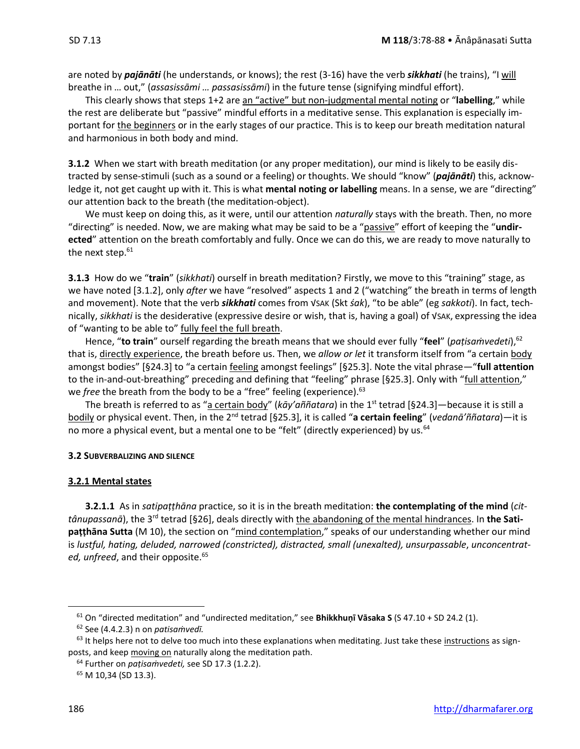are noted by *pajānāti* (he understands, or knows); the rest (3-16) have the verb *sikkhati* (he trains), "I will breathe in … out," (*assasissāmi … passasissāmi*) in the future tense (signifying mindful effort).

This clearly shows that steps 1+2 are an "active" but non-judgmental mental noting or "**labelling**," while the rest are deliberate but "passive" mindful efforts in a meditative sense. This explanation is especially important for the beginners or in the early stages of our practice. This is to keep our breath meditation natural and harmonious in both body and mind.

**3.1.2** When we start with breath meditation (or any proper meditation), our mind is likely to be easily distracted by sense-stimuli (such as a sound or a feeling) or thoughts. We should "know" (*pajānāti*) this, acknowledge it, not get caught up with it. This is what **mental noting or labelling** means. In a sense, we are "directing" our attention back to the breath (the meditation-object).

We must keep on doing this, as it were, until our attention *naturally* stays with the breath. Then, no more "directing" is needed. Now, we are making what may be said to be a "passive" effort of keeping the "**undirected**" attention on the breath comfortably and fully. Once we can do this, we are ready to move naturally to the next step.<sup>61</sup>

**3.1.3** How do we "**train**" (*sikkhati*) ourself in breath meditation? Firstly, we move to this "training" stage, as we have noted [3.1.2], only *after* we have "resolved" aspects 1 and 2 ("watching" the breath in terms of length and movement). Note that the verb *sikkhati* comes from √SAK (Skt *śak*), "to be able" (eg *sakkoti*). In fact, technically, *sikkhati* is the desiderative (expressive desire or wish, that is, having a goal) of √SAK, expressing the idea of "wanting to be able to" fully feel the full breath.

Hence, "**to train**" ourself regarding the breath means that we should ever fully "**feel**" (*paṭisaṁvedeti*),<sup>62</sup> that is, directly experience, the breath before us. Then, we *allow or let* it transform itself from "a certain body amongst bodies" [§24.3] to "a certain feeling amongst feelings" [§25.3]. Note the vital phrase—"**full attention** to the in-and-out-breathing" preceding and defining that "feeling" phrase [§25.3]. Only with "full attention," we *free* the breath from the body to be a "free" feeling (experience).<sup>63</sup>

The breath is referred to as "a certain body" (*kāy'aññatara*) in the 1<sup>st</sup> tetrad [§24.3]—because it is still a bodily or physical event. Then, in the 2<sup>nd</sup> tetrad [§25.3], it is called "a certain feeling" (*vedanā'ññatara*)—it is no more a physical event, but a mental one to be "felt" (directly experienced) by us.<sup>64</sup>

#### **3.2 SUBVERBALIZING AND SILENCE**

#### **3.2.1 Mental states**

**3.2.1.1** As in *satipaṭṭhāna* practice, so it is in the breath meditation: **the contemplating of the mind** (*cit*tânupassanā), the 3<sup>rd</sup> tetrad [§26], deals directly with the abandoning of the mental hindrances. In the Sati**paṭṭhāna Sutta** (M 10), the section on "mind contemplation," speaks of our understanding whether our mind is *lustful, hating, deluded, narrowed (constricted), distracted, small (unexalted), unsurpassable*, *unconcentrat*ed, unfreed, and their opposite.<sup>65</sup>

<sup>61</sup> On "directed meditation" and "undirected meditation," see **Bhikkhuṇī Vāsaka S** (S 47.10 + SD 24.2 (1).

<sup>62</sup> See (4.4.2.3) n on *patisaṁvedī.*

 $63$  It helps here not to delve too much into these explanations when meditating. Just take these instructions as signposts, and keep moving on naturally along the meditation path.

<sup>64</sup> Further on *paṭisaṁvedeti,* see SD 17.3 (1.2.2).

<sup>65</sup> M 10,34 (SD 13.3).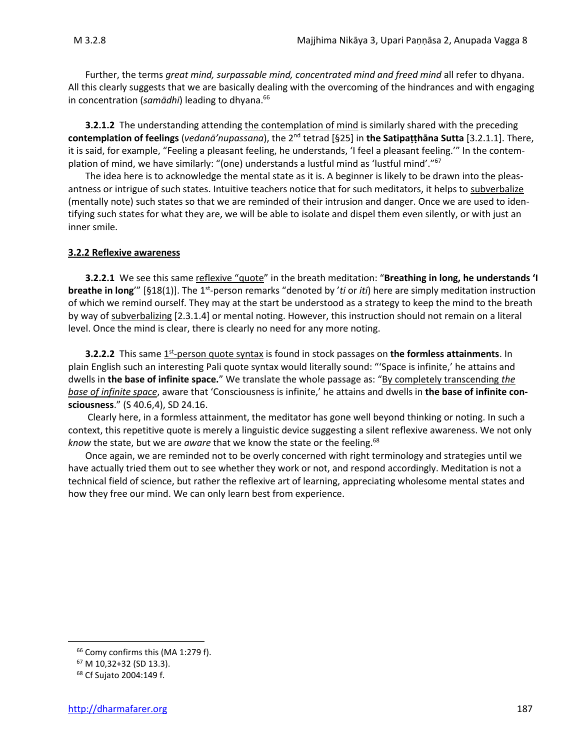Further, the terms *great mind, surpassable mind, concentrated mind and freed mind* all refer to dhyana. All this clearly suggests that we are basically dealing with the overcoming of the hindrances and with engaging in concentration (*samādhi*) leading to dhyana. 66

**3.2.1.2** The understanding attending the contemplation of mind is similarly shared with the preceding **contemplation of feelings** (*vedanā'nupassana*), the 2nd tetrad [§25] in **the Satipaṭṭhāna Sutta** [3.2.1.1]. There, it is said, for example, "Feeling a pleasant feeling, he understands, 'I feel a pleasant feeling.'" In the contemplation of mind, we have similarly: "(one) understands a lustful mind as 'lustful mind'."<sup>67</sup>

The idea here is to acknowledge the mental state as it is. A beginner is likely to be drawn into the pleasantness or intrigue of such states. Intuitive teachers notice that for such meditators, it helps to subverbalize (mentally note) such states so that we are reminded of their intrusion and danger. Once we are used to identifying such states for what they are, we will be able to isolate and dispel them even silently, or with just an inner smile.

### **3.2.2 Reflexive awareness**

**3.2.2.1** We see this same reflexive "quote" in the breath meditation: "**Breathing in long, he understands 'I breathe in long**'" [§18(1)]. The 1<sup>st</sup>-person remarks "denoted by 'ti or *iti*) here are simply meditation instruction of which we remind ourself. They may at the start be understood as a strategy to keep the mind to the breath by way of subverbalizing [2.3.1.4] or mental noting. However, this instruction should not remain on a literal level. Once the mind is clear, there is clearly no need for any more noting.

**3.2.2.2** This same 1<sup>st</sup>-person quote syntax is found in stock passages on the formless attainments. In plain English such an interesting Pali quote syntax would literally sound: "'Space is infinite,' he attains and dwells in **the base of infinite space.**" We translate the whole passage as: "By completely transcending *the base of infinite space*, aware that 'Consciousness is infinite,' he attains and dwells in **the base of infinite consciousness**." (S 40.6,4), SD 24.16.

Clearly here, in a formless attainment, the meditator has gone well beyond thinking or noting. In such a context, this repetitive quote is merely a linguistic device suggesting a silent reflexive awareness. We not only *know the state, but we are <i>aware* that we know the state or the feeling.<sup>68</sup>

Once again, we are reminded not to be overly concerned with right terminology and strategies until we have actually tried them out to see whether they work or not, and respond accordingly. Meditation is not a technical field of science, but rather the reflexive art of learning, appreciating wholesome mental states and how they free our mind. We can only learn best from experience.

<sup>&</sup>lt;sup>66</sup> Comy confirms this (MA 1:279 f).

<sup>67</sup> M 10,32+32 (SD 13.3).

<sup>68</sup> Cf Sujato 2004:149 f.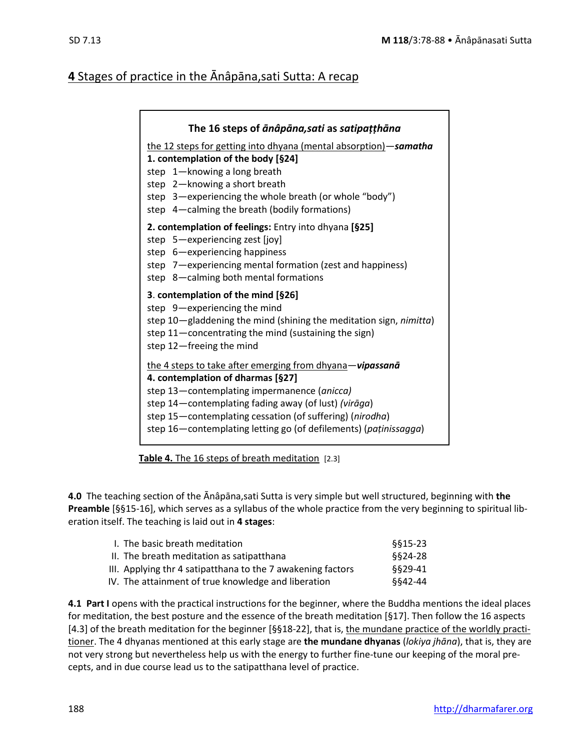### **4** Stages of practice in the Anâpana, sati Sutta: A recap

| The 16 steps of anâpana, sati as satipațțhana                                                                                                                                                                                                                                                                                        |
|--------------------------------------------------------------------------------------------------------------------------------------------------------------------------------------------------------------------------------------------------------------------------------------------------------------------------------------|
| the 12 steps for getting into dhyana (mental absorption) - samatha<br>1. contemplation of the body [§24]<br>step 1-knowing a long breath<br>step 2-knowing a short breath<br>step 3—experiencing the whole breath (or whole "body")<br>step 4-calming the breath (bodily formations)                                                 |
| 2. contemplation of feelings: Entry into dhyana [§25]<br>step 5-experiencing zest [joy]<br>step 6-experiencing happiness<br>step 7—experiencing mental formation (zest and happiness)<br>step 8-calming both mental formations                                                                                                       |
| 3. contemplation of the mind [§26]<br>step 9-experiencing the mind<br>step 10-gladdening the mind (shining the meditation sign, nimitta)<br>step 11-concentrating the mind (sustaining the sign)<br>step 12-freeing the mind                                                                                                         |
| the 4 steps to take after emerging from dhyana-vipassanā<br>4. contemplation of dharmas [§27]<br>step 13-contemplating impermanence (anicca)<br>step 14-contemplating fading away (of lust) (viraga)<br>step 15-contemplating cessation (of suffering) (nirodha)<br>step 16-contemplating letting go (of defilements) (patinissagga) |

**Table 4.** The 16 steps of breath meditation [2.3]

**4.0** The teaching section of the Anâpāna, sati Sutta is very simple but well structured, beginning with the **Preamble** [§§15-16], which serves as a syllabus of the whole practice from the very beginning to spiritual liberation itself. The teaching is laid out in **4 stages**:

| I. The basic breath meditation                              | \$§15-23 |
|-------------------------------------------------------------|----------|
| II. The breath meditation as satipatthana                   | \$§24-28 |
| III. Applying thr 4 satipatthana to the 7 awakening factors | 8829-41  |
| IV. The attainment of true knowledge and liberation         | 8842-44  |

**4.1 Part I** opens with the practical instructions for the beginner, where the Buddha mentions the ideal places for meditation, the best posture and the essence of the breath meditation [§17]. Then follow the 16 aspects [4.3] of the breath meditation for the beginner [§§18-22], that is, the mundane practice of the worldly practitioner. The 4 dhyanas mentioned at this early stage are **the mundane dhyanas** (*lokiya jhāna*), that is, they are not very strong but nevertheless help us with the energy to further fine-tune our keeping of the moral precepts, and in due course lead us to the satipatthana level of practice.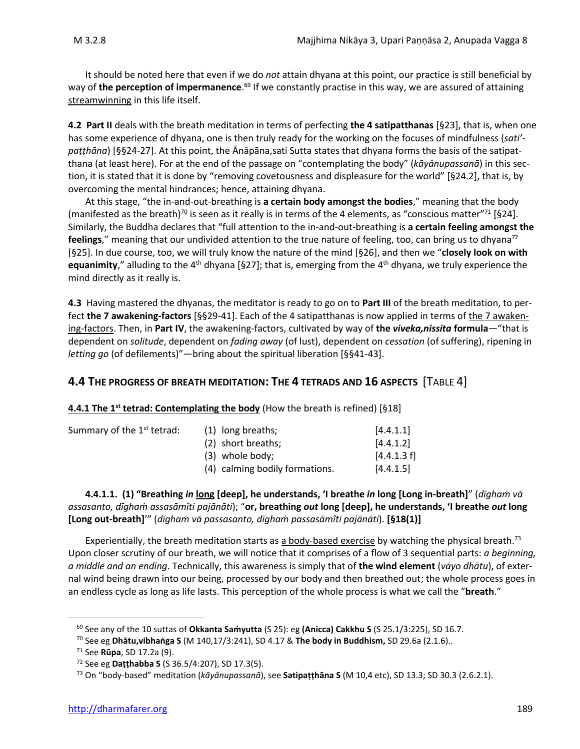It should be noted here that even if we do *not* attain dhyana at this point, our practice is still beneficial by way of **the perception of impermanence**. <sup>69</sup> If we constantly practise in this way, we are assured of attaining streamwinning in this life itself.

**4.2 Part II** deals with the breath meditation in terms of perfecting **the 4 satipatthanas** [§23], that is, when one has some experience of dhyana, one is then truly ready for the working on the focuses of mindfulness (*sati'* patthāna) [§§24-27]. At this point, the Ānâpāna,sati Sutta states that dhyana forms the basis of the satipatthana (at least here). For at the end of the passage on "contemplating the body" (*kāyânupassanā*) in this section, it is stated that it is done by "removing covetousness and displeasure for the world" [§24.2], that is, by overcoming the mental hindrances; hence, attaining dhyana.

At this stage, "the in-and-out-breathing is **a certain body amongst the bodies**," meaning that the body (manifested as the breath)<sup>70</sup> is seen as it really is in terms of the 4 elements, as "conscious matter"<sup>71</sup> [§24]. Similarly, the Buddha declares that "full attention to the in-and-out-breathing is **a certain feeling amongst the feelings**," meaning that our undivided attention to the true nature of feeling, too, can bring us to dhyana<sup>72</sup> [§25]. In due course, too, we will truly know the nature of the mind [§26], and then we "**closely look on with**  equanimity," alluding to the 4<sup>th</sup> dhyana [§27]; that is, emerging from the 4<sup>th</sup> dhyana, we truly experience the mind directly as it really is.

**4.3** Having mastered the dhyanas, the meditator is ready to go on to **Part III** of the breath meditation, to perfect **the 7 awakening-factors** [§§29-41]. Each of the 4 satipatthanas is now applied in terms of the 7 awakening-factors. Then, in **Part IV**, the awakening-factors, cultivated by way of **the** *viveka,nissita* **formula**—"that is dependent on *solitude*, dependent on *fading away* (of lust), dependent on *cessation* (of suffering), ripening in *letting go* (of defilements)"—bring about the spiritual liberation [§§41-43].

### **4.4 THE PROGRESS OF BREATH MEDITATION: THE 4 TETRADS AND 16 ASPECTS** [TABLE 4]

**4.4.1 The 1st tetrad: Contemplating the body** (How the breath is refined) [§18]

| Summary of the 1 <sup>st</sup> tetrad: | (1) long breaths;              | [4.4.1.1]   |
|----------------------------------------|--------------------------------|-------------|
|                                        | (2) short breaths;             | [4.4.1.2]   |
|                                        | (3) whole body;                | [4.4.1.3 f] |
|                                        | (4) calming bodily formations. | [4.4.1.5]   |

**4.4.1.1. (1) "Breathing** *in* **long [deep], he understands, 'I breathe** *in* **long [Long in-breath]**" (*dīghaṁ vā assasanto, dīghaṁ assasāmîti pajānāti*); "**or, breathing** *out* **long [deep], he understands, 'I breathe** *out* **long [Long out-breath]**'" (*dīghaṁ vā passasanto, dīghaṁ passasāmîti pajānāti*). **[§18(1)]** 

Experientially, the breath meditation starts as a body-based exercise by watching the physical breath.<sup>73</sup> Upon closer scrutiny of our breath, we will notice that it comprises of a flow of 3 sequential parts: *a beginning, a middle and an ending*. Technically, this awareness is simply that of **the wind element** (*vāyo dhātu*), of external wind being drawn into our being, processed by our body and then breathed out; the whole process goes in an endless cycle as long as life lasts. This perception of the whole process is what we call the "**breath**."

<sup>69</sup> See any of the 10 suttas of **Okkanta Saṁyutta** (S 25): eg **(Anicca) Cakkhu S** (S 25.1/3:225), SD 16.7.

<sup>70</sup> See eg **Dhātu,vibhaṅga S** (M 140,17/3:241), SD 4.17 & **The body in Buddhism,** SD 29.6a (2.1.6)..

<sup>71</sup> See **Rūpa**, SD 17.2a (9).

<sup>72</sup> See eg **Daṭṭhabba S** (S 36.5/4:207), SD 17.3(5).

<sup>73</sup> On "body-based" meditation (*kāyânupassanā*), see **Satipaṭṭhāna S** (M 10,4 etc), SD 13.3; SD 30.3 (2.6.2.1).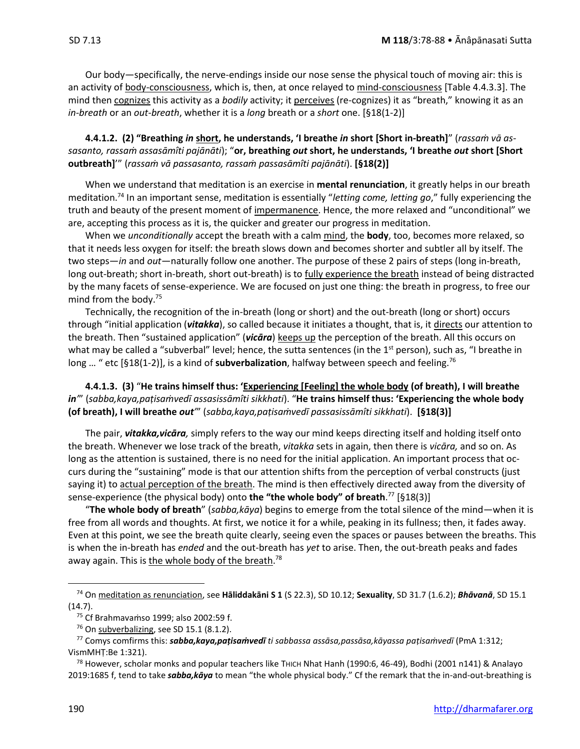Our body—specifically, the nerve-endings inside our nose sense the physical touch of moving air: this is an activity of **body-consciousness**, which is, then, at once relayed to mind-consciousness [Table 4.4.3.3]. The mind then cognizes this activity as a *bodily* activity; it perceives (re-cognizes) it as "breath," knowing it as an *in-breath* or an *out-breath*, whether it is a *long* breath or a *short* one. [§18(1-2)]

### **4.4.1.2. (2) "Breathing** *in* **short, he understands, 'I breathe** *in* **short [Short in-breath]**" (*rassaṁ vā assasanto, rassaṁ assasāmîti pajānāti*); "**or, breathing** *out* **short, he understands, 'I breathe** *out* **short [Short outbreath]**'" (*rassaṁ vā passasanto, rassaṁ passasāmîti pajānāti*). **[§18(2)]**

When we understand that meditation is an exercise in **mental renunciation**, it greatly helps in our breath meditation.<sup>74</sup> In an important sense, meditation is essentially "*letting come, letting go*," fully experiencing the truth and beauty of the present moment of impermanence. Hence, the more relaxed and "unconditional" we are, accepting this process as it is, the quicker and greater our progress in meditation.

When we *unconditionally* accept the breath with a calm mind, the **body**, too, becomes more relaxed, so that it needs less oxygen for itself: the breath slows down and becomes shorter and subtler all by itself. The two steps—*in* and *out*—naturally follow one another. The purpose of these 2 pairs of steps (long in-breath, long out-breath; short in-breath, short out-breath) is to fully experience the breath instead of being distracted by the many facets of sense-experience. We are focused on just one thing: the breath in progress, to free our mind from the body. 75

Technically, the recognition of the in-breath (long or short) and the out-breath (long or short) occurs through "initial application (*vitakka*), so called because it initiates a thought, that is, it directs our attention to the breath. Then "sustained application" (vicara) keeps up the perception of the breath. All this occurs on what may be called a "subverbal" level; hence, the sutta sentences (in the  $1<sup>st</sup>$  person), such as, "I breathe in long … " etc [§18(1-2)], is a kind of **subverbalization**, halfway between speech and feeling.<sup>76</sup>

**4.4.1.3. (3)** "**He trains himself thus: 'Experiencing [Feeling] the whole body (of breath), I will breathe**  *in'*" (*sabba,kaya,paṭisaṁvedī assasissāmîti sikkhati*). "**He trains himself thus: 'Experiencing the whole body (of breath), I will breathe** *out'*" (*sabba,kaya,paṭisaṁvedī passasissāmîti sikkhati*). **[§18(3)]**

The pair, *vitakka,vicāra,* simply refers to the way our mind keeps directing itself and holding itself onto the breath. Whenever we lose track of the breath, *vitakka* sets in again, then there is *vicāra,* and so on. As long as the attention is sustained, there is no need for the initial application. An important process that occurs during the "sustaining" mode is that our attention shifts from the perception of verbal constructs (just saying it) to actual perception of the breath. The mind is then effectively directed away from the diversity of sense-experience (the physical body) onto **the "the whole body" of breath**. <sup>77</sup> [§18(3)]

"**The whole body of breath**" (*sabba,kāya*) begins to emerge from the total silence of the mind—when it is free from all words and thoughts. At first, we notice it for a while, peaking in its fullness; then, it fades away. Even at this point, we see the breath quite clearly, seeing even the spaces or pauses between the breaths. This is when the in-breath has *ended* and the out-breath has *yet* to arise. Then, the out-breath peaks and fades away again. This is <u>the whole body of the breath</u>.<sup>78</sup>

<sup>74</sup> On meditation as renunciation, see **Hāliddakāni S 1** (S 22.3), SD 10.12; **Sexuality**, SD 31.7 (1.6.2); *Bhāvanā*, SD 15.1 (14.7).

<sup>75</sup> Cf Brahmavaṁso 1999; also 2002:59 f.

<sup>76</sup> On subverbalizing, see SD 15.1 (8.1.2).

<sup>77</sup> Comys comfirms this: *sabba,kaya,paṭisaṁvedī ti sabbassa assāsa,passāsa,kāyassa paṭisaṁvedī* (PmA 1:312; VismMHṬ:Be 1:321).

 $^{78}$  However, scholar monks and popular teachers like T $n$ ICH Nhat Hanh (1990:6, 46-49), Bodhi (2001 n141) & Analayo 2019:1685 f, tend to take *sabba,kāya* to mean "the whole physical body." Cf the remark that the in-and-out-breathing is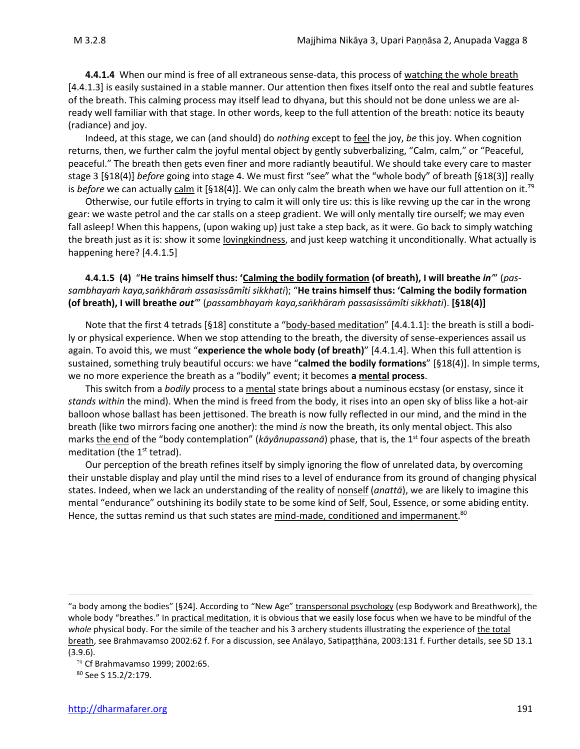**4.4.1.4** When our mind is free of all extraneous sense-data, this process of watching the whole breath [4.4.1.3] is easily sustained in a stable manner. Our attention then fixes itself onto the real and subtle features of the breath. This calming process may itself lead to dhyana, but this should not be done unless we are already well familiar with that stage. In other words, keep to the full attention of the breath: notice its beauty (radiance) and joy.

Indeed, at this stage, we can (and should) do *nothing* except to feel the joy, *be* this joy. When cognition returns, then, we further calm the joyful mental object by gently subverbalizing, "Calm, calm," or "Peaceful, peaceful." The breath then gets even finer and more radiantly beautiful. We should take every care to master stage 3 [§18(4)] *before* going into stage 4. We must first "see" what the "whole body" of breath [§18(3)] really is *before* we can actually calm it [§18(4)]. We can only calm the breath when we have our full attention on it.<sup>79</sup>

Otherwise, our futile efforts in trying to calm it will only tire us: this is like revving up the car in the wrong gear: we waste petrol and the car stalls on a steep gradient. We will only mentally tire ourself; we may even fall asleep! When this happens, (upon waking up) just take a step back, as it were. Go back to simply watching the breath just as it is: show it some lovingkindness, and just keep watching it unconditionally. What actually is happening here? [4.4.1.5]

**4.4.1.5 (4)** "**He trains himself thus: 'Calming the bodily formation (of breath), I will breathe** *in'*" (*passambhayaṁ kaya,saṅkhāraṁ assasissāmîti sikkhati*); "**He trains himself thus: 'Calming the bodily formation (of breath), I will breathe** *out'*" (*passambhayaṁ kaya,saṅkhāraṁ passasissāmîti sikkhati*). **[§18(4)]**

Note that the first 4 tetrads [§18] constitute a "body-based meditation" [4.4.1.1]: the breath is still a bodily or physical experience. When we stop attending to the breath, the diversity of sense-experiences assail us again. To avoid this, we must "**experience the whole body (of breath)**" [4.4.1.4]. When this full attention is sustained, something truly beautiful occurs: we have "**calmed the bodily formations**" [§18(4)]. In simple terms, we no more experience the breath as a "bodily" event; it becomes **a mental process**.

This switch from a *bodily* process to a mental state brings about a numinous ecstasy (or enstasy, since it *stands within* the mind). When the mind is freed from the body, it rises into an open sky of bliss like a hot-air balloon whose ballast has been jettisoned. The breath is now fully reflected in our mind, and the mind in the breath (like two mirrors facing one another): the mind *is* now the breath, its only mental object. This also marks the end of the "body contemplation" (*kāyânupassanā*) phase, that is, the 1<sup>st</sup> four aspects of the breath meditation (the  $1<sup>st</sup>$  tetrad).

Our perception of the breath refines itself by simply ignoring the flow of unrelated data, by overcoming their unstable display and play until the mind rises to a level of endurance from its ground of changing physical states. Indeed, when we lack an understanding of the reality of nonself (*anattā*), we are likely to imagine this mental "endurance" outshining its bodily state to be some kind of Self, Soul, Essence, or some abiding entity. Hence, the suttas remind us that such states are mind-made, conditioned and impermanent.<sup>80</sup>

<sup>&</sup>quot;a body among the bodies" [§24]. According to "New Age" transpersonal psychology (esp Bodywork and Breathwork), the whole body "breathes." In practical meditation, it is obvious that we easily lose focus when we have to be mindful of the *whole* physical body. For the simile of the teacher and his 3 archery students illustrating the experience of the total breath, see Brahmavamso 2002:62 f. For a discussion, see Anālayo, Satipaṭṭhāna, 2003:131 f. Further details, see SD 13.1 (3.9.6).

<sup>79</sup> Cf Brahmavamso 1999; 2002:65.

<sup>80</sup> See S 15.2/2:179.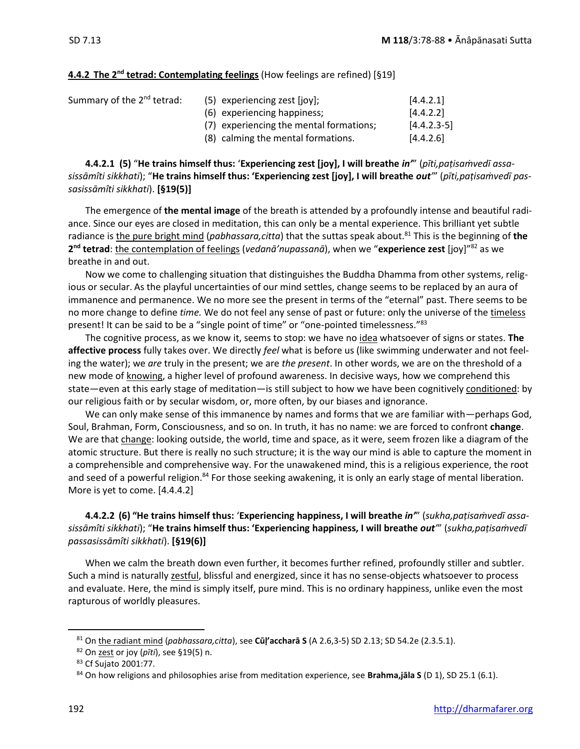#### **4.4.2 The 2nd tetrad: Contemplating feelings** (How feelings are refined) [§19]

| Summary of the 2 <sup>nd</sup> tetrad: | $(5)$ experiencing zest $[ioy]$ ;<br>(6) experiencing happiness;              | [4.4.2.1]<br>[4.4.2.2]     |
|----------------------------------------|-------------------------------------------------------------------------------|----------------------------|
|                                        | (7) experiencing the mental formations;<br>(8) calming the mental formations. | $[4.4.2.3-5]$<br>[4.4.2.6] |

**4.4.2.1 (5)** "**He trains himself thus:** '**Experiencing zest [joy], I will breathe** *in'*" (*pīti,paṭisaṁvedī assasissāmîti sikkhati*); "**He trains himself thus: 'Experiencing zest [joy], I will breathe** *out'*" (*pīti,paṭisaṁvedī passasissāmîti sikkhati*). **[§19(5)]**

The emergence of **the mental image** of the breath is attended by a profoundly intense and beautiful radiance. Since our eyes are closed in meditation, this can only be a mental experience. This brilliant yet subtle radiance is the pure bright mind (*pabhassara,citta*) that the suttas speak about.<sup>81</sup> This is the beginning of the **2 nd tetrad**: the contemplation of feelings (*vedanā'nupassanā*), when we "**experience zest** [joy]"<sup>82</sup> as we breathe in and out.

Now we come to challenging situation that distinguishes the Buddha Dhamma from other systems, religious or secular. As the playful uncertainties of our mind settles, change seems to be replaced by an aura of immanence and permanence. We no more see the present in terms of the "eternal" past. There seems to be no more change to define *time.* We do not feel any sense of past or future: only the universe of the timeless present! It can be said to be a "single point of time" or "one-pointed timelessness."<sup>83</sup>

The cognitive process, as we know it, seems to stop: we have no idea whatsoever of signs or states. **The affective process** fully takes over. We directly *feel* what is before us (like swimming underwater and not feeling the water); we *are* truly in the present; we are *the present*. In other words, we are on the threshold of a new mode of knowing, a higher level of profound awareness. In decisive ways, how we comprehend this state—even at this early stage of meditation—is still subject to how we have been cognitively conditioned: by our religious faith or by secular wisdom, or, more often, by our biases and ignorance.

We can only make sense of this immanence by names and forms that we are familiar with—perhaps God, Soul, Brahman, Form, Consciousness, and so on. In truth, it has no name: we are forced to confront **change**. We are that change: looking outside, the world, time and space, as it were, seem frozen like a diagram of the atomic structure. But there is really no such structure; it is the way our mind is able to capture the moment in a comprehensible and comprehensive way. For the unawakened mind, this is a religious experience, the root and seed of a powerful religion.<sup>84</sup> For those seeking awakening, it is only an early stage of mental liberation. More is yet to come. [4.4.4.2]

### **4.4.2.2 (6) "He trains himself thus:** '**Experiencing happiness, I will breathe** *in'*" (*sukha,paṭisaṁvedī assasissāmîti sikkhati*); "**He trains himself thus: 'Experiencing happiness, I will breathe** *out'*" (*sukha,paṭisaṁvedī passasissāmîti sikkhati*). **[§19(6)]**

When we calm the breath down even further, it becomes further refined, profoundly stiller and subtler. Such a mind is naturally zestful, blissful and energized, since it has no sense-objects whatsoever to process and evaluate. Here, the mind is simply itself, pure mind. This is no ordinary happiness, unlike even the most rapturous of worldly pleasures.

<sup>81</sup> On the radiant mind (*pabhassara,citta*), see **Cūḷ'accharā S** (A 2.6,3-5) SD 2.13; SD 54.2e (2.3.5.1).

<sup>82</sup> On zest or joy (*pīti*), see §19(5) n.

<sup>83</sup> Cf Sujato 2001:77.

<sup>84</sup> On how religions and philosophies arise from meditation experience, see **Brahma,jāla S** (D 1), SD 25.1 (6.1).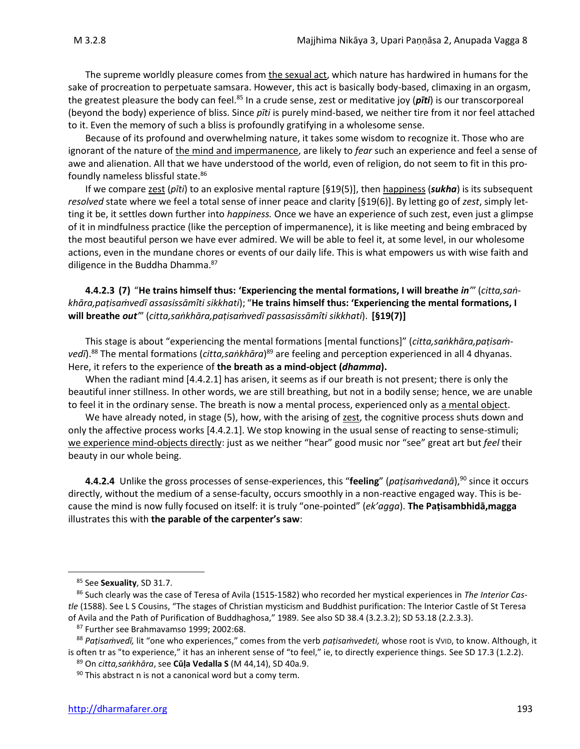The supreme worldly pleasure comes from the sexual act, which nature has hardwired in humans for the sake of procreation to perpetuate samsara. However, this act is basically body-based, climaxing in an orgasm,

the greatest pleasure the body can feel.<sup>85</sup> In a crude sense, zest or meditative joy (*pīti*) is our transcorporeal (beyond the body) experience of bliss. Since *pīti* is purely mind-based, we neither tire from it nor feel attached to it. Even the memory of such a bliss is profoundly gratifying in a wholesome sense.

Because of its profound and overwhelming nature, it takes some wisdom to recognize it. Those who are ignorant of the nature of the mind and impermanence, are likely to *fear* such an experience and feel a sense of awe and alienation. All that we have understood of the world, even of religion, do not seem to fit in this profoundly nameless blissful state.<sup>86</sup>

If we compare zest (*pīti*) to an explosive mental rapture [§19(5)], then happiness (*sukha*) is its subsequent *resolved* state where we feel a total sense of inner peace and clarity [§19(6)]. By letting go of *zest*, simply letting it be, it settles down further into *happiness.* Once we have an experience of such zest, even just a glimpse of it in mindfulness practice (like the perception of impermanence), it is like meeting and being embraced by the most beautiful person we have ever admired. We will be able to feel it, at some level, in our wholesome actions, even in the mundane chores or events of our daily life. This is what empowers us with wise faith and diligence in the Buddha Dhamma.<sup>87</sup>

**4.4.2.3 (7)** "**He trains himself thus: 'Experiencing the mental formations, I will breathe** *in'*" (*citta,saṅkhāra,paṭisaṁvedī assasissāmîti sikkhati*); "**He trains himself thus: 'Experiencing the mental formations, I will breathe** *out'*" (*citta,saṅkhāra,paṭisaṁvedī passasissāmîti sikkhati*). **[§19(7)]** 

This stage is about "experiencing the mental formations [mental functions]" (*citta,saṅkhāra,paṭisaṁ*vedī).<sup>88</sup> The mental formations (*citta,saṅkhāra*)<sup>89</sup> are feeling and perception experienced in all 4 dhyanas. Here, it refers to the experience of **the breath as a mind-object (***dhamma***).**

When the radiant mind [4.4.2.1] has arisen, it seems as if our breath is not present; there is only the beautiful inner stillness. In other words, we are still breathing, but not in a bodily sense; hence, we are unable to feel it in the ordinary sense. The breath is now a mental process, experienced only as a mental object.

We have already noted, in stage (5), how, with the arising of zest, the cognitive process shuts down and only the affective process works [4.4.2.1]. We stop knowing in the usual sense of reacting to sense-stimuli; we experience mind-objects directly: just as we neither "hear" good music nor "see" great art but *feel* their beauty in our whole being.

**4.4.2.4** Unlike the gross processes of sense-experiences, this "**feeling**" (*paṭisaṁvedanā*),<sup>90</sup> since it occurs directly, without the medium of a sense-faculty, occurs smoothly in a non-reactive engaged way. This is because the mind is now fully focused on itself: it is truly "one-pointed" (*ek'agga*). **The Paṭisambhidā,magga**  illustrates this with **the parable of the carpenter's saw**:

<sup>85</sup> See **Sexuality**, SD 31.7.

<sup>86</sup> Such clearly was the case of Teresa of Avila (1515-1582) who recorded her mystical experiences in *The Interior Castle* (1588). See L S Cousins, "The stages of Christian mysticism and Buddhist purification: The Interior Castle of St Teresa of Avila and the Path of Purification of Buddhaghosa," 1989. See also SD 38.4 (3.2.3.2); SD 53.18 (2.2.3.3).

<sup>87</sup> Further see Brahmavamso 1999; 2002:68.

<sup>88</sup> *Paṭisaṁvedī,* lit "one who experiences," comes from the verb *paṭisaṁvedeti,* whose root is √VID, to know. Although, it is often tr as "to experience," it has an inherent sense of "to feel," ie, to directly experience things. See SD 17.3 (1.2.2).

<sup>89</sup> On *citta,saṅkhāra*, see **Cūḷa Vedalla S** (M 44,14), SD 40a.9.

 $90$  This abstract n is not a canonical word but a comy term.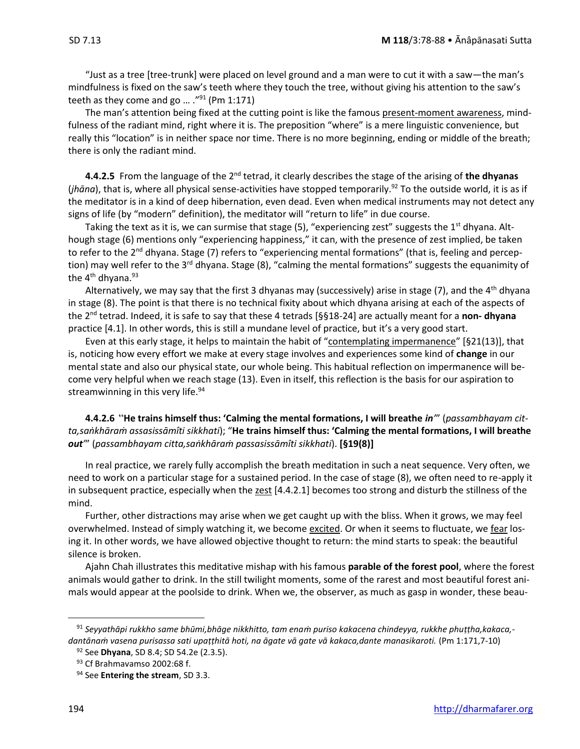"Just as a tree [tree-trunk] were placed on level ground and a man were to cut it with a saw—the man's mindfulness is fixed on the saw's teeth where they touch the tree, without giving his attention to the saw's teeth as they come and go ... ."<sup>91</sup> (Pm 1:171)

The man's attention being fixed at the cutting point is like the famous present-moment awareness, mindfulness of the radiant mind, right where it is. The preposition "where" is a mere linguistic convenience, but really this "location" is in neither space nor time. There is no more beginning, ending or middle of the breath; there is only the radiant mind.

**4.4.2.5** From the language of the 2nd tetrad, it clearly describes the stage of the arising of **the dhyanas** (*jhāna*), that is, where all physical sense-activities have stopped temporarily.<sup>92</sup> To the outside world, it is as if the meditator is in a kind of deep hibernation, even dead. Even when medical instruments may not detect any signs of life (by "modern" definition), the meditator will "return to life" in due course.

Taking the text as it is, we can surmise that stage (5), "experiencing zest" suggests the 1<sup>st</sup> dhyana. Although stage (6) mentions only "experiencing happiness," it can, with the presence of zest implied, be taken to refer to the 2<sup>nd</sup> dhyana. Stage (7) refers to "experiencing mental formations" (that is, feeling and perception) may well refer to the 3<sup>rd</sup> dhyana. Stage (8), "calming the mental formations" suggests the equanimity of the  $4<sup>th</sup>$  dhyana.<sup>93</sup>

Alternatively, we may say that the first 3 dhyanas may (successively) arise in stage (7), and the 4<sup>th</sup> dhyana in stage (8). The point is that there is no technical fixity about which dhyana arising at each of the aspects of the 2nd tetrad. Indeed, it is safe to say that these 4 tetrads [§§18-24] are actually meant for a **non- dhyana**  practice [4.1]. In other words, this is still a mundane level of practice, but it's a very good start.

Even at this early stage, it helps to maintain the habit of "contemplating impermanence" [§21(13)], that is, noticing how every effort we make at every stage involves and experiences some kind of **change** in our mental state and also our physical state, our whole being. This habitual reflection on impermanence will become very helpful when we reach stage (13). Even in itself, this reflection is the basis for our aspiration to streamwinning in this very life. $94$ 

**4.4.2.6** "**He trains himself thus: 'Calming the mental formations, I will breathe** *in'*" (*passambhayam citta,saṅkhāraṁ assasissāmîti sikkhati*); "**He trains himself thus: 'Calming the mental formations, I will breathe**  *out'*" (*passambhayam citta,saṅkhāraṁ passasissāmîti sikkhati*). **[§19(8)]**

In real practice, we rarely fully accomplish the breath meditation in such a neat sequence. Very often, we need to work on a particular stage for a sustained period. In the case of stage (8), we often need to re-apply it in subsequent practice, especially when the  $zest$  [4.4.2.1] becomes too strong and disturb the stillness of the mind.

Further, other distractions may arise when we get caught up with the bliss. When it grows, we may feel overwhelmed. Instead of simply watching it, we become excited. Or when it seems to fluctuate, we fear losing it. In other words, we have allowed objective thought to return: the mind starts to speak: the beautiful silence is broken.

Ajahn Chah illustrates this meditative mishap with his famous **parable of the forest pool**, where the forest animals would gather to drink. In the still twilight moments, some of the rarest and most beautiful forest animals would appear at the poolside to drink. When we, the observer, as much as gasp in wonder, these beau-

<sup>91</sup> *Seyyathāpi rukkho same bhūmi,bhāge nikkhitto, tam enaṁ puriso kakacena chindeyya, rukkhe phuṭṭha,kakaca, dantānaṁ vasena purisassa sati upaṭṭhitā hoti, na āgate vā gate vā kakaca,dante manasikaroti.* (Pm 1:171,7-10)

<sup>92</sup> See **Dhyana**, SD 8.4; SD 54.2e (2.3.5).

<sup>93</sup> Cf Brahmavamso 2002:68 f.

<sup>94</sup> See **Entering the stream**, SD 3.3.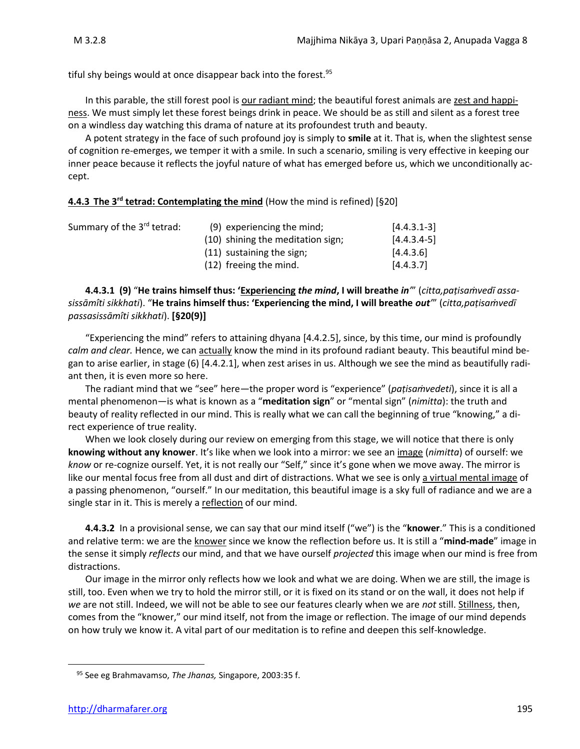tiful shy beings would at once disappear back into the forest.<sup>95</sup>

In this parable, the still forest pool is our radiant mind; the beautiful forest animals are zest and happiness. We must simply let these forest beings drink in peace. We should be as still and silent as a forest tree on a windless day watching this drama of nature at its profoundest truth and beauty.

A potent strategy in the face of such profound joy is simply to **smile** at it. That is, when the slightest sense of cognition re-emerges, we temper it with a smile. In such a scenario, smiling is very effective in keeping our inner peace because it reflects the joyful nature of what has emerged before us, which we unconditionally accept.

### **4.4.3 The 3<sup>rd</sup> tetrad: Contemplating the mind** (How the mind is refined) [§20]

| Summary of the 3 <sup>rd</sup> tetrad: | (9) experiencing the mind;        | $[4.4.3.1-3]$ |
|----------------------------------------|-----------------------------------|---------------|
|                                        | (10) shining the meditation sign; | $[4.4.3.4-5]$ |
|                                        | $(11)$ sustaining the sign;       | [4.4.3.6]     |
|                                        | (12) freeing the mind.            | [4.4.3.7]     |

**4.4.3.1 (9)** "**He trains himself thus: 'Experiencing** *the mind***, I will breathe** *in'*" (*citta,paṭisaṁvedī assasissāmîti sikkhati*). "**He trains himself thus: 'Experiencing the mind, I will breathe** *out'*" (*citta,paṭisaṁvedī passasissāmîti sikkhati*). **[§20(9)]**

"Experiencing the mind" refers to attaining dhyana [4.4.2.5], since, by this time, our mind is profoundly *calm and clear.* Hence, we can actually know the mind in its profound radiant beauty. This beautiful mind began to arise earlier, in stage (6) [4.4.2.1], when zest arises in us. Although we see the mind as beautifully radiant then, it is even more so here.

The radiant mind that we "see" here—the proper word is "experience" (*paṭisaṁvedeti*), since it is all a mental phenomenon—is what is known as a "**meditation sign**" or "mental sign" (*nimitta*): the truth and beauty of reality reflected in our mind. This is really what we can call the beginning of true "knowing," a direct experience of true reality.

When we look closely during our review on emerging from this stage, we will notice that there is only **knowing without any knower**. It's like when we look into a mirror: we see an image (*nimitta*) of ourself: we *know* or re-cognize ourself. Yet, it is not really our "Self," since it's gone when we move away. The mirror is like our mental focus free from all dust and dirt of distractions. What we see is only a virtual mental image of a passing phenomenon, "ourself." In our meditation, this beautiful image is a sky full of radiance and we are a single star in it. This is merely a reflection of our mind.

**4.4.3.2** In a provisional sense, we can say that our mind itself ("we") is the "**knower**." This is a conditioned and relative term: we are the knower since we know the reflection before us. It is still a "**mind-made**" image in the sense it simply *reflects* our mind, and that we have ourself *projected* this image when our mind is free from distractions.

Our image in the mirror only reflects how we look and what we are doing. When we are still, the image is still, too. Even when we try to hold the mirror still, or it is fixed on its stand or on the wall, it does not help if *we* are not still. Indeed, we will not be able to see our features clearly when we are *not* still. Stillness, then, comes from the "knower," our mind itself, not from the image or reflection. The image of our mind depends on how truly we know it. A vital part of our meditation is to refine and deepen this self-knowledge.

<sup>95</sup> See eg Brahmavamso, *The Jhanas,* Singapore, 2003:35 f.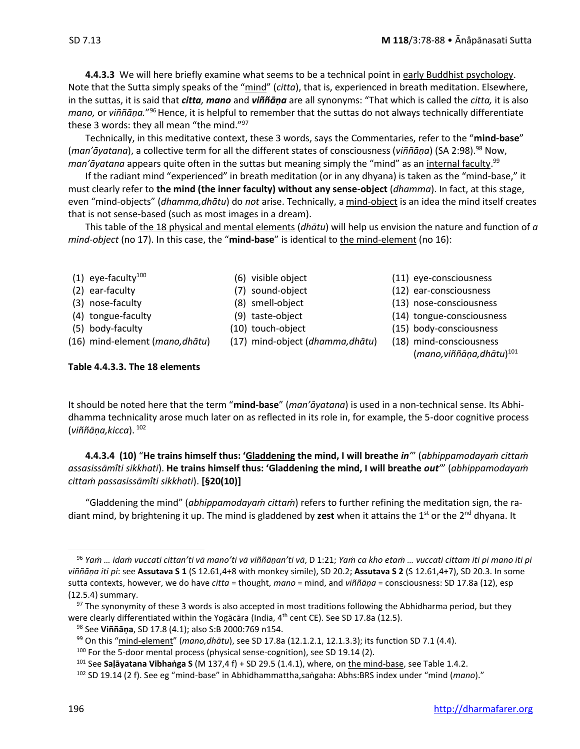**4.4.3.3** We will here briefly examine what seems to be a technical point in early Buddhist psychology. Note that the Sutta simply speaks of the "mind" (*citta*), that is, experienced in breath meditation. Elsewhere, in the suttas, it is said that *citta, mano* and *viññāṇa* are all synonyms: "That which is called the *citta,* it is also mano, or viññāṇa."<sup>96</sup> Hence, it is helpful to remember that the suttas do not always technically differentiate these 3 words: they all mean "the mind."<sup>97</sup>

Technically, in this meditative context, these 3 words, says the Commentaries, refer to the "**mind-base**" (*man'āyatana*), a collective term for all the different states of consciousness (*viññāṇa*) (SA 2:98).<sup>98</sup> Now, *man'āyatana* appears quite often in the suttas but meaning simply the "mind" as an internal faculty. 99

If the radiant mind "experienced" in breath meditation (or in any dhyana) is taken as the "mind-base," it must clearly refer to **the mind (the inner faculty) without any sense-object** (*dhamma*). In fact, at this stage, even "mind-objects" (*dhamma,dhātu*) do *not* arise. Technically, a mind-object is an idea the mind itself creates that is not sense-based (such as most images in a dream).

This table of the 18 physical and mental elements (*dhātu*) will help us envision the nature and function of *a mind-object* (no 17). In this case, the "**mind-base**" is identical to the mind-element (no 16):

- 
- 
- 
- 
- 
- (16) mind-element (*mano,dhātu*) (17) mind-object (*dhamma,dhātu*) (18) mind-consciousness
- 
- 
- 
- 
- 
- 
- (1) eye-faculty<sup>100</sup> (6) visible object (11) eye-consciousness
- (2) ear-faculty (7) sound-object (12) ear-consciousness
- (3) nose-faculty (8) smell-object (13) nose-consciousness
- (4) tongue-faculty (9) taste-object (14) tongue-consciousness
- (5) body-faculty (10) touch-object (15) body-consciousness
	-
	- (*mano,viññāṇa,dhātu*) 101

### **Table 4.4.3.3. The 18 elements**

It should be noted here that the term "**mind-base**" (*man'āyatana*) is used in a non-technical sense. Its Abhidhamma technicality arose much later on as reflected in its role in, for example, the 5-door cognitive process (*viññāṇa,kicca*). <sup>102</sup>

**4.4.3.4 (10)** "**He trains himself thus: 'Gladdening the mind, I will breathe** *in'*" (*abhippamodayaṁ cittaṁ assasissāmîti sikkhati*). **He trains himself thus: 'Gladdening the mind, I will breathe** *out'*" (*abhippamodayaṁ cittaṁ passasissāmîti sikkhati*). **[§20(10)]**

"Gladdening the mind" (*abhippamodayaṁ cittaṁ*) refers to further refining the meditation sign, the radiant mind, by brightening it up. The mind is gladdened by **zest** when it attains the 1<sup>st</sup> or the 2<sup>nd</sup> dhyana. It

<sup>&</sup>lt;sup>96</sup> Yam ... idam vuccati cittan'ti vā mano'ti vā viññāṇan'ti vā, D 1:21; Yam ca kho etam ... vuccati cittam iti pi mano iti pi *viññāṇa iti pi*: see **Assutava S 1** (S 12.61,4+8 with monkey simile), SD 20.2; **Assutava S 2** (S 12.61,4+7), SD 20.3. In some sutta contexts, however, we do have *citta* = thought, *mano* = mind, and *viññāṇa* = consciousness: SD 17.8a (12), esp (12.5.4) summary.

 $97$  The synonymity of these 3 words is also accepted in most traditions following the Abhidharma period, but they were clearly differentiated within the Yogācāra (India,  $4^{\text{th}}$  cent CE). See SD 17.8a (12.5).

<sup>98</sup> See **Viññāṇa**, SD 17.8 (4.1); also S:B 2000:769 n154.

<sup>99</sup> On this "mind-element" (*mano,dhātu*), see SD 17.8a (12.1.2.1, 12.1.3.3); its function SD 7.1 (4.4).

<sup>100</sup> For the 5-door mental process (physical sense-cognition), see SD 19.14 (2).

<sup>101</sup> See **Saḷāyatana Vibhaṅga S** (M 137,4 f) + SD 29.5 (1.4.1), where, on the mind-base, see Table 1.4.2.

<sup>102</sup> SD 19.14 (2 f). See eg "mind-base" in Abhidhammattha,saṅgaha: Abhs:BRS index under "mind (*mano*)."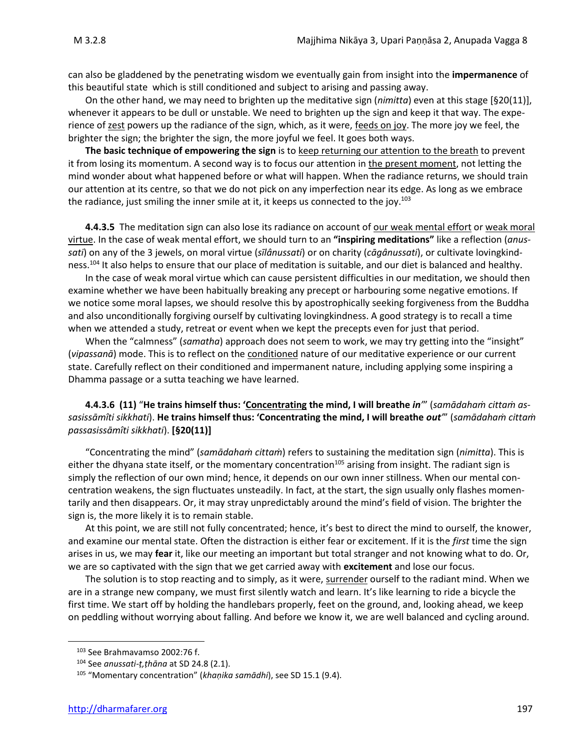can also be gladdened by the penetrating wisdom we eventually gain from insight into the **impermanence** of this beautiful state which is still conditioned and subject to arising and passing away.

On the other hand, we may need to brighten up the meditative sign (*nimitta*) even at this stage [§20(11)], whenever it appears to be dull or unstable. We need to brighten up the sign and keep it that way. The experience of zest powers up the radiance of the sign, which, as it were, feeds on joy. The more joy we feel, the brighter the sign; the brighter the sign, the more joyful we feel. It goes both ways.

**The basic technique of empowering the sign** is to keep returning our attention to the breath to prevent it from losing its momentum. A second way is to focus our attention in the present moment, not letting the mind wonder about what happened before or what will happen. When the radiance returns, we should train our attention at its centre, so that we do not pick on any imperfection near its edge. As long as we embrace the radiance, just smiling the inner smile at it, it keeps us connected to the joy.<sup>103</sup>

**4.4.3.5** The meditation sign can also lose its radiance on account of our weak mental effort or weak moral virtue. In the case of weak mental effort, we should turn to an **"inspiring meditations"** like a reflection (*anussati*) on any of the 3 jewels, on moral virtue (*sīlânussati*) or on charity (*cāgânussati*), or cultivate lovingkindness.<sup>104</sup> It also helps to ensure that our place of meditation is suitable, and our diet is balanced and healthy.

In the case of weak moral virtue which can cause persistent difficulties in our meditation, we should then examine whether we have been habitually breaking any precept or harbouring some negative emotions. If we notice some moral lapses, we should resolve this by apostrophically seeking forgiveness from the Buddha and also unconditionally forgiving ourself by cultivating lovingkindness. A good strategy is to recall a time when we attended a study, retreat or event when we kept the precepts even for just that period.

When the "calmness" (*samatha*) approach does not seem to work, we may try getting into the "insight" (*vipassanā*) mode. This is to reflect on the conditioned nature of our meditative experience or our current state. Carefully reflect on their conditioned and impermanent nature, including applying some inspiring a Dhamma passage or a sutta teaching we have learned.

### **4.4.3.6 (11)** "**He trains himself thus: 'Concentrating the mind, I will breathe** *in'*" (*samādahaṁ cittaṁ assasissāmîti sikkhati*). **He trains himself thus: 'Concentrating the mind, I will breathe** *out'*" (*samādahaṁ cittaṁ passasissāmîti sikkhati*). **[§20(11)]**

"Concentrating the mind" (*samādahaṁ cittaṁ*) refers to sustaining the meditation sign (*nimitta*). This is either the dhyana state itself, or the momentary concentration<sup>105</sup> arising from insight. The radiant sign is simply the reflection of our own mind; hence, it depends on our own inner stillness. When our mental concentration weakens, the sign fluctuates unsteadily. In fact, at the start, the sign usually only flashes momentarily and then disappears. Or, it may stray unpredictably around the mind's field of vision. The brighter the sign is, the more likely it is to remain stable.

At this point, we are still not fully concentrated; hence, it's best to direct the mind to ourself, the knower, and examine our mental state. Often the distraction is either fear or excitement. If it is the *first* time the sign arises in us, we may **fear** it, like our meeting an important but total stranger and not knowing what to do. Or, we are so captivated with the sign that we get carried away with **excitement** and lose our focus.

The solution is to stop reacting and to simply, as it were, surrender ourself to the radiant mind. When we are in a strange new company, we must first silently watch and learn. It's like learning to ride a bicycle the first time. We start off by holding the handlebars properly, feet on the ground, and, looking ahead, we keep on peddling without worrying about falling. And before we know it, we are well balanced and cycling around.

<sup>103</sup> See Brahmavamso 2002:76 f.

<sup>104</sup> See *anussati-ṭ,ṭhāna* at SD 24.8 (2.1).

<sup>105</sup> "Momentary concentration" (*khaṇika samādhi*), see SD 15.1 (9.4).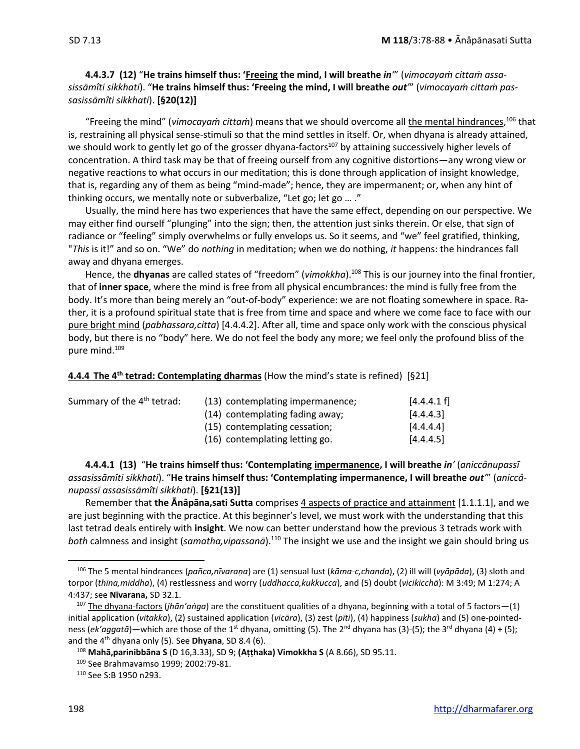**4.4.3.7 (12)** "**He trains himself thus: 'Freeing the mind, I will breathe** *in'*" (*vimocayaṁ cittaṁ assasissāmîti sikkhati*). "**He trains himself thus: 'Freeing the mind, I will breathe** *out'*" (*vimocayaṁ cittaṁ passasissāmîti sikkhati*). **[§20(12)]**

"Freeing the mind" (*vimocayaṁ cittaṁ*) means that we should overcome all the mental hindrances, <sup>106</sup> that is, restraining all physical sense-stimuli so that the mind settles in itself. Or, when dhyana is already attained, we should work to gently let go of the grosser dhyana-factors<sup>107</sup> by attaining successively higher levels of concentration. A third task may be that of freeing ourself from any cognitive distortions—any wrong view or negative reactions to what occurs in our meditation; this is done through application of insight knowledge, that is, regarding any of them as being "mind-made"; hence, they are impermanent; or, when any hint of thinking occurs, we mentally note or subverbalize, "Let go; let go … ."

Usually, the mind here has two experiences that have the same effect, depending on our perspective. We may either find ourself "plunging" into the sign; then, the attention just sinks therein. Or else, that sign of radiance or "feeling" simply overwhelms or fully envelops us. So it seems, and "we" feel gratified, thinking, "*This* is it!" and so on. "We" do *nothing* in meditation; when we do nothing, *it* happens: the hindrances fall away and dhyana emerges.

Hence, the **dhyanas** are called states of "freedom" (*vimokkha*). <sup>108</sup> This is our journey into the final frontier, that of **inner space**, where the mind is free from all physical encumbrances: the mind is fully free from the body. It's more than being merely an "out-of-body" experience: we are not floating somewhere in space. Rather, it is a profound spiritual state that is free from time and space and where we come face to face with our pure bright mind (*pabhassara,citta*) [4.4.4.2]. After all, time and space only work with the conscious physical body, but there is no "body" here. We do not feel the body any more; we feel only the profound bliss of the pure mind.<sup>109</sup>

### **4.4.4 The 4 th tetrad: Contemplating dharmas** (How the mind's state is refined) [§21]

| Summary of the 4 <sup>th</sup> tetrad: | (13) contemplating impermanence; | [4.4.4.1 f] |
|----------------------------------------|----------------------------------|-------------|
|                                        | (14) contemplating fading away;  | [4.4.4.3]   |
|                                        | (15) contemplating cessation;    | [4.4.4.4]   |
|                                        | (16) contemplating letting go.   | [4.4.4.5]   |

**4.4.4.1 (13)** "**He trains himself thus: 'Contemplating impermanence, I will breathe** *in'* (*aniccânupassī assasissāmîti sikkhati*). "**He trains himself thus: 'Contemplating impermanence, I will breathe** *out'*" (*aniccânupassī assasissāmîti sikkhati*). **[§21(13)]**

Remember that **the Ānâpāna,sati Sutta** comprises 4 aspects of practice and attainment [1.1.1.1], and we are just beginning with the practice. At this beginner's level, we must work with the understanding that this last tetrad deals entirely with **insight**. We now can better understand how the previous 3 tetrads work with *both* calmness and insight (*samatha,vipassanā*).<sup>110</sup> The insight we use and the insight we gain should bring us

<sup>106</sup> The 5 mental hindrances (*pañca,nīvaraṇa*) are (1) sensual lust (*kāma-c,chanda*), (2) ill will (*vyāpāda*), (3) sloth and torpor (*thīna,middha*), (4) restlessness and worry (*uddhacca,kukkucca*), and (5) doubt (*vicikicchā*): M 3:49; M 1:274; A 4:437; see **Nīvarana,** SD 32.1.

<sup>107</sup> The dhyana-factors (*jhān'aṅga*) are the constituent qualities of a dhyana, beginning with a total of 5 factors—(1) initial application (*vitakka*), (2) sustained application (*vicāra*), (3) zest (*pīti*), (4) happiness (*sukha*) and (5) one-pointedness (*ek'aggatā*)—which are those of the 1<sup>st</sup> dhyana, omitting (5). The 2<sup>nd</sup> dhyana has (3)-(5); the 3<sup>rd</sup> dhyana (4) + (5); and the 4th dhyana only (5). See **Dhyana**, SD 8.4 (6).

<sup>108</sup> **Mahā,parinibbāna S** (D 16,3.33), SD 9; **(Aṭṭhaka) Vimokkha S** (A 8.66), SD 95.11.

<sup>&</sup>lt;sup>109</sup> See Brahmavamso 1999; 2002:79-81.

<sup>110</sup> See S:B 1950 n293.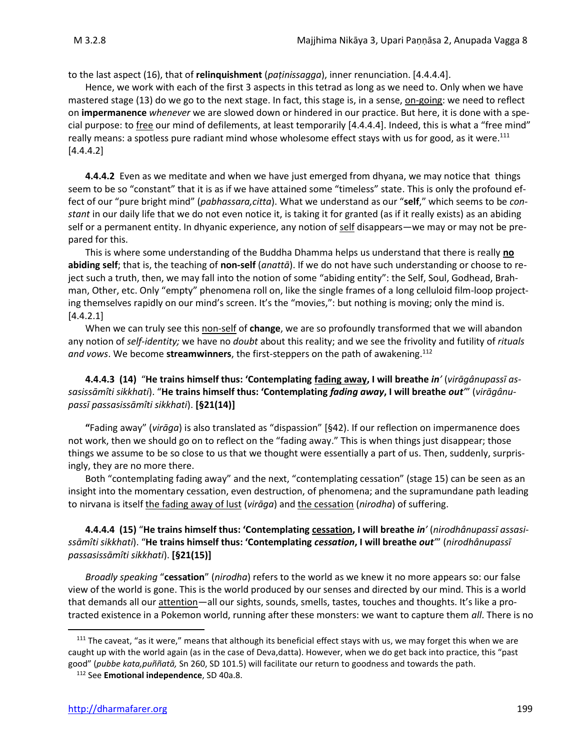to the last aspect (16), that of **relinquishment** (*paṭinissagga*), inner renunciation. [4.4.4.4].

Hence, we work with each of the first 3 aspects in this tetrad as long as we need to. Only when we have mastered stage (13) do we go to the next stage. In fact, this stage is, in a sense, on-going: we need to reflect on **impermanence** *whenever* we are slowed down or hindered in our practice. But here, it is done with a special purpose: to free our mind of defilements, at least temporarily [4.4.4.4]. Indeed, this is what a "free mind" really means: a spotless pure radiant mind whose wholesome effect stays with us for good, as it were.<sup>111</sup> [4.4.4.2]

**4.4.4.2** Even as we meditate and when we have just emerged from dhyana, we may notice that things seem to be so "constant" that it is as if we have attained some "timeless" state. This is only the profound effect of our "pure bright mind" (*pabhassara,citta*). What we understand as our "**self**," which seems to be *constant* in our daily life that we do not even notice it, is taking it for granted (as if it really exists) as an abiding self or a permanent entity. In dhyanic experience, any notion of self disappears—we may or may not be prepared for this.

This is where some understanding of the Buddha Dhamma helps us understand that there is really **no abiding self**; that is, the teaching of **non-self** (*anattā*). If we do not have such understanding or choose to reject such a truth, then, we may fall into the notion of some "abiding entity": the Self, Soul, Godhead, Brahman, Other, etc. Only "empty" phenomena roll on, like the single frames of a long celluloid film-loop projecting themselves rapidly on our mind's screen. It's the "movies,": but nothing is moving; only the mind is. [4.4.2.1]

When we can truly see this non-self of **change**, we are so profoundly transformed that we will abandon any notion of *self-identity;* we have no *doubt* about this reality; and we see the frivolity and futility of *rituals and vows*. We become **streamwinners**, the first-steppers on the path of awakening.<sup>112</sup>

### **4.4.4.3 (14)** "**He trains himself thus: 'Contemplating fading away, I will breathe** *in'* (*virāgânupassī assasissāmîti sikkhati*). "**He trains himself thus: 'Contemplating** *fading away***, I will breathe** *out'*" (*virāgânupassī passasissāmîti sikkhati*). **[§21(14)]**

**"**Fading away" (*virāga*) is also translated as "dispassion" [§42). If our reflection on impermanence does not work, then we should go on to reflect on the "fading away." This is when things just disappear; those things we assume to be so close to us that we thought were essentially a part of us. Then, suddenly, surprisingly, they are no more there.

Both "contemplating fading away" and the next, "contemplating cessation" (stage 15) can be seen as an insight into the momentary cessation, even destruction, of phenomena; and the supramundane path leading to nirvana is itself the fading away of lust (*virāga*) and the cessation (*nirodha*) of suffering.

### **4.4.4.4 (15)** "**He trains himself thus: 'Contemplating cessation, I will breathe** *in'* (*nirodhânupassī assasissāmîti sikkhati*). "**He trains himself thus: 'Contemplating** *cessation***, I will breathe** *out'*" (*nirodhânupassī passasissāmîti sikkhati*). **[§21(15)]**

*Broadly speaking* "**cessation**" (*nirodha*) refers to the world as we knew it no more appears so: our false view of the world is gone. This is the world produced by our senses and directed by our mind. This is a world that demands all our attention—all our sights, sounds, smells, tastes, touches and thoughts. It's like a protracted existence in a Pokemon world, running after these monsters: we want to capture them *all*. There is no

 $111$  The caveat, "as it were," means that although its beneficial effect stays with us, we may forget this when we are caught up with the world again (as in the case of Deva,datta). However, when we do get back into practice, this "past good" (*pubbe kata,puññatā,* Sn 260, SD 101.5) will facilitate our return to goodness and towards the path.

<sup>112</sup> See **Emotional independence**, SD 40a.8.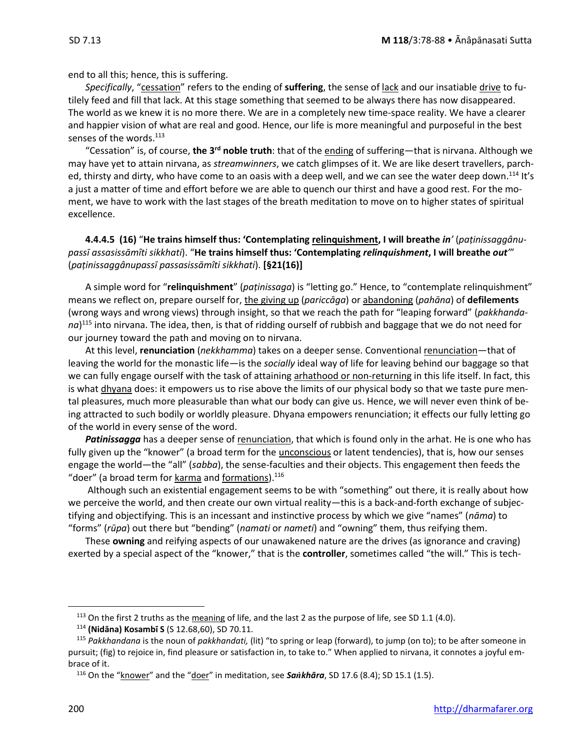end to all this; hence, this is suffering.

Specifically, "cessation" refers to the ending of **suffering**, the sense of lack and our insatiable drive to futilely feed and fill that lack. At this stage something that seemed to be always there has now disappeared. The world as we knew it is no more there. We are in a completely new time-space reality. We have a clearer and happier vision of what are real and good. Hence, our life is more meaningful and purposeful in the best senses of the words.<sup>113</sup>

"Cessation" is, of course, **the 3rd noble truth**: that of the ending of suffering—that is nirvana. Although we may have yet to attain nirvana, as *streamwinners*, we catch glimpses of it. We are like desert travellers, parched, thirsty and dirty, who have come to an oasis with a deep well, and we can see the water deep down.<sup>114</sup> It's a just a matter of time and effort before we are able to quench our thirst and have a good rest. For the moment, we have to work with the last stages of the breath meditation to move on to higher states of spiritual excellence.

**4.4.4.5 (16)** "**He trains himself thus: 'Contemplating relinquishment, I will breathe** *in'* (*paṭinissaggânupassī assasissāmîti sikkhati*). "**He trains himself thus: 'Contemplating** *relinquishment***, I will breathe** *out'*" (*paṭinissaggânupassī passasissāmîti sikkhati*). **[§21(16)]**

A simple word for "**relinquishment**" (*paṭinissaga*) is "letting go." Hence, to "contemplate relinquishment" means we reflect on, prepare ourself for, the giving up (*pariccāga*) or abandoning (*pahāna*) of **defilements** (wrong ways and wrong views) through insight, so that we reach the path for "leaping forward" (*pakkhandana*) <sup>115</sup> into nirvana. The idea, then, is that of ridding ourself of rubbish and baggage that we do not need for our journey toward the path and moving on to nirvana.

At this level, **renunciation** (*nekkhamma*) takes on a deeper sense. Conventional renunciation—that of leaving the world for the monastic life—is the *socially* ideal way of life for leaving behind our baggage so that we can fully engage ourself with the task of attaining arhathood or non-returning in this life itself. In fact, this is what dhyana does: it empowers us to rise above the limits of our physical body so that we taste pure mental pleasures, much more pleasurable than what our body can give us. Hence, we will never even think of being attracted to such bodily or worldly pleasure. Dhyana empowers renunciation; it effects our fully letting go of the world in every sense of the word.

*Patinissagga* has a deeper sense of renunciation, that which is found only in the arhat. He is one who has fully given up the "knower" (a broad term for the *unconscious* or latent tendencies), that is, how our senses engage the world—the "all" (*sabba*), the sense-faculties and their objects. This engagement then feeds the "doer" (a broad term for karma and formations).<sup>116</sup>

Although such an existential engagement seems to be with "something" out there, it is really about how we perceive the world, and then create our own virtual reality—this is a back-and-forth exchange of subjectifying and objectifying. This is an incessant and instinctive process by which we give "names" (*nāma*) to "forms" (*rūpa*) out there but "bending" (*namati* or *nameti*) and "owning" them, thus reifying them.

These **owning** and reifying aspects of our unawakened nature are the drives (as ignorance and craving) exerted by a special aspect of the "knower," that is the **controller**, sometimes called "the will." This is tech-

<sup>&</sup>lt;sup>113</sup> On the first 2 truths as the meaning of life, and the last 2 as the purpose of life, see SD 1.1 (4.0).

<sup>114</sup> **(Nidāna) Kosambī S** (S 12.68,60), SD 70.11.

<sup>115</sup> *Pakkhandana* is the noun of *pakkhandati,* (lit) "to spring or leap (forward), to jump (on to); to be after someone in pursuit; (fig) to rejoice in, find pleasure or satisfaction in, to take to." When applied to nirvana, it connotes a joyful embrace of it.

<sup>&</sup>lt;sup>116</sup> On the "knower" and the "doer" in meditation, see **Sankhāra**, SD 17.6 (8.4); SD 15.1 (1.5).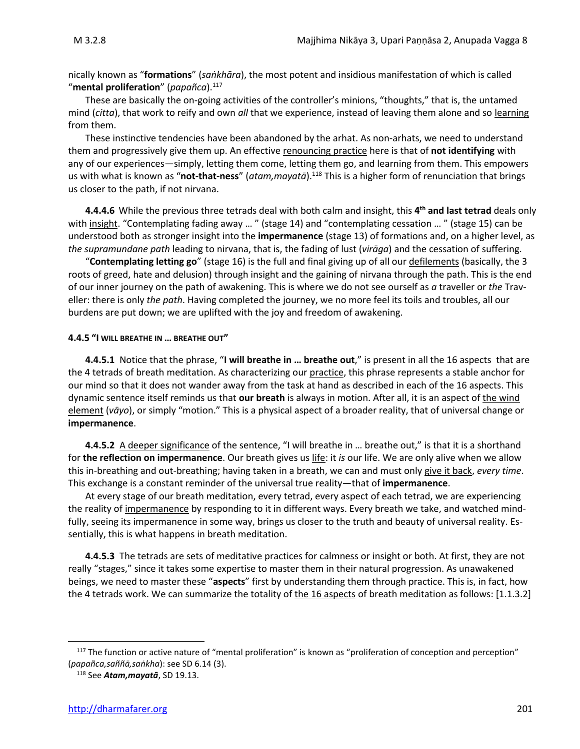nically known as "**formations**" (*saṅkhāra*), the most potent and insidious manifestation of which is called "**mental proliferation**" (*papañca*).<sup>117</sup>

These are basically the on-going activities of the controller's minions, "thoughts," that is, the untamed mind (*citta*), that work to reify and own *all* that we experience, instead of leaving them alone and so learning from them.

These instinctive tendencies have been abandoned by the arhat. As non-arhats, we need to understand them and progressively give them up. An effective renouncing practice here is that of **not identifying** with any of our experiences—simply, letting them come, letting them go, and learning from them. This empowers us with what is known as "**not-that-ness**" (*atam,mayatā*).<sup>118</sup> This is a higher form of renunciation that brings us closer to the path, if not nirvana.

**4.4.4.6** While the previous three tetrads deal with both calm and insight, this **4 th and last tetrad** deals only with insight. "Contemplating fading away ..." (stage 14) and "contemplating cessation ..." (stage 15) can be understood both as stronger insight into the **impermanence** (stage 13) of formations and, on a higher level, as *the supramundane path* leading to nirvana, that is, the fading of lust (*virāga*) and the cessation of suffering.

"**Contemplating letting go**" (stage 16) is the full and final giving up of all our defilements (basically, the 3 roots of greed, hate and delusion) through insight and the gaining of nirvana through the path. This is the end of our inner journey on the path of awakening. This is where we do not see ourself as *a* traveller or *the* Traveller: there is only *the path*. Having completed the journey, we no more feel its toils and troubles, all our burdens are put down; we are uplifted with the joy and freedom of awakening.

#### **4.4.5 "I WILL BREATHE IN … BREATHE OUT"**

**4.4.5.1** Notice that the phrase, "**I will breathe in … breathe out**," is present in all the 16 aspects that are the 4 tetrads of breath meditation. As characterizing our practice, this phrase represents a stable anchor for our mind so that it does not wander away from the task at hand as described in each of the 16 aspects. This dynamic sentence itself reminds us that **our breath** is always in motion. After all, it is an aspect of the wind element (*vāyo*), or simply "motion." This is a physical aspect of a broader reality, that of universal change or **impermanence**.

**4.4.5.2** A deeper significance of the sentence, "I will breathe in … breathe out," is that it is a shorthand for **the reflection on impermanence**. Our breath gives us life: it *is* our life. We are only alive when we allow this in-breathing and out-breathing; having taken in a breath, we can and must only give it back, *every time*. This exchange is a constant reminder of the universal true reality—that of **impermanence**.

At every stage of our breath meditation, every tetrad, every aspect of each tetrad, we are experiencing the reality of impermanence by responding to it in different ways. Every breath we take, and watched mindfully, seeing its impermanence in some way, brings us closer to the truth and beauty of universal reality. Essentially, this is what happens in breath meditation.

**4.4.5.3** The tetrads are sets of meditative practices for calmness or insight or both. At first, they are not really "stages," since it takes some expertise to master them in their natural progression. As unawakened beings, we need to master these "**aspects**" first by understanding them through practice. This is, in fact, how the 4 tetrads work. We can summarize the totality of the 16 aspects of breath meditation as follows: [1.1.3.2]

<sup>&</sup>lt;sup>117</sup> The function or active nature of "mental proliferation" is known as "proliferation of conception and perception" (*papañca,saññā,saṅkha*): see SD 6.14 (3).

<sup>118</sup> See *Atam,mayatā*, SD 19.13.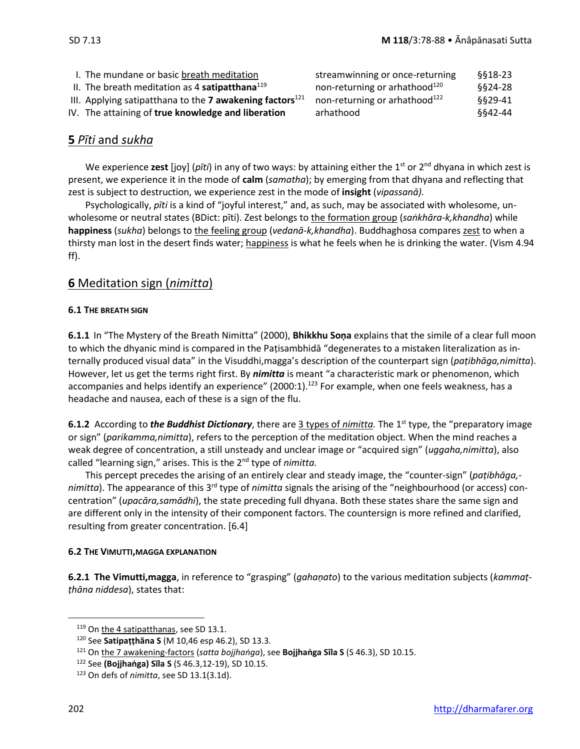| I. The mundane or basic breath meditation                            | streamwinning or once-returning           | \$§18-23 |
|----------------------------------------------------------------------|-------------------------------------------|----------|
| II. The breath meditation as 4 satipatthana $^{119}$                 | non-returning or arhathood <sup>120</sup> | \$§24-28 |
| III. Applying satipatthana to the 7 awakening factors <sup>121</sup> | non-returning or arhathood <sup>122</sup> | \$§29-41 |
| IV. The attaining of true knowledge and liberation                   | arhathood                                 | 8842-44  |
|                                                                      |                                           |          |

### **5** *Pīti* and *sukha*

We experience zest [joy] (*pīti*) in any of two ways: by attaining either the 1<sup>st</sup> or 2<sup>nd</sup> dhyana in which zest is present, we experience it in the mode of **calm** (*samatha*); by emerging from that dhyana and reflecting that zest is subject to destruction, we experience zest in the mode of **insight** (*vipassanā).*

Psychologically, *pīti* is a kind of "joyful interest," and, as such, may be associated with wholesome, unwholesome or neutral states (BDict: pīti). Zest belongs to the formation group (*saṅkhāra-k,khandha*) while **happiness** (*sukha*) belongs to the feeling group (*vedanā-k,khandha*). Buddhaghosa compares zest to when a thirsty man lost in the desert finds water; happiness is what he feels when he is drinking the water. (Vism 4.94 ff).

### **6** Meditation sign (*nimitta*)

### **6.1 THE BREATH SIGN**

**6.1.1** In "The Mystery of the Breath Nimitta" (2000), **Bhikkhu Soṇa** explains that the simile of a clear full moon to which the dhyanic mind is compared in the Paṭisambhidā "degenerates to a mistaken literalization as internally produced visual data" in the Visuddhi,magga's description of the counterpart sign (*paṭibhāga,nimitta*). However, let us get the terms right first. By *nimitta* is meant "a characteristic mark or phenomenon, which accompanies and helps identify an experience" (2000:1).<sup>123</sup> For example, when one feels weakness, has a headache and nausea, each of these is a sign of the flu.

**6.1.2** According to *the Buddhist Dictionary*, there are 3 types of *nimitta*. The 1<sup>st</sup> type, the "preparatory image or sign" (*parikamma,nimitta*), refers to the perception of the meditation object. When the mind reaches a weak degree of concentration, a still unsteady and unclear image or "acquired sign" (*uggaha,nimitta*), also called "learning sign," arises. This is the 2nd type of *nimitta.*

This percept precedes the arising of an entirely clear and steady image, the "counter-sign" (*paṭibhāga,* nimitta). The appearance of this 3<sup>rd</sup> type of *nimitta* signals the arising of the "neighbourhood (or access) concentration" (*upacāra,samādhi*), the state preceding full dhyana. Both these states share the same sign and are different only in the intensity of their component factors. The countersign is more refined and clarified, resulting from greater concentration. [6.4]

### **6.2 THE VIMUTTI,MAGGA EXPLANATION**

**6.2.1 The Vimutti,magga**, in reference to "grasping" (*gahaṇato*) to the various meditation subjects (*kammaṭṭhāna niddesa*), states that:

<sup>119</sup> On the 4 satipatthanas, see SD 13.1.

<sup>120</sup> See **Satipaṭṭhāna S** (M 10,46 esp 46.2), SD 13.3.

<sup>121</sup> On the 7 awakening-factors (*satta bojjhaṅga*), see **Bojjhaṅga Sīla S** (S 46.3), SD 10.15.

<sup>122</sup> See **(Bojjhaṅga) Sīla S** (S 46.3,12-19), SD 10.15.

<sup>123</sup> On defs of *nimitta*, see SD 13.1(3.1d).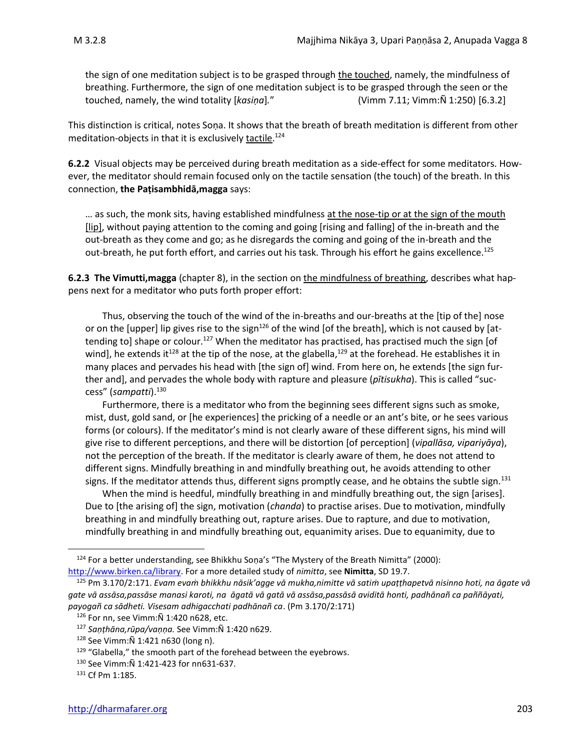the sign of one meditation subject is to be grasped through the touched, namely, the mindfulness of breathing. Furthermore, the sign of one meditation subject is to be grasped through the seen or the touched, namely, the wind totality [*kasiṇa*]*.*" (Vimm 7.11; Vimm:Ñ 1:250) [6.3.2]

This distinction is critical, notes Soṇa. It shows that the breath of breath meditation is different from other meditation-objects in that it is exclusively <u>tactile</u>.<sup>124</sup>

**6.2.2** Visual objects may be perceived during breath meditation as a side-effect for some meditators. However, the meditator should remain focused only on the tactile sensation (the touch) of the breath. In this connection, **the Paṭisambhidā,magga** says:

... as such, the monk sits, having established mindfulness at the nose-tip or at the sign of the mouth [lip], without paying attention to the coming and going [rising and falling] of the in-breath and the out-breath as they come and go; as he disregards the coming and going of the in-breath and the out-breath, he put forth effort, and carries out his task. Through his effort he gains excellence.<sup>125</sup>

**6.2.3 The Vimutti,magga** (chapter 8), in the section on the mindfulness of breathing, describes what happens next for a meditator who puts forth proper effort:

Thus, observing the touch of the wind of the in-breaths and our-breaths at the [tip of the] nose or on the [upper] lip gives rise to the sign<sup>126</sup> of the wind [of the breath], which is not caused by [attending to] shape or colour.<sup>127</sup> When the meditator has practised, has practised much the sign [of wind], he extends it<sup>128</sup> at the tip of the nose, at the glabella,<sup>129</sup> at the forehead. He establishes it in many places and pervades his head with [the sign of] wind. From here on, he extends [the sign further and], and pervades the whole body with rapture and pleasure (*pītisukha*). This is called "success" (*sampatti*).<sup>130</sup>

Furthermore, there is a meditator who from the beginning sees different signs such as smoke, mist, dust, gold sand, or [he experiences] the pricking of a needle or an ant's bite, or he sees various forms (or colours). If the meditator's mind is not clearly aware of these different signs, his mind will give rise to different perceptions, and there will be distortion [of perception] (*vipallāsa, vipariyāya*), not the perception of the breath. If the meditator is clearly aware of them, he does not attend to different signs. Mindfully breathing in and mindfully breathing out, he avoids attending to other signs. If the meditator attends thus, different signs promptly cease, and he obtains the subtle sign.<sup>131</sup>

When the mind is heedful, mindfully breathing in and mindfully breathing out, the sign [arises]. Due to [the arising of] the sign, motivation (*chanda*) to practise arises. Due to motivation, mindfully breathing in and mindfully breathing out, rapture arises. Due to rapture, and due to motivation, mindfully breathing in and mindfully breathing out, equanimity arises. Due to equanimity, due to

 $124$  For a better understanding, see Bhikkhu Soṇa's "The Mystery of the Breath Nimitta" (2000): [http://www.birken.ca/library.](http://www.birken.ca/library) For a more detailed study of *nimitta*, see **Nimitta**, SD 19.7.

<sup>125</sup> Pm 3.170/2:171. *Evam evaṁ bhikkhu nāsik'agge vā mukha,nimitte vā satiṁ upaṭṭhapetvā nisinno hoti, na āgate vā gate vā assāsa,passāse manasi karoti, na āgatā vā gatā vā assāsa,passāsā aviditā honti, padhānañ ca paññāyati, payogañ ca sādheti. Visesam adhigacchati padhānañ ca*. (Pm 3.170/2:171)

<sup>126</sup> For nn, see Vimm:Ñ 1:420 n628, etc.

<sup>127</sup> *Saṇṭhāna,rūpa/vaṇṇa.* See Vimm:Ñ 1:420 n629.

<sup>128</sup> See Vimm:Ñ 1:421 n630 (long n).

 $129$  "Glabella," the smooth part of the forehead between the eyebrows.

<sup>130</sup> See Vimm:Ñ 1:421-423 for nn631-637.

<sup>131</sup> Cf Pm 1:185.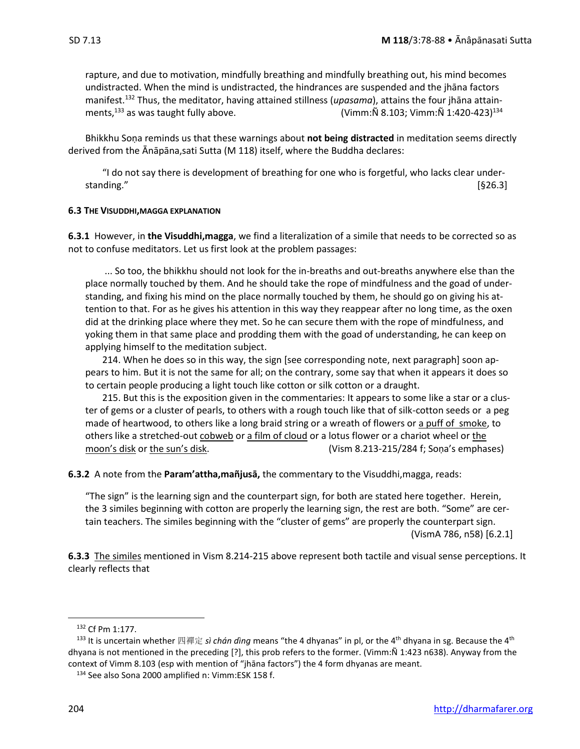rapture, and due to motivation, mindfully breathing and mindfully breathing out, his mind becomes

undistracted. When the mind is undistracted, the hindrances are suspended and the jhāna factors manifest.<sup>132</sup> Thus, the meditator, having attained stillness (*upasama*), attains the four jhāna attainments,<sup>133</sup> as was taught fully above.  $(Vimm:\tilde{N} 8.103; Vimm:\tilde{N} 1:420-423)^{134}$ 

Bhikkhu Soṇa reminds us that these warnings about **not being distracted** in meditation seems directly derived from the Ānāpāna, sati Sutta (M 118) itself, where the Buddha declares:

"I do not say there is development of breathing for one who is forgetful, who lacks clear understanding." [§26.3]

#### **6.3 THE VISUDDHI,MAGGA EXPLANATION**

**6.3.1** However, in **the Visuddhi,magga**, we find a literalization of a simile that needs to be corrected so as not to confuse meditators. Let us first look at the problem passages:

 ... So too, the bhikkhu should not look for the in-breaths and out-breaths anywhere else than the place normally touched by them. And he should take the rope of mindfulness and the goad of understanding, and fixing his mind on the place normally touched by them, he should go on giving his attention to that. For as he gives his attention in this way they reappear after no long time, as the oxen did at the drinking place where they met. So he can secure them with the rope of mindfulness, and yoking them in that same place and prodding them with the goad of understanding, he can keep on applying himself to the meditation subject.

 214. When he does so in this way, the sign [see corresponding note, next paragraph] soon appears to him. But it is not the same for all; on the contrary, some say that when it appears it does so to certain people producing a light touch like cotton or silk cotton or a draught.

 215. But this is the exposition given in the commentaries: It appears to some like a star or a cluster of gems or a cluster of pearls, to others with a rough touch like that of silk-cotton seeds or a peg made of heartwood, to others like a long braid string or a wreath of flowers or a puff of smoke, to others like a stretched-out cobweb or a film of cloud or a lotus flower or a chariot wheel or the moon's disk or the sun's disk. (Vism 8.213-215/284 f; Sona's emphases)

**6.3.2** A note from the **Param'attha,mañjusā,** the commentary to the Visuddhi,magga, reads:

"The sign" is the learning sign and the counterpart sign, for both are stated here together. Herein, the 3 similes beginning with cotton are properly the learning sign, the rest are both. "Some" are certain teachers. The similes beginning with the "cluster of gems" are properly the counterpart sign. (VismA 786, n58) [6.2.1]

**6.3.3** The similes mentioned in Vism 8.214-215 above represent both tactile and visual sense perceptions. It clearly reflects that

<sup>132</sup> Cf Pm 1:177.

<sup>133</sup> It is uncertain whether 四禪定 *sì chán dìng* means "the 4 dhyanas" in pl, or the 4th dhyana in sg. Because the 4th dhyana is not mentioned in the preceding [?], this prob refers to the former. (Vimm:Ñ 1:423 n638). Anyway from the context of Vimm 8.103 (esp with mention of "jhāna factors") the 4 form dhyanas are meant.

<sup>134</sup> See also Sona 2000 amplified n: Vimm:ESK 158 f.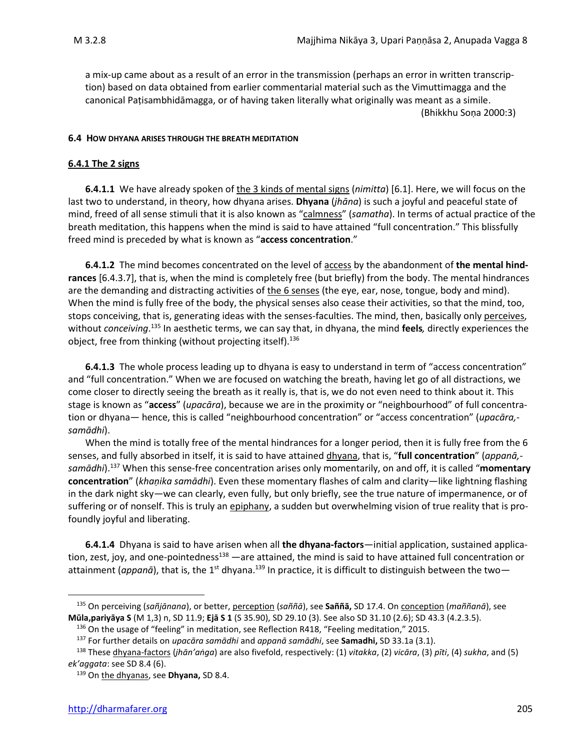a mix-up came about as a result of an error in the transmission (perhaps an error in written transcription) based on data obtained from earlier commentarial material such as the Vimuttimagga and the canonical Paṭisambhidāmagga, or of having taken literally what originally was meant as a simile. (Bhikkhu Soṇa 2000:3)

#### **6.4 HOW DHYANA ARISES THROUGH THE BREATH MEDITATION**

### **6.4.1 The 2 signs**

**6.4.1.1** We have already spoken of the 3 kinds of mental signs (*nimitta*) [6.1]. Here, we will focus on the last two to understand, in theory, how dhyana arises. **Dhyana** (*jhāna*) is such a joyful and peaceful state of mind, freed of all sense stimuli that it is also known as "calmness" (*samatha*). In terms of actual practice of the breath meditation, this happens when the mind is said to have attained "full concentration." This blissfully freed mind is preceded by what is known as "**access concentration**."

**6.4.1.2** The mind becomes concentrated on the level of access by the abandonment of **the mental hindrances** [6.4.3.7], that is, when the mind is completely free (but briefly) from the body. The mental hindrances are the demanding and distracting activities of the 6 senses (the eye, ear, nose, tongue, body and mind). When the mind is fully free of the body, the physical senses also cease their activities, so that the mind, too, stops conceiving, that is, generating ideas with the senses-faculties. The mind, then, basically only perceives, without *conceiving*. <sup>135</sup> In aesthetic terms, we can say that, in dhyana, the mind **feels***,* directly experiences the object, free from thinking (without projecting itself). 136

**6.4.1.3** The whole process leading up to dhyana is easy to understand in term of "access concentration" and "full concentration." When we are focused on watching the breath, having let go of all distractions, we come closer to directly seeing the breath as it really is, that is, we do not even need to think about it. This stage is known as "**access**" (*upacāra*), because we are in the proximity or "neighbourhood" of full concentration or dhyana— hence, this is called "neighbourhood concentration" or "access concentration" (*upacāra, samādhi*).

When the mind is totally free of the mental hindrances for a longer period, then it is fully free from the 6 senses, and fully absorbed in itself, it is said to have attained dhyana, that is, "**full concentration**" (*appanā, samādhi*).<sup>137</sup> When this sense-free concentration arises only momentarily, on and off, it is called "**momentary concentration**" (*khaṇika samādhi*). Even these momentary flashes of calm and clarity—like lightning flashing in the dark night sky—we can clearly, even fully, but only briefly, see the true nature of impermanence, or of suffering or of nonself. This is truly an *epiphany*, a sudden but overwhelming vision of true reality that is profoundly joyful and liberating.

**6.4.1.4** Dhyana is said to have arisen when all **the dhyana-factors**—initial application, sustained application, zest, joy, and one-pointedness<sup>138</sup> —are attained, the mind is said to have attained full concentration or attainment (appanā), that is, the 1<sup>st</sup> dhyana.<sup>139</sup> In practice, it is difficult to distinguish between the two—

<sup>135</sup> On perceiving (*sañjānana*), or better, perception (*saññā*), see **Saññā,** SD 17.4. On conception (*maññanā*), see **Mūla,pariyāya S** (M 1,3) n, SD 11.9; **Ejā S 1** (S 35.90), SD 29.10 (3). See also SD 31.10 (2.6); SD 43.3 (4.2.3.5).

<sup>&</sup>lt;sup>136</sup> On the usage of "feeling" in meditation, see Reflection R418, "Feeling meditation," 2015.

<sup>137</sup> For further details on *upacāra samādhi* and *appanā samādhi*, see **Samadhi,** SD 33.1a (3.1).

<sup>138</sup> These dhyana-factors (*jhān'aṅga*) are also fivefold, respectively: (1) *vitakka*, (2) *vicāra*, (3) *pīti*, (4) *sukha*, and (5) *ek'aggata*: see SD 8.4 (6).

<sup>139</sup> On the dhyanas, see **Dhyana,** SD 8.4.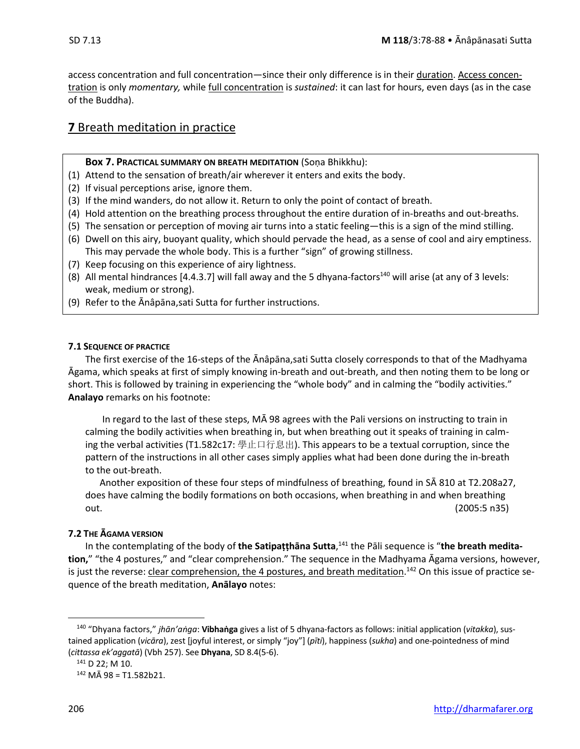access concentration and full concentration—since their only difference is in their duration. Access concentration is only *momentary,* while full concentration is *sustained*: it can last for hours, even days (as in the case of the Buddha).

### **7** Breath meditation in practice

### **Box 7. PRACTICAL SUMMARY ON BREATH MEDITATION** (Soṇa Bhikkhu):

- (1) Attend to the sensation of breath/air wherever it enters and exits the body.
- (2) If visual perceptions arise, ignore them.
- (3) If the mind wanders, do not allow it. Return to only the point of contact of breath.
- (4) Hold attention on the breathing process throughout the entire duration of in-breaths and out-breaths.
- (5) The sensation or perception of moving air turns into a static feeling—this is a sign of the mind stilling.
- (6) Dwell on this airy, buoyant quality, which should pervade the head, as a sense of cool and airy emptiness. This may pervade the whole body. This is a further "sign" of growing stillness.
- (7) Keep focusing on this experience of airy lightness.
- (8) All mental hindrances  $[4.4.3.7]$  will fall away and the 5 dhyana-factors<sup>140</sup> will arise (at any of 3 levels: weak, medium or strong).
- (9) Refer to the Anâpana, sati Sutta for further instructions.

### **7.1 SEQUENCE OF PRACTICE**

The first exercise of the 16-steps of the Ānâpāna,sati Sutta closely corresponds to that of the Madhyama Āgama, which speaks at first of simply knowing in-breath and out-breath, and then noting them to be long or short. This is followed by training in experiencing the "whole body" and in calming the "bodily activities." **Analayo** remarks on his footnote:

In regard to the last of these steps, MĀ 98 agrees with the Pali versions on instructing to train in calming the bodily activities when breathing in, but when breathing out it speaks of training in calming the verbal activities (T1.582c17: 學止口行息出). This appears to be a textual corruption, since the pattern of the instructions in all other cases simply applies what had been done during the in-breath to the out-breath.

Another exposition of these four steps of mindfulness of breathing, found in SĀ 810 at T2.208a27, does have calming the bodily formations on both occasions, when breathing in and when breathing out. (2005:5 n35)

### **7.2 THE ĀGAMA VERSION**

In the contemplating of the body of **the Satipaṭṭhāna Sutta**, <sup>141</sup> the Pāli sequence is "**the breath meditation,**" "the 4 postures," and "clear comprehension." The sequence in the Madhyama Āgama versions, however, is just the reverse: clear comprehension, the 4 postures, and breath meditation.<sup>142</sup> On this issue of practice sequence of the breath meditation, **Anālayo** notes:

<sup>140</sup> "Dhyana factors," *jhān'aṅga*: **Vibhaṅga** gives a list of 5 dhyana-factors as follows: initial application (*vitakka*), sustained application (*vicāra*), zest [joyful interest, or simply "joy"] (*pīti*), happiness (*sukha*) and one-pointedness of mind (*cittassa ek'aggatā*) (Vbh 257). See **Dhyana**, SD 8.4(5-6).

<sup>141</sup> D 22; M 10.

<sup>142</sup> MĀ 98 = T1.582b21.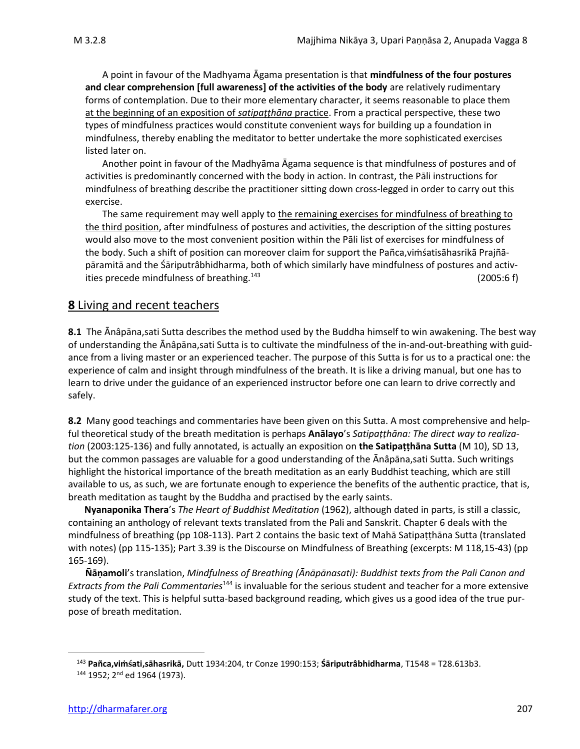A point in favour of the Madhyama Āgama presentation is that **mindfulness of the four postures and clear comprehension [full awareness] of the activities of the body** are relatively rudimentary forms of contemplation. Due to their more elementary character, it seems reasonable to place them at the beginning of an exposition of *satipaṭṭhāna* practice. From a practical perspective, these two types of mindfulness practices would constitute convenient ways for building up a foundation in mindfulness, thereby enabling the meditator to better undertake the more sophisticated exercises listed later on.

Another point in favour of the Madhyāma Āgama sequence is that mindfulness of postures and of activities is predominantly concerned with the body in action. In contrast, the Pāli instructions for mindfulness of breathing describe the practitioner sitting down cross-legged in order to carry out this exercise.

The same requirement may well apply to the remaining exercises for mindfulness of breathing to the third position, after mindfulness of postures and activities, the description of the sitting postures would also move to the most convenient position within the Pāli list of exercises for mindfulness of the body. Such a shift of position can moreover claim for support the Pañca,viṁśatisāhasrikā Prajñāpāramitā and the Śāriputrâbhidharma, both of which similarly have mindfulness of postures and activities precede mindfulness of breathing.<sup>143</sup> (2005:6 f)

### **8** Living and recent teachers

**8.1** The Ānâpāna,sati Sutta describes the method used by the Buddha himself to win awakening. The best way of understanding the Ānâpāna,sati Sutta is to cultivate the mindfulness of the in-and-out-breathing with guidance from a living master or an experienced teacher. The purpose of this Sutta is for us to a practical one: the experience of calm and insight through mindfulness of the breath. It is like a driving manual, but one has to learn to drive under the guidance of an experienced instructor before one can learn to drive correctly and safely.

**8.2** Many good teachings and commentaries have been given on this Sutta. A most comprehensive and helpful theoretical study of the breath meditation is perhaps **Anālayo**'s *Satipaṭṭhāna: The direct way to realization* (2003:125-136) and fully annotated, is actually an exposition on **the Satipaṭṭhāna Sutta** (M 10), SD 13, but the common passages are valuable for a good understanding of the Ānâpāna,sati Sutta. Such writings highlight the historical importance of the breath meditation as an early Buddhist teaching, which are still available to us, as such, we are fortunate enough to experience the benefits of the authentic practice, that is, breath meditation as taught by the Buddha and practised by the early saints.

**Nyanaponika Thera**'s *The Heart of Buddhist Meditation* (1962), although dated in parts, is still a classic, containing an anthology of relevant texts translated from the Pali and Sanskrit. Chapter 6 deals with the mindfulness of breathing (pp 108-113). Part 2 contains the basic text of Mahā Satipaṭṭhāna Sutta (translated with notes) (pp 115-135); Part 3.39 is the Discourse on Mindfulness of Breathing (excerpts: M 118,15-43) (pp 165-169).

**Ñāṇamoli**'s translation, *Mindfulness of Breathing (Ᾱnāpānasati): Buddhist texts from the Pali Canon and Extracts from the Pali Commentaries*<sup>144</sup> is invaluable for the serious student and teacher for a more extensive study of the text. This is helpful sutta-based background reading, which gives us a good idea of the true purpose of breath meditation.

<sup>143</sup> **Pañca,viṁati,sāhasrikā,** Dutt 1934:204, tr Conze 1990:153; **Śāriputrâbhidharma**, T1548 = T28.613b3.

<sup>144 1952; 2&</sup>lt;sup>nd</sup> ed 1964 (1973).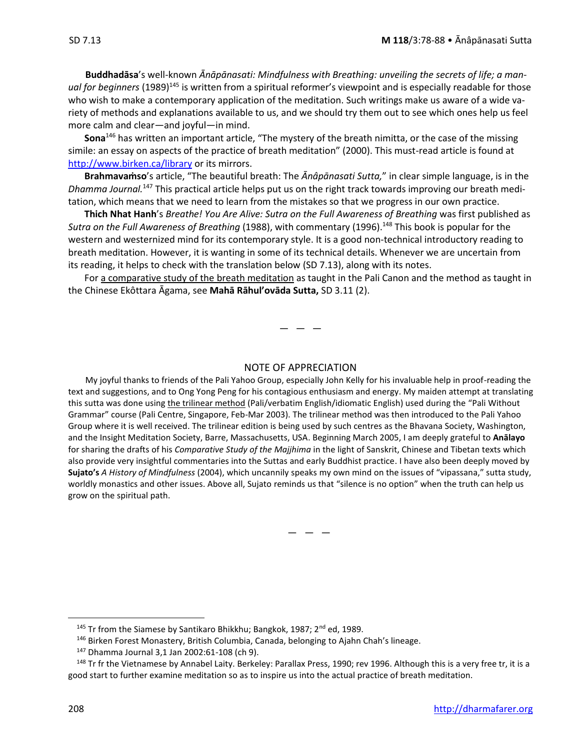**Buddhadāsa**'s well-known *Ᾱnāpānasati: Mindfulness with Breathing: unveiling the secrets of life; a man*ual for beginners (1989)<sup>145</sup> is written from a spiritual reformer's viewpoint and is especially readable for those who wish to make a contemporary application of the meditation. Such writings make us aware of a wide variety of methods and explanations available to us, and we should try them out to see which ones help us feel more calm and clear—and joyful—in mind.

**Sona**<sup>146</sup> has written an important article, "The mystery of the breath nimitta, or the case of the missing simile: an essay on aspects of the practice of breath meditation" (2000). This must-read article is found at <http://www.birken.ca/library> or its mirrors.

**Brahmavaṁso**'s article, "The beautiful breath: The *Ᾱnâpānasati Sutta,*" in clear simple language, is in the *Dhamma Journal.* <sup>147</sup> This practical article helps put us on the right track towards improving our breath meditation, which means that we need to learn from the mistakes so that we progress in our own practice.

**Thich Nhat Hanh**'s *Breathe! You Are Alive: Sutra on the Full Awareness of Breathing* was first published as *Sutra on the Full Awareness of Breathing* (1988), with commentary (1996).<sup>148</sup> This book is popular for the western and westernized mind for its contemporary style. It is a good non-technical introductory reading to breath meditation. However, it is wanting in some of its technical details. Whenever we are uncertain from its reading, it helps to check with the translation below (SD 7.13), along with its notes.

For a comparative study of the breath meditation as taught in the Pali Canon and the method as taught in the Chinese Ekôttara Ᾱgama, see **Mahā Rāhul'ovāda Sutta,** SD 3.11 (2).

 $-$ 

#### NOTE OF APPRECIATION

My joyful thanks to friends of the Pali Yahoo Group, especially John Kelly for his invaluable help in proof-reading the text and suggestions, and to Ong Yong Peng for his contagious enthusiasm and energy. My maiden attempt at translating this sutta was done using the trilinear method (Pali/verbatim English/idiomatic English) used during the "Pali Without Grammar" course (Pali Centre, Singapore, Feb-Mar 2003). The trilinear method was then introduced to the Pali Yahoo Group where it is well received. The trilinear edition is being used by such centres as the Bhavana Society, Washington, and the Insight Meditation Society, Barre, Massachusetts, USA. Beginning March 2005, I am deeply grateful to **Anālayo** for sharing the drafts of his *Comparative Study of the Majjhima* in the light of Sanskrit, Chinese and Tibetan texts which also provide very insightful commentaries into the Suttas and early Buddhist practice. I have also been deeply moved by **Sujato's** *A History of Mindfulness* (2004), which uncannily speaks my own mind on the issues of "vipassana," sutta study, worldly monastics and other issues. Above all, Sujato reminds us that "silence is no option" when the truth can help us grow on the spiritual path.

 $-$ 

<sup>145</sup> Tr from the Siamese by Santikaro Bhikkhu; Bangkok, 1987; 2<sup>nd</sup> ed, 1989.

<sup>&</sup>lt;sup>146</sup> Birken Forest Monastery, British Columbia, Canada, belonging to Ajahn Chah's lineage.

<sup>147</sup> Dhamma Journal 3,1 Jan 2002:61-108 (ch 9).

<sup>&</sup>lt;sup>148</sup> Tr fr the Vietnamese by Annabel Laity. Berkeley: Parallax Press, 1990; rev 1996. Although this is a very free tr, it is a good start to further examine meditation so as to inspire us into the actual practice of breath meditation.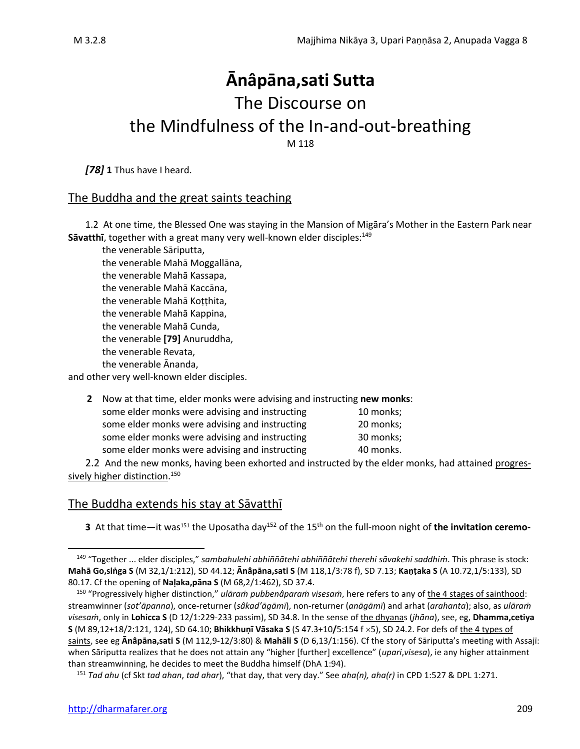# **Ānâpāna,sati Sutta** The Discourse on the Mindfulness of the In-and-out-breathing

M 118

*[78]* **1** Thus have I heard.

### The Buddha and the great saints teaching

1.2 At one time, the Blessed One was staying in the Mansion of Migāra's Mother in the Eastern Park near Savatthi, together with a great many very well-known elder disciples:<sup>149</sup>

the venerable Sāriputta, the venerable Mahā Moggallāna, the venerable Mahā Kassapa, the venerable Mahā Kaccāna, the venerable Mahā Koṭṭhita, the venerable Mahā Kappina, the venerable Mahā Cunda, the venerable **[79]** Anuruddha, the venerable Revata, the venerable Ananda,

and other very well-known elder disciples.

**2** Now at that time, elder monks were advising and instructing **new monks**:

| some elder monks were advising and instructing | 10 monks; |
|------------------------------------------------|-----------|
| some elder monks were advising and instructing | 20 monks; |
| some elder monks were advising and instructing | 30 monks; |
| some elder monks were advising and instructing | 40 monks. |

2.2 And the new monks, having been exhorted and instructed by the elder monks, had attained progressively higher distinction. 150

### The Buddha extends his stay at Sāvatthī

**3** At that time—it was<sup>151</sup> the Uposatha day<sup>152</sup> of the 15<sup>th</sup> on the full-moon night of **the invitation ceremo-**

<sup>149</sup> "Together ... elder disciples," *sambahulehi abhiññātehi abhiññātehi therehi sāvakehi saddhiṁ*. This phrase is stock: **Mahā Go,siṅga S** (M 32,1/1:212), SD 44.12; **Ānâpāna,sati S** (M 118,1/3:78 f), SD 7.13; **Kaṇṭaka S** (A 10.72,1/5:133), SD 80.17. Cf the opening of **Naḷaka,pāna S** (M 68,2/1:462), SD 37.4.

<sup>150</sup> "Progressively higher distinction," *ulāraṁ pubbenâparaṁ visesaṁ*, here refers to any of the 4 stages of sainthood: streamwinner (*sot'āpanna*), once-returner (*sâkad'āgāmī*), non-returner (*anāgāmī*) and arhat (*arahanta*); also, as *ulāraṁ visesaṁ*, only in **Lohicca S** (D 12/1:229-233 passim), SD 34.8. In the sense of the dhyanas (*jhāna*), see, eg, **Dhamma,cetiya S** (M 89,12+18/2:121, 124), SD 64.10; **Bhikkhuṇī Vāsaka S** (S 47.3+10**/**5:154 f 5), SD 24.2. For defs of the 4 types of saints, see eg **Ānâpāna,sati S** (M 112,9-12/3:80) & **Mahāli S** (D 6,13/1:156). Cf the story of Sāriputta's meeting with Assajī: when Sāriputta realizes that he does not attain any "higher [further] excellence" (*upari*,*visesa*), ie any higher attainment than streamwinning, he decides to meet the Buddha himself (DhA 1:94).

<sup>151</sup> *Tad ahu* (cf Skt *tad ahan*, *tad ahar*), "that day, that very day." See *aha(n), aha(r)* in CPD 1:527 & DPL 1:271.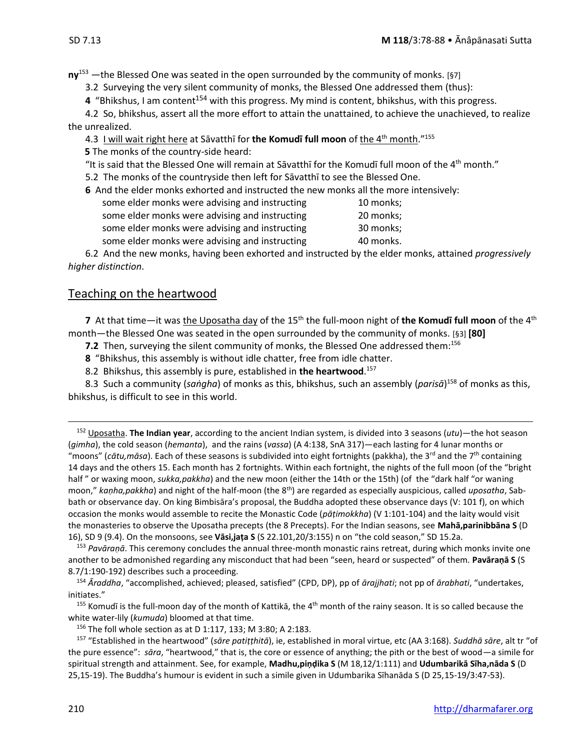**ny**<sup>153</sup> —the Blessed One was seated in the open surrounded by the community of monks. [§7]

3.2 Surveying the very silent community of monks, the Blessed One addressed them (thus):

**4** "Bhikshus, I am content<sup>154</sup> with this progress. My mind is content, bhikshus, with this progress.

4.2 So, bhikshus, assert all the more effort to attain the unattained, to achieve the unachieved, to realize the unrealized.

4.3 I will wait right here at Sāvatthī for **the Komudī full moon** of the 4 th month." 155

**5** The monks of the country-side heard:

"It is said that the Blessed One will remain at Sāvatthī for the Komudī full moon of the 4<sup>th</sup> month."

5.2 The monks of the countryside then left for Sāvatthī to see the Blessed One.

**6** And the elder monks exhorted and instructed the new monks all the more intensively:

some elder monks were advising and instructing 10 monks; some elder monks were advising and instructing 20 monks; some elder monks were advising and instructing 30 monks; some elder monks were advising and instructing 40 monks.

6.2 And the new monks, having been exhorted and instructed by the elder monks, attained *progressively higher distinction*.

### Teaching on the heartwood

**7** At that time—it was <u>the Uposatha day</u> of the 15<sup>th</sup> the full-moon night of **the Komudī full moon** of the 4<sup>th</sup> month—the Blessed One was seated in the open surrounded by the community of monks. [§3] **[80]**

**7.2** Then, surveying the silent community of monks, the Blessed One addressed them:<sup>156</sup>

**8** "Bhikshus, this assembly is without idle chatter, free from idle chatter.

8.2 Bhikshus, this assembly is pure, established in **the heartwood**. 157

8.3 Such a community (*saṅgha*) of monks as this, bhikshus, such an assembly (*parisā*) <sup>158</sup> of monks as this, bhikshus, is difficult to see in this world.

<sup>152</sup> Uposatha. **The Indian year**, according to the ancient Indian system, is divided into 3 seasons (*utu*)—the hot season (*gimha*), the cold season (*hemanta*), and the rains (*vassa*) (A 4:138, SnA 317)—each lasting for 4 lunar months or "moons" (cātu,māsa). Each of these seasons is subdivided into eight fortnights (pakkha), the 3<sup>rd</sup> and the 7<sup>th</sup> containing 14 days and the others 15. Each month has 2 fortnights. Within each fortnight, the nights of the full moon (of the "bright half " or waxing moon, *sukka,pakkha*) and the new moon (either the 14th or the 15th) (of the "dark half "or waning moon," *kaṇha,pakkha*) and night of the half-moon (the 8th) are regarded as especially auspicious, called *uposatha*, Sabbath or observance day. On king Bimbisāra's proposal, the Buddha adopted these observance days (V: 101 f), on which occasion the monks would assemble to recite the Monastic Code (*pāṭimokkha*) (V 1:101-104) and the laity would visit the monasteries to observe the Uposatha precepts (the 8 Precepts). For the Indian seasons, see **Mahā,parinibbāna S** (D 16), SD 9 (9.4). On the monsoons, see **Vāsi,jaṭa S** (S 22.101,20/3:155) n on "the cold season," SD 15.2a.

<sup>153</sup> *Pavāraṇā*. This ceremony concludes the annual three-month monastic rains retreat, during which monks invite one another to be admonished regarding any misconduct that had been "seen, heard or suspected" of them. **Pavāraṇā S** (S 8.7/1:190-192) describes such a proceeding.

<sup>154</sup> *Āraddha*, "accomplished, achieved; pleased, satisfied" (CPD, DP), pp of *ārajjhati*; not pp of *ārabhati*, "undertakes, initiates."

<sup>155</sup> Komudī is the full-moon day of the month of Kattikā, the 4<sup>th</sup> month of the rainy season. It is so called because the white water-lily (*kumuda*) bloomed at that time.

<sup>156</sup> The foll whole section as at D 1:117, 133; M 3:80; A 2:183.

<sup>157</sup> "Established in the heartwood" (*sāre patiṭṭhitā*), ie, established in moral virtue, etc (AA 3:168). *Suddhā sāre*, alt tr "of the pure essence": *sāra*, "heartwood," that is, the core or essence of anything; the pith or the best of wood—a simile for spiritual strength and attainment. See, for example, **Madhu,piṇḍika S** (M 18,12/1:111) and **Udumbarikā Sīha,nāda S** (D 25,15-19). The Buddha's humour is evident in such a simile given in Udumbarika Sīhanāda S (D 25,15-19/3:47-53).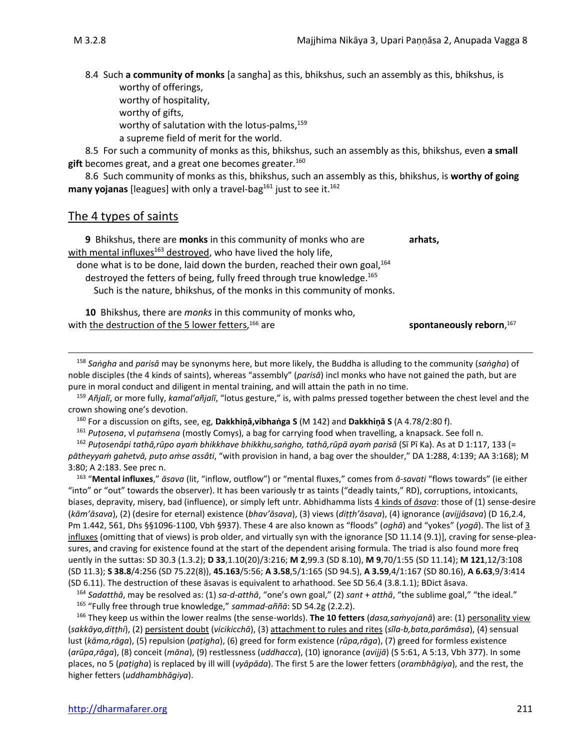8.4 Such **a community of monks** [a sangha] as this, bhikshus, such an assembly as this, bhikshus, is worthy of offerings,

worthy of hospitality,

worthy of gifts,

worthy of salutation with the lotus-palms, $159$ 

a supreme field of merit for the world.

8.5 For such a community of monks as this, bhikshus, such an assembly as this, bhikshus, even **a small**  gift becomes great, and a great one becomes greater.<sup>160</sup>

8.6 Such community of monks as this, bhikshus, such an assembly as this, bhikshus, is **worthy of going**  many yojanas [leagues] with only a travel-bag<sup>161</sup> just to see it.<sup>162</sup>

### The 4 types of saints

**9** Bhikshus, there are **monks** in this community of monks who are **arhats,** with mental influxes $163$  destroyed, who have lived the holy life, done what is to be done, laid down the burden, reached their own goal,<sup>164</sup> destroyed the fetters of being, fully freed through true knowledge. 165 Such is the nature, bhikshus, of the monks in this community of monks.

**10** Bhikshus, there are *monks* in this community of monks who, with the destruction of the 5 lower fetters,<sup>166</sup> are <sup>166</sup> are **spontaneously reborn**, <sup>167</sup>

<sup>158</sup> *Saṅgha* and *parisā* may be synonyms here, but more likely, the Buddha is alluding to the community (*saṅgha*) of noble disciples (the 4 kinds of saints), whereas "assembly" (*parisā*) incl monks who have not gained the path, but are pure in moral conduct and diligent in mental training, and will attain the path in no time.

<sup>159</sup> *Añjalī*, or more fully, *kamal'añjalī*, "lotus gesture," is, with palms pressed together between the chest level and the crown showing one's devotion.

<sup>160</sup> For a discussion on gifts, see, eg, **Dakkhiṇā,vibhaṅga S** (M 142) and **Dakkhiṇā S** (A 4.78/2:80 f).

<sup>161</sup> *Puṭosena*, vl *puṭaṁsena* (mostly Comys), a bag for carrying food when travelling, a knapsack. See foll n.

<sup>162</sup> *Puṭosenâpi tathā,rūpo ayaṁ bhikkhave bhikkhu,saṅgho, tathā,rūpā ayaṁ parisā* (Sī Pī Ka). As at D 1:117, 133 (= *pātheyyaṁ gahetvā, puṭo aṁse assâti*, "with provision in hand, a bag over the shoulder," DA 1:288, 4:139; AA 3:168); M 3:80; A 2:183. See prec n.

163 "**Mental influxes**," *āsava* (lit, "inflow, outflow") or "mental fluxes," comes from *ā-savati* "flows towards" (ie either "into" or "out" towards the observer). It has been variously tr as taints ("deadly taints," RD), corruptions, intoxicants, biases, depravity, misery, bad (influence), or simply left untr. Abhidhamma lists 4 kinds of *āsava*: those of (1) sense-desire (*kām'āsava*), (2) (desire for eternal) existence (*bhav'āsava*), (3) views (*diṭṭh'āsava*), (4) ignorance (*avijjâsava*) (D 16,2.4, Pm 1.442, 561, Dhs §§1096-1100, Vbh §937). These 4 are also known as "floods" (*oghā*) and "yokes" (*yogā*). The list of 3 influxes (omitting that of views) is prob older, and virtually syn with the ignorance [SD 11.14 (9.1)], craving for sense-pleasures, and craving for existence found at the start of the dependent arising formula. The triad is also found more freq uently in the suttas: SD 30.3 (1.3.2); **D 33**,1.10(20)/3:216; **M 2**,99.3 (SD 8.10), **M 9**,70/1:55 (SD 11.14); **M 121**,12/3:108 (SD 11.3); **S 38.8**/4:256 (SD 75.22(8)), **45.163**/5:56; **A 3.58**,5/1:165 (SD 94.5), **A 3.59**,4/1:167 (SD 80.16), **A 6.63**,9/3:414 (SD 6.11). The destruction of these āsavas is equivalent to arhathood. See SD 56.4 (3.8.1.1); BDict āsava.

<sup>164</sup> *Sadatthā*, may be resolved as: (1) *sa-d-atthā*, "one's own goal," (2) *sant* + *atthā*, "the sublime goal," "the ideal." <sup>165</sup> "Fully free through true knowledge," *sammad-aññā*: SD 54.2g (2.2.2).

<sup>166</sup> They keep us within the lower realms (the sense-worlds). **The 10 fetters** (*dasa,saṁyojanā*) are: (1) personality view (*sakkāya,diṭṭhi*), (2) persistent doubt (*vicikicchā*), (3) attachment to rules and rites (*sīla-b,bata,parāmāsa*), (4) sensual lust (*kāma,rāga*), (5) repulsion (*paṭigha*), (6) greed for form existence (*rūpa,rāga*), (7) greed for formless existence (*arūpa*,*rāga*), (8) conceit (*māna*), (9) restlessness (*uddhacca*), (10) ignorance (*avijjā*) (S 5:61, A 5:13, Vbh 377). In some places, no 5 (*paṭigha*) is replaced by ill will (*vyāpāda*). The first 5 are the lower fetters (*orambhāgiya*), and the rest, the higher fetters (*uddhambhāgiya*).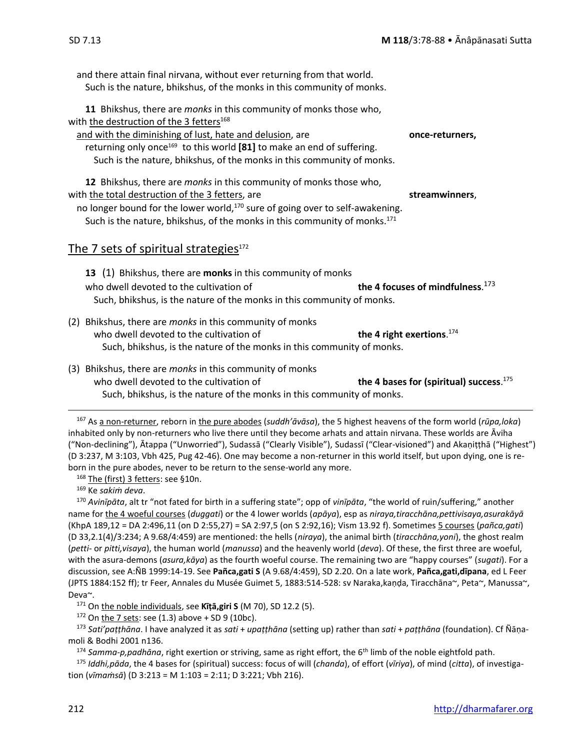and there attain final nirvana, without ever returning from that world. Such is the nature, bhikshus, of the monks in this community of monks. **11** Bhikshus, there are *monks* in this community of monks those who, with the destruction of the 3 fetters<sup>168</sup> and with the diminishing of lust, hate and delusion, are **once-returners,** returning only once<sup>169</sup> to this world [81] to make an end of suffering. Such is the nature, bhikshus, of the monks in this community of monks. **12** Bhikshus, there are *monks* in this community of monks those who, with the total destruction of the 3 fetters, are **streamwinners**, no longer bound for the lower world,<sup>170</sup> sure of going over to self-awakening. Such is the nature, bhikshus, of the monks in this community of monks.<sup>171</sup> The 7 sets of spiritual strategies $172$ **13** (1) Bhikshus, there are **monks** in this community of monks who dwell devoted to the cultivation of **the 4 focuses of mindfulness**. the 4 focuses of mindfulness.<sup>173</sup> Such, bhikshus, is the nature of the monks in this community of monks. (2) Bhikshus, there are *monks* in this community of monks who dwell devoted to the cultivation of **the 4 right exertions**. the 4 right exertions.<sup>174</sup> Such, bhikshus, is the nature of the monks in this community of monks. (3) Bhikshus, there are *monks* in this community of monks

who dwell devoted to the cultivation of **the 4 bases for (spiritual) success**. the 4 bases for (spiritual) success.  $175$ Such, bhikshus, is the nature of the monks in this community of monks.

<sup>167</sup> As a non-returner, reborn in the pure abodes (*suddh'āvāsa*), the 5 highest heavens of the form world (*rūpa,loka*) inhabited only by non-returners who live there until they become arhats and attain nirvana. These worlds are Āviha ("Non-declining"), Ᾱtappa ("Unworried"), Sudassā ("Clearly Visible"), Sudassī ("Clear-visioned") and Akaṇiṭṭhā ("Highest") (D 3:237, M 3:103, Vbh 425, Pug 42-46). One may become a non-returner in this world itself, but upon dying, one is reborn in the pure abodes, never to be return to the sense-world any more.

168 The (first) 3 fetters: see §10n.

<sup>169</sup> Ke *sakiṁ deva*.

<sup>170</sup> *Avinīpāta*, alt tr "not fated for birth in a suffering state"; opp of *vinīpāta*, "the world of ruin/suffering," another name for the 4 woeful courses (*duggati*) or the 4 lower worlds (*apāya*), esp as *niraya,tiracchāna,pettivisaya,asurakāyā* (KhpA 189,12 = DA 2:496,11 (on D 2:55,27) = SA 2:97,5 (on S 2:92,16); Vism 13.92 f). Sometimes 5 courses (*pañca,gati*) (D 33,2.1(4)/3:234; A 9.68/4:459) are mentioned: the hells (*niraya*), the animal birth (*tiracchāna,yoni*), the ghost realm (*petti*- or *pitti,visaya*), the human world (*manussa*) and the heavenly world (*deva*). Of these, the first three are woeful, with the asura-demons (*asura,kāya*) as the fourth woeful course. The remaining two are "happy courses" (*sugati*). For a discussion, see A:ÑB 1999:14-19. See **Pañca,gati S** (A 9.68/4:459), SD 2.20. On a late work, **Pañca,gati,dīpana**, ed L Feer (JPTS 1884:152 ff); tr Feer, Annales du Musée Guimet 5, 1883:514-528: sv Naraka,kaṇḍa, Tiracchāna~, Peta~, Manussa~, Deva~.

<sup>171</sup> On the noble individuals, see **Kīṭā,giri S** (M 70), SD 12.2 (5).

 $172$  On the 7 sets: see (1.3) above + SD 9 (10bc).

<sup>173</sup> *Sati'paṭṭhāna*. I have analyzed it as *sati* + *upaṭṭhāna* (setting up) rather than *sati* + *paṭṭhāna* (foundation). Cf Ñāṇamoli & Bodhi 2001 n136.

<sup>174</sup> *Samma-p,padhāna*, right exertion or striving, same as right effort, the 6th limb of the noble eightfold path.

<sup>175</sup> *Iddhi,pāda*, the 4 bases for (spiritual) success: focus of will (*chanda*), of effort (*vīriya*), of mind (*citta*), of investigation (*vīmaṁsā*) (D 3:213 = M 1:103 = 2:11; D 3:221; Vbh 216).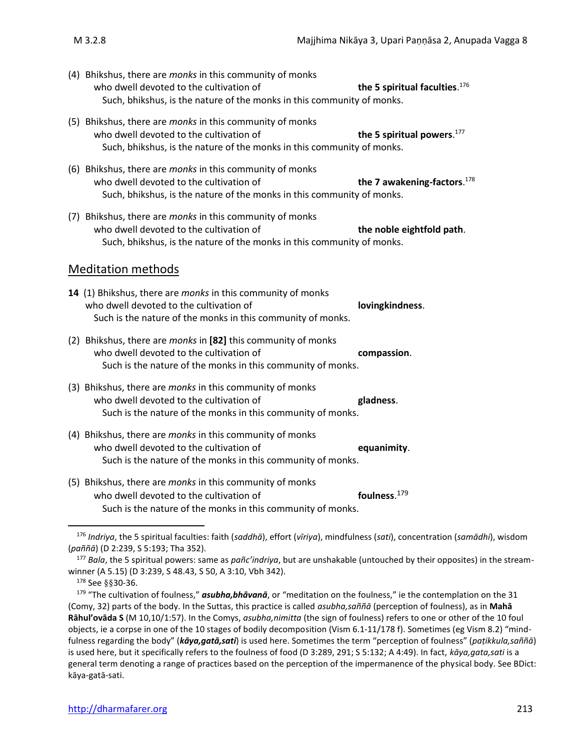- 
- (4) Bhikshus, there are *monks* in this community of monks who dwell devoted to the cultivation of the 5 spiritual faculties. $176$ Such, bhikshus, is the nature of the monks in this community of monks.
- (5) Bhikshus, there are *monks* in this community of monks who dwell devoted to the cultivation of the 5 spiritual powers.<sup>177</sup> Such, bhikshus, is the nature of the monks in this community of monks.
- (6) Bhikshus, there are *monks* in this community of monks who dwell devoted to the cultivation of the 7 awakening-factors. $178$ Such, bhikshus, is the nature of the monks in this community of monks.
- (7) Bhikshus, there are *monks* in this community of monks who dwell devoted to the cultivation of **the noble eightfold path**. Such, bhikshus, is the nature of the monks in this community of monks.

### Meditation methods

- **14** (1) Bhikshus, there are *monks* in this community of monks who dwell devoted to the cultivation of **lovingkindness**. Such is the nature of the monks in this community of monks.
- (2) Bhikshus, there are *monks* in **[82]** this community of monks who dwell devoted to the cultivation of **compassion**. Such is the nature of the monks in this community of monks.
- (3) Bhikshus, there are *monks* in this community of monks who dwell devoted to the cultivation of **gladness**. Such is the nature of the monks in this community of monks.
- (4) Bhikshus, there are *monks* in this community of monks who dwell devoted to the cultivation of **equanimity**. Such is the nature of the monks in this community of monks.
- (5) Bhikshus, there are *monks* in this community of monks who dwell devoted to the cultivation of foulness. $179$ Such is the nature of the monks in this community of monks.

<sup>178</sup> See §§30-36.

<sup>176</sup> *Indriya*, the 5 spiritual faculties: faith (*saddhā*), effort (*vīriya*), mindfulness (*sati*), concentration (*samādhi*), wisdom (*paññā*) (D 2:239, S 5:193; Tha 352).

<sup>177</sup> *Bala*, the 5 spiritual powers: same as *pañc'indriya*, but are unshakable (untouched by their opposites) in the streamwinner (A 5.15) (D 3:239, S 48.43, S 50, A 3:10, Vbh 342).

<sup>179</sup> "The cultivation of foulness," *asubha,bhāvanā*, or "meditation on the foulness," ie the contemplation on the 31 (Comy, 32) parts of the body. In the Suttas, this practice is called *asubha,saññā* (perception of foulness), as in **Mahā Rāhul'ovāda S** (M 10,10/1:57). In the Comys, *asubha,nimitta* (the sign of foulness) refers to one or other of the 10 foul objects, ie a corpse in one of the 10 stages of bodily decomposition (Vism 6.1-11/178 f). Sometimes (eg Vism 8.2) "mindfulness regarding the body" (*kāya,gatā,sati*) is used here. Sometimes the term "perception of foulness" (*paṭikkula,saññā*) is used here, but it specifically refers to the foulness of food (D 3:289, 291; S 5:132; A 4:49). In fact, *kāya,gata,sati* is a general term denoting a range of practices based on the perception of the impermanence of the physical body. See BDict: kāya-gatā-sati.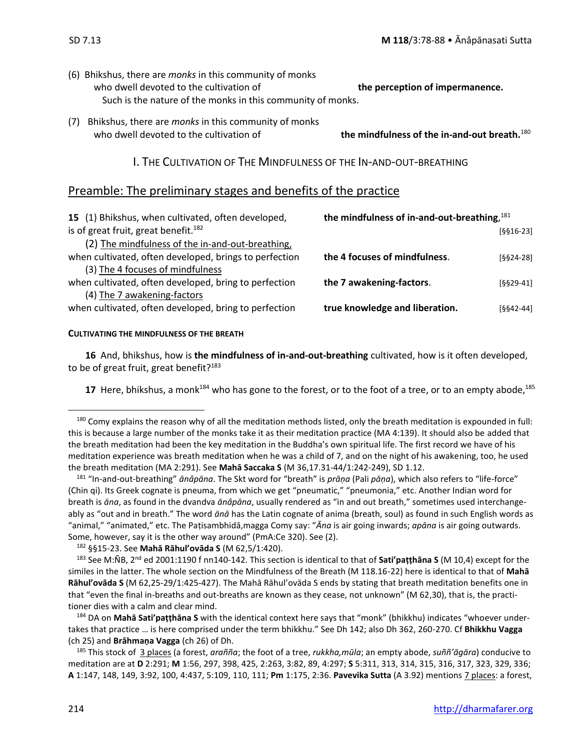- (6) Bhikshus, there are *monks* in this community of monks who dwell devoted to the cultivation of **the perception of impermanence.** Such is the nature of the monks in this community of monks.
- (7) Bhikshus, there are *monks* in this community of monks who dwell devoted to the cultivation of **the mindfulness of the in-and-out breath.**<sup>180</sup>

I. THE CULTIVATION OF THE MINDFULNESS OF THE IN-AND-OUT-BREATHING

### Preamble: The preliminary stages and benefits of the practice

| 15 (1) Bhikshus, when cultivated, often developed,     | the mindfulness of in-and-out-breathing, 181 |             |
|--------------------------------------------------------|----------------------------------------------|-------------|
| is of great fruit, great benefit. <sup>182</sup>       |                                              | $[§§16-23]$ |
| (2) The mindfulness of the in-and-out-breathing,       |                                              |             |
| when cultivated, often developed, brings to perfection | the 4 focuses of mindfulness.                | $[§§24-28]$ |
| (3) The 4 focuses of mindfulness                       |                                              |             |
| when cultivated, often developed, bring to perfection  | the 7 awakening-factors.                     | $[§§29-41]$ |
| (4) The 7 awakening-factors                            |                                              |             |
| when cultivated, often developed, bring to perfection  | true knowledge and liberation.               | $[§§42-44]$ |
|                                                        |                                              |             |

#### **CULTIVATING THE MINDFULNESS OF THE BREATH**

**16** And, bhikshus, how is **the mindfulness of in-and-out-breathing** cultivated, how is it often developed, to be of great fruit, great benefit? $183$ 

17 Here, bhikshus, a monk<sup>184</sup> who has gone to the forest, or to the foot of a tree, or to an empty abode,<sup>185</sup>

<sup>182</sup> §§15-23. See **Mahā Rāhul'ovāda S** (M 62,5/1:420).

<sup>184</sup> DA on **Mahā Sati'paṭṭhāna S** with the identical context here says that "monk" (bhikkhu) indicates "whoever undertakes that practice … is here comprised under the term bhikkhu." See Dh 142; also Dh 362, 260-270. Cf **Bhikkhu Vagga** (ch 25) and **Brāhmaṇa Vagga** (ch 26) of Dh.

<sup>185</sup> This stock of 3 places (a forest, *arañña*; the foot of a tree, *rukkha,mūla*; an empty abode, *suññ'āgāra*) conducive to meditation are at **D** 2:291; **M** 1:56, 297, 398, 425, 2:263, 3:82, 89, 4:297; **S** 5:311, 313, 314, 315, 316, 317, 323, 329, 336; **A** 1:147, 148, 149, 3:92, 100, 4:437, 5:109, 110, 111; **Pm** 1:175, 2:36. **Pavevika Sutta** (A 3.92) mentions 7 places: a forest,

<sup>180</sup> Comy explains the reason why of all the meditation methods listed, only the breath meditation is expounded in full: this is because a large number of the monks take it as their meditation practice (MA 4:139). It should also be added that the breath meditation had been the key meditation in the Buddha's own spiritual life. The first record we have of his meditation experience was breath meditation when he was a child of 7, and on the night of his awakening, too, he used the breath meditation (MA 2:291). See **Mahā Saccaka S** (M 36,17.31-44/1:242-249), SD 1.12.

<sup>181</sup> "In-and-out-breathing" *ānâpāna*. The Skt word for "breath" is *prāṇa* (Pali *pāṇa*), which also refers to "life-force" (Chin qi). Its Greek cognate is pneuma, from which we get "pneumatic," "pneumonia," etc. Another Indian word for breath is *āna*, as found in the dvandva *ānâpāna*, usually rendered as "in and out breath," sometimes used interchangeably as "out and in breath." The word *ānā* has the Latin cognate of anima (breath, soul) as found in such English words as "animal," "animated," etc. The Paṭisambhidā,magga Comy say: "*Ᾱna* is air going inwards; *apāna* is air going outwards. Some, however, say it is the other way around" (PmA:Ce 320). See (2).

<sup>183</sup> See M:ÑB, 2nd ed 2001:1190 f nn140-142. This section is identical to that of **Sati'paṭṭhāna S** (M 10,4) except for the similes in the latter. The whole section on the Mindfulness of the Breath (M 118.16-22) here is identical to that of **Mahā Rāhul'ovāda S** (M 62,25-29/1:425-427). The Mahā Rāhul'ovāda S ends by stating that breath meditation benefits one in that "even the final in-breaths and out-breaths are known as they cease, not unknown" (M 62,30), that is, the practitioner dies with a calm and clear mind.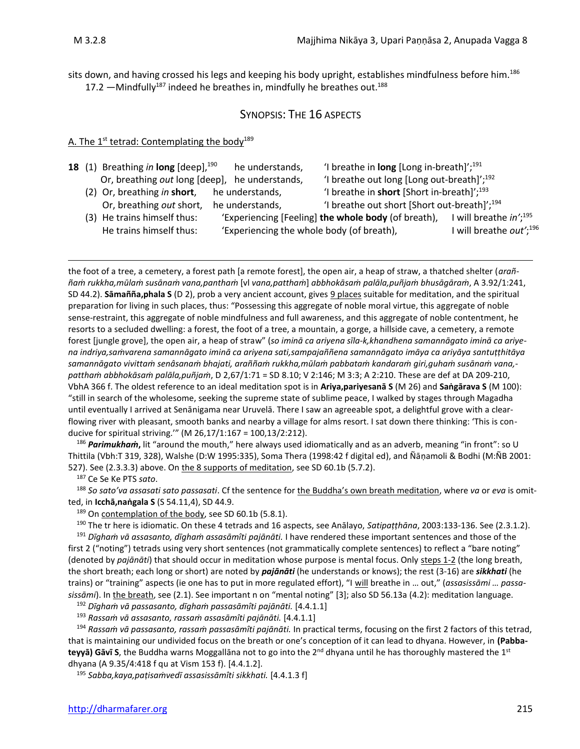sits down, and having crossed his legs and keeping his body upright, establishes mindfulness before him.<sup>186</sup> 17.2  $-Mindfully^{187}$  indeed he breathes in, mindfully he breathes out.<sup>188</sup>

### SYNOPSIS: THE 16 ASPECTS

### A. The 1<sup>st</sup> tetrad: Contemplating the body<sup>189</sup>

|  | <b>18</b> (1) Breathing in long $[deep]$ , $^{190}$ | he understands,                           | 'I breathe in long [Long in-breath]'; $^{191}$           |                                               |
|--|-----------------------------------------------------|-------------------------------------------|----------------------------------------------------------|-----------------------------------------------|
|  | Or, breathing out long [deep], he understands,      |                                           | 'I breathe out long [Long out-breath]'; <sup>192</sup>   |                                               |
|  | (2) Or, breathing in short,                         | he understands,                           | 'I breathe in short [Short in-breath]'; $^{193}$         |                                               |
|  | Or, breathing out short,                            | he understands,                           | 'I breathe out short [Short out-breath]'; <sup>194</sup> |                                               |
|  | (3) He trains himself thus:                         |                                           | 'Experiencing [Feeling] the whole body (of breath),      | I will breathe $in^{\prime}$ ; <sup>195</sup> |
|  | He trains himself thus:                             | 'Experiencing the whole body (of breath), |                                                          | I will breathe out'; <sup>196</sup>           |
|  |                                                     |                                           |                                                          |                                               |

the foot of a tree, a cemetery, a forest path [a remote forest], the open air, a heap of straw, a thatched shelter (*araññaṁ rukkha,mūlaṁ susānaṁ vana,panthaṁ* [vl *vana,patthaṁ*] *abbhokāsaṁ palāla,puñjaṁ bhusāgāraṁ*, A 3.92/1:241, SD 44.2). **Sāmañña,phala S** (D 2), prob a very ancient account, gives 9 places suitable for meditation, and the spiritual preparation for living in such places, thus: "Possessing this aggregate of noble moral virtue, this aggregate of noble sense-restraint, this aggregate of noble mindfulness and full awareness, and this aggregate of noble contentment, he resorts to a secluded dwelling: a forest, the foot of a tree, a mountain, a gorge, a hillside cave, a cemetery, a remote forest [jungle grove], the open air, a heap of straw" (*so iminā ca ariyena sīla-k,khandhena samannāgato iminā ca ariyena indriya,saṁvarena samannāgato iminā ca ariyena sati,sampajaññena samannāgato imāya ca ariyāya santuṭṭhitāya samannāgato vivittaṁ senâsanaṁ bhajati, araññaṁ rukkha,mūlaṁ pabbataṁ kandaraṁ giri,guhaṁ susānaṁ vana, patthaṁ abbhokāsaṁ palāla,puñjaṁ*, D 2,67/1:71 = SD 8.10; V 2:146; M 3:3; A 2:210. These are def at DA 209-210, VbhA 366 f. The oldest reference to an ideal meditation spot is in **Ariya,pariyesanā S** (M 26) and **Saṅgārava S** (M 100): "still in search of the wholesome, seeking the supreme state of sublime peace, I walked by stages through Magadha until eventually I arrived at Senānigama near Uruvelā. There I saw an agreeable spot, a delightful grove with a clearflowing river with pleasant, smooth banks and nearby a village for alms resort. I sat down there thinking: 'This is conducive for spiritual striving.'" (M 26,17/1:167 = 100,13/2:212).

<sup>186</sup> *Parimukhaṁ***,** lit "around the mouth," here always used idiomatically and as an adverb, meaning "in front": so U Thittila (Vbh:T 319, 328), Walshe (D:W 1995:335), Soma Thera (1998:42 f digital ed), and Ñāṇamoli & Bodhi (M:ÑB 2001: 527). See (2.3.3.3) above. On the 8 supports of meditation, see SD 60.1b (5.7.2).

<sup>187</sup> Ce Se Ke PTS *sato*.

<sup>188</sup> *So sato'va assasati sato passasati*. Cf the sentence for the Buddha's own breath meditation, where *va* or *eva* is omitted, in **Icchā,naṅgala S** (S 54.11,4), SD 44.9.

189 On contemplation of the body, see SD 60.1b (5.8.1).

<sup>190</sup> The tr here is idiomatic. On these 4 tetrads and 16 aspects, see Anālayo, *Satipaṭṭhāna*, 2003:133-136. See (2.3.1.2). <sup>191</sup> *Dīghaṁ vā assasanto, dīghaṁ assasāmîti pajānāti.* I have rendered these important sentences and those of the first 2 ("noting") tetrads using very short sentences (not grammatically complete sentences) to reflect a "bare noting" (denoted by *pajānāti*) that should occur in meditation whose purpose is mental focus. Only steps 1-2 (the long breath, the short breath; each long or short) are noted by *pajānāti* (he understands or knows); the rest (3-16) are *sikkhati* (he trains) or "training" aspects (ie one has to put in more regulated effort), "I will breathe in … out," (*assasissāmi … passasissāmi*). In the breath, see (2.1). See important n on "mental noting" [3]; also SD 56.13a (4.2): meditation language.

<sup>192</sup> *Dīghaṁ vā passasanto, dīghaṁ passasāmîti pajānāti.* [4.4.1.1]

<sup>193</sup> *Rassaṁ vā assasanto, rassaṁ assasāmîti pajānāti.* [4.4.1.1]

<sup>194</sup> *Rassaṁ vā passasanto, rassaṁ passasāmîti pajānāti.* In practical terms, focusing on the first 2 factors of this tetrad, that is maintaining our undivided focus on the breath or one's conception of it can lead to dhyana. However, in **(Pabba**teyyā) Gāvī S, the Buddha warns Moggallāna not to go into the 2<sup>nd</sup> dhyana until he has thoroughly mastered the 1<sup>st</sup> dhyana (A 9.35/4:418 f qu at Vism 153 f). [4.4.1.2].

<sup>195</sup> *Sabba,kaya,paṭisaṁvedī assasissāmîti sikkhati.* [4.4.1.3 f]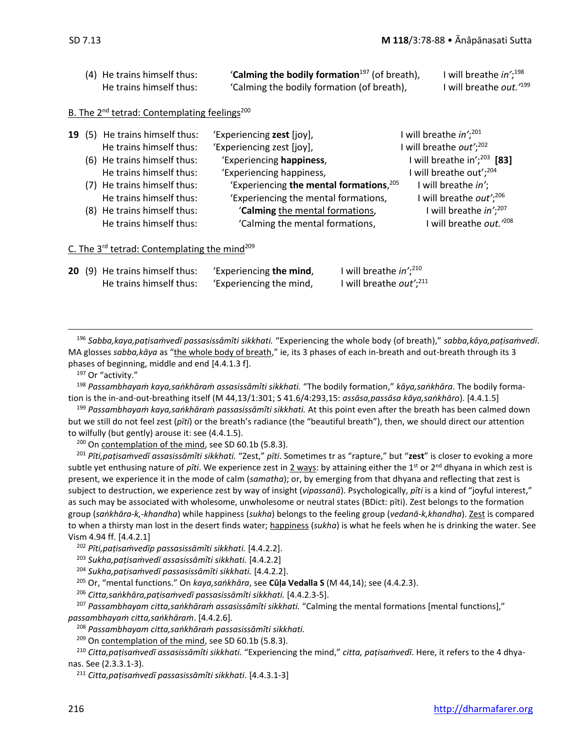|  | (4) He trains himself thus:<br>He trains himself thus:               | 'Calming the bodily formation <sup>197</sup> (of breath),<br>'Calming the bodily formation (of breath), | will breathe in'; <sup>198</sup><br>will breathe out. <sup>199</sup> |
|--|----------------------------------------------------------------------|---------------------------------------------------------------------------------------------------------|----------------------------------------------------------------------|
|  |                                                                      |                                                                                                         |                                                                      |
|  | B. The 2 <sup>nd</sup> tetrad: Contemplating feelings <sup>200</sup> |                                                                                                         |                                                                      |
|  | 19 (5) He trains himself thus:                                       | 'Experiencing zest [joy],                                                                               | I will breathe $in^{\prime}$ ; <sup>201</sup>                        |
|  | He trains himself thus:                                              | 'Experiencing zest [joy],                                                                               | I will breathe out'; $^{202}$                                        |
|  | (6) He trains himself thus:                                          | 'Experiencing happiness,                                                                                | I will breathe in'; $^{203}$ [83]                                    |
|  | He trains himself thus:                                              | 'Experiencing happiness,                                                                                | I will breathe out'; <sup>204</sup>                                  |
|  | (7) He trains himself thus:                                          | 'Experiencing the mental formations, 205                                                                | I will breathe in';                                                  |
|  | He trains himself thus:                                              | 'Experiencing the mental formations,                                                                    | I will breathe out'; <sup>206</sup>                                  |
|  | (8) He trains himself thus:                                          | 'Calming the mental formations,                                                                         | I will breathe in'; <sup>207</sup>                                   |
|  | He trains himself thus:                                              | 'Calming the mental formations,                                                                         | I will breathe out. <sup>208</sup>                                   |
|  | 100 - مساوت المناسبة المساوت المتحدث المسلمين المساوت المساوت        |                                                                                                         |                                                                      |

C. The 3<sup>rd</sup> tetrad: Contemplating the mind<sup>209</sup>

|  | 20 (9) He trains himself thus: | 'Experiencing the mind, | I will breathe $in^{\prime}$ ; <sup>210</sup> |
|--|--------------------------------|-------------------------|-----------------------------------------------|
|  | He trains himself thus:        | 'Experiencing the mind, | I will breathe <i>out</i> '; $211$            |

<sup>196</sup> *Sabba,kaya,paṭisaṁvedī passasissāmîti sikkhati.* "Experiencing the whole body (of breath)," *sabba,kāya,paṭisaṁvedī*. MA glosses *sabba,kāya* as "the whole body of breath," ie, its 3 phases of each in-breath and out-breath through its 3 phases of beginning, middle and end [4.4.1.3 f].

<sup>197</sup> Or "activity."

<sup>198</sup> *Passambhayaṁ kaya,saṅkhāraṁ assasissāmîti sikkhati.* "The bodily formation," *kāya,saṅkhāra*. The bodily formation is the in-and-out-breathing itself (M 44,13/1:301; S 41.6/4:293,15: *assāsa,passāsa kāya,saṅkhāro*). [4.4.1.5]

<sup>199</sup> *Passambhayaṁ kaya,saṅkhāraṁ passasissāmîti sikkhati.* At this point even after the breath has been calmed down but we still do not feel zest (*pīti*) or the breath's radiance (the "beautiful breath"), then, we should direct our attention to wilfully (but gently) arouse it: see (4.4.1.5).

<sup>200</sup> On contemplation of the mind, see SD 60.1b (5.8.3).

<sup>201</sup> *Pīti,paṭisaṁvedī assasissāmîti sikkhati.* "Zest," *pīti*. Sometimes tr as "rapture," but "**zest**" is closer to evoking a more subtle yet enthusing nature of *pīti*. We experience zest in 2 ways: by attaining either the 1<sup>st</sup> or 2<sup>nd</sup> dhyana in which zest is present, we experience it in the mode of calm (*samatha*); or, by emerging from that dhyana and reflecting that zest is subject to destruction, we experience zest by way of insight (*vipassanā*). Psychologically, *pīti* is a kind of "joyful interest," as such may be associated with wholesome, unwholesome or neutral states (BDict: pīti). Zest belongs to the formation group (*saṅkhāra-k,-khandha*) while happiness (*sukha*) belongs to the feeling group (*vedanā-k,khandha*). Zest is compared to when a thirsty man lost in the desert finds water; happiness (*sukha*) is what he feels when he is drinking the water. See Vism 4.94 ff. [4.4.2.1]

<sup>202</sup> *Pīti,paṭisaṁvedīp passasissāmîti sikkhati.* [4.4.2.2].

<sup>203</sup> *Sukha,paṭisaṁvedī assasissāmîti sikkhati.* [4.4.2.2]

<sup>204</sup> *Sukha,paṭisaṁvedī passasissāmîti sikkhati.* [4.4.2.2].

<sup>205</sup> Or, "mental functions." On *kaya,saṅkhāra*, see **Cūḷa Vedalla S** (M 44,14); see (4.4.2.3).

<sup>206</sup> *Citta,saṅkhāra,paṭisaṁvedī passasissāmîti sikkhati.* [4.4.2.3-5].

<sup>207</sup> *Passambhayam citta,saṅkhāraṁ assasissāmîti sikkhati.* "Calming the mental formations [mental functions]," *passambhayaṁ citta,saṅkhāraṁ*. [4.4.2.6].

<sup>208</sup> *Passambhayam citta,saṅkhāraṁ passasissāmîti sikkhati.*

<sup>209</sup> On contemplation of the mind, see SD 60.1b (5.8.3).

<sup>210</sup> *Citta,paṭisaṁvedī assasissāmîti sikkhati.* "Experiencing the mind," *citta, paṭisaṁvedī*. Here, it refers to the 4 dhyanas. See (2.3.3.1-3).

<sup>211</sup> *Citta,paṭisaṁvedī passasissāmîti sikkhati*. [4.4.3.1-3]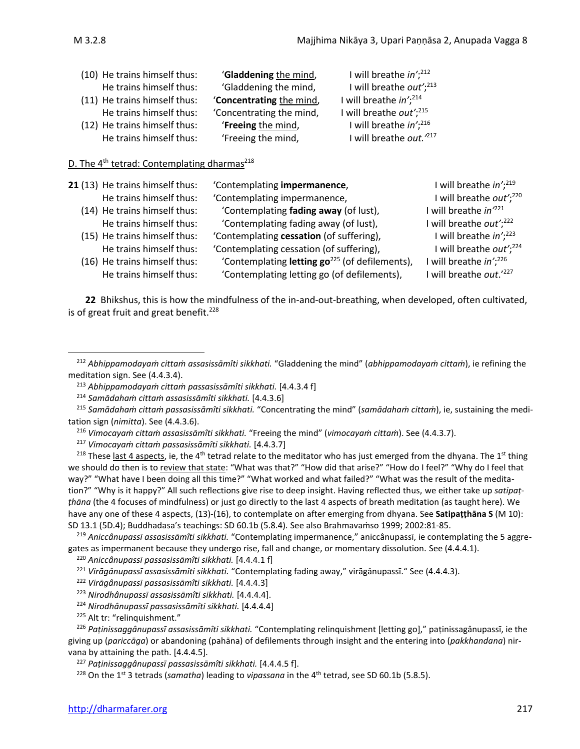| (10) He trains himself thus: | 'Gladdening the mind,    | I will breathe $in^{\prime}$ ; <sup>212</sup> |
|------------------------------|--------------------------|-----------------------------------------------|
| He trains himself thus:      | 'Gladdening the mind,    | I will breathe out'; $^{213}$                 |
| (11) He trains himself thus: | 'Concentrating the mind, | I will breathe in'; <sup>214</sup>            |
| He trains himself thus:      | 'Concentrating the mind, | I will breathe out'; $^{215}$                 |
| (12) He trains himself thus: | 'Freeing the mind,       | I will breathe $in^{\prime}$ ; <sup>216</sup> |
| He trains himself thus:      | 'Freeing the mind,       | I will breathe out. <sup>217</sup>            |
|                              |                          |                                               |

### D. The 4<sup>th</sup> tetrad: Contemplating dharmas<sup>218</sup>

| 21 (13) He trains himself thus:<br>He trains himself thus:<br>(14) He trains himself thus: | 'Contemplating impermanence,<br>'Contemplating impermanence,<br>'Contemplating fading away (of lust), | I will breathe in'; <sup>219</sup><br>I will breathe out'; <sup>220</sup><br>I will breathe in <sup>221</sup> |
|--------------------------------------------------------------------------------------------|-------------------------------------------------------------------------------------------------------|---------------------------------------------------------------------------------------------------------------|
| He trains himself thus:                                                                    | 'Contemplating fading away (of lust),                                                                 | I will breathe out'; $^{222}$                                                                                 |
| (15) He trains himself thus:                                                               | 'Contemplating cessation (of suffering),                                                              | I will breathe in'; <sup>223</sup>                                                                            |
| He trains himself thus:                                                                    | 'Contemplating cessation (of suffering),                                                              | will breathe out'; <sup>224</sup>                                                                             |
| (16) He trains himself thus:                                                               | 'Contemplating letting go <sup>225</sup> (of defilements),                                            | I will breathe in'; <sup>226</sup>                                                                            |
| He trains himself thus:                                                                    | 'Contemplating letting go (of defilements),                                                           | I will breathe out.'227                                                                                       |

**22** Bhikshus, this is how the mindfulness of the in-and-out-breathing, when developed, often cultivated, is of great fruit and great benefit. $228$ 

<sup>217</sup> *Vimocayaṁ cittaṁ passasissāmîti sikkhati.* [4.4.3.7]

<sup>218</sup> These <u>last 4 aspects</u>, ie, the 4<sup>th</sup> tetrad relate to the meditator who has just emerged from the dhyana. The 1<sup>st</sup> thing we should do then is to review that state: "What was that?" "How did that arise?" "How do I feel?" "Why do I feel that way?" "What have I been doing all this time?" "What worked and what failed?" "What was the result of the meditation?" "Why is it happy?" All such reflections give rise to deep insight. Having reflected thus, we either take up *satipaṭṭhāna* (the 4 focuses of mindfulness) or just go directly to the last 4 aspects of breath meditation (as taught here). We have any one of these 4 aspects, (13)-(16), to contemplate on after emerging from dhyana. See **Satipaṭṭhāna S** (M 10): SD 13.1 (5D.4); Buddhadasa's teachings: SD 60.1b (5.8.4). See also Brahmavaṁso 1999; 2002:81-85.

<sup>219</sup> *Aniccânupassī assasissāmîti sikkhati.* "Contemplating impermanence," aniccânupassī, ie contemplating the 5 aggregates as impermanent because they undergo rise, fall and change, or momentary dissolution. See (4.4.4.1).

<sup>222</sup> *Virāgânupassī passasissāmîti sikkhati.* [4.4.4.3]

<sup>212</sup> *Abhippamodayaṁ cittaṁ assasissāmîti sikkhati.* "Gladdening the mind" (*abhippamodayaṁ cittaṁ*), ie refining the meditation sign. See (4.4.3.4).

<sup>213</sup> *Abhippamodayaṁ cittaṁ passasissāmîti sikkhati.* [4.4.3.4 f]

<sup>214</sup> *Samādahaṁ cittaṁ assasissāmîti sikkhati.* [4.4.3.6]

<sup>215</sup> *Samādahaṁ cittaṁ passasissāmîti sikkhati.* "Concentrating the mind" (*samādahaṁ cittaṁ*), ie, sustaining the meditation sign (*nimitta*). See (4.4.3.6).

<sup>216</sup> *Vimocayaṁ cittaṁ assasissāmîti sikkhati.* "Freeing the mind" (*vimocayaṁ cittaṁ*). See (4.4.3.7).

<sup>220</sup> *Aniccânupassī passasissāmîti sikkhati.* [4.4.4.1 f]

<sup>221</sup> *Virāgânupassī assasissāmîti sikkhati.* "Contemplating fading away," virāgânupassī." See (4.4.4.3).

<sup>223</sup> *Nirodhânupassī assasissāmîti sikkhati.* [4.4.4.4].

<sup>224</sup> *Nirodhânupassī passasissāmîti sikkhati.* [4.4.4.4]

<sup>225</sup> Alt tr: "relinquishment."

<sup>226</sup> *Paṭinissaggânupassī assasissāmîti sikkhati.* "Contemplating relinquishment [letting go]," paṭinissagânupassī, ie the giving up (*pariccāga*) or abandoning (pahāna) of defilements through insight and the entering into (*pakkhandana*) nirvana by attaining the path. [4.4.4.5].

<sup>227</sup> *Paṭinissaggânupassī passasissāmîti sikkhati.* [4.4.4.5 f].

<sup>&</sup>lt;sup>228</sup> On the 1<sup>st</sup> 3 tetrads (*samatha*) leading to *vipassana* in the 4<sup>th</sup> tetrad, see SD 60.1b (5.8.5).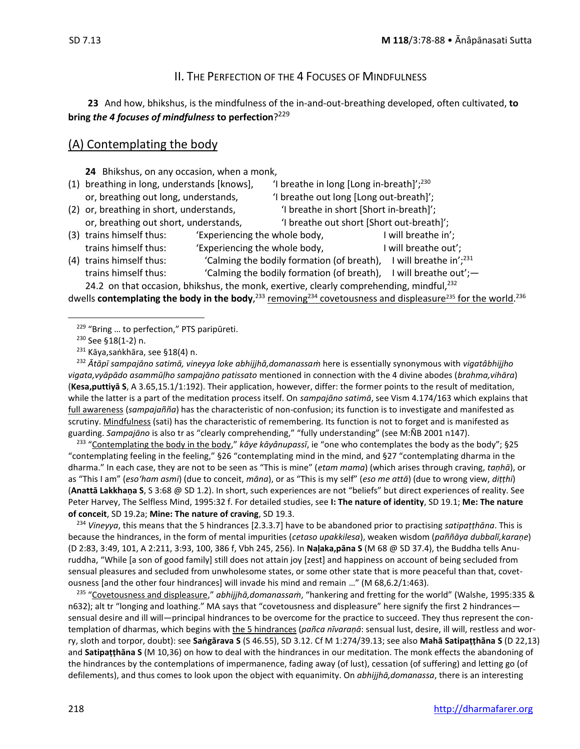### II. THE PERFECTION OF THE 4 FOCUSES OF MINDFULNESS

**23** And how, bhikshus, is the mindfulness of the in-and-out-breathing developed, often cultivated, **to bring** *the 4 focuses of mindfulness* **to perfection**? 229

### (A) Contemplating the body

**24** Bhikshus, on any occasion, when a monk,

- (1) breathing in long, understands [knows],  $\qquad$  'I breathe in long [Long in-breath]';<sup>230</sup> or, breathing out long, understands,  $\qquad$  'I breathe out long [Long out-breath]';
- (2) or, breathing in short, understands,  $\qquad \qquad$  'I breathe in short [Short in-breath]';
- or, breathing out short, understands,  $\blacksquare$  'I breathe out short [Short out-breath]';
- (3) trains himself thus: 'Experiencing the whole body, I will breathe in'; trains himself thus: 'Experiencing the whole body, The Mull breathe out';
- (4) trains himself thus: 'Calming the bodily formation (of breath), I will breathe in';<sup>231</sup> trains himself thus: 'Calming the bodily formation (of breath), I will breathe out';-

24.2 on that occasion, bhikshus, the monk, exertive, clearly comprehending, mindful, $^{232}$ 

dwells **contemplating the body in the body**,<sup>233</sup> removing<sup>234</sup> covetousness and displeasure<sup>235</sup> for the world.<sup>236</sup>

<sup>232</sup> *Ᾱtāpī sampajāno satimā, vineyya loke abhijjhā,domanassaṁ* here is essentially synonymous with *vigatâbhijjho vigata,vyāpādo asammūḷho sampajāno patissato* mentioned in connection with the 4 divine abodes (*brahma,vihāra*) (**Kesa,puttiyā S**, A 3.65,15.1/1:192). Their application, however, differ: the former points to the result of meditation, while the latter is a part of the meditation process itself. On *sampajāno satimā*, see Vism 4.174/163 which explains that full awareness (*sampajañña*) has the characteristic of non-confusion; its function is to investigate and manifested as scrutiny. Mindfulness (sati) has the characteristic of remembering. Its function is not to forget and is manifested as guarding. *Sampajāno* is also tr as "clearly comprehending," "fully understanding" (see M:ÑB 2001 n147).

233 "Contemplating the body in the body," *kāye kāyânupassī*, ie "one who contemplates the body as the body"; §25 "contemplating feeling in the feeling," §26 "contemplating mind in the mind, and §27 "contemplating dharma in the dharma." In each case, they are not to be seen as "This is mine" (*etam mama*) (which arises through craving, *taṇhā*), or as "This I am" (*eso'ham asmi*) (due to conceit, *māna*), or as "This is my self" (*eso me attā*) (due to wrong view, *diṭṭhi*) (**Anattā Lakkhaṇa S**, S 3:68 @ SD 1.2). In short, such experiences are not "beliefs" but direct experiences of reality. See Peter Harvey, The Selfless Mind, 1995:32 f. For detailed studies, see **I: The nature of identity**, SD 19.1; **Me: The nature of conceit**, SD 19.2a; **Mine: The nature of craving**, SD 19.3.

<sup>234</sup> *Vineyya*, this means that the 5 hindrances [2.3.3.7] have to be abandoned prior to practising *satipaṭṭhāna*. This is because the hindrances, in the form of mental impurities (*cetaso upakkilesa*), weaken wisdom (*paññāya dubbalī,karaṇe*) (D 2:83, 3:49, 101, A 2:211, 3:93, 100, 386 f, Vbh 245, 256). In **Naḷaka,pāna S** (M 68 @ SD 37.4), the Buddha tells Anuruddha, "While [a son of good family] still does not attain joy [zest] and happiness on account of being secluded from sensual pleasures and secluded from unwholesome states, or some other state that is more peaceful than that, covetousness [and the other four hindrances] will invade his mind and remain …" (M 68,6.2/1:463).

<sup>235</sup> "Covetousness and displeasure," *abhijjhā,domanassaṁ*, "hankering and fretting for the world" (Walshe, 1995:335 & n632); alt tr "longing and loathing." MA says that "covetousness and displeasure" here signify the first 2 hindrances sensual desire and ill will—principal hindrances to be overcome for the practice to succeed. They thus represent the contemplation of dharmas, which begins with the 5 hindrances (*pañca nīvaraṇā*: sensual lust, desire, ill will, restless and worry, sloth and torpor, doubt): see **Saṅgārava S** (S 46.55), SD 3.12. Cf M 1:274/39.13; see also **Mahā Satipaṭṭhāna S** (D 22,13) and **Satipaṭṭhāna S** (M 10,36) on how to deal with the hindrances in our meditation. The monk effects the abandoning of the hindrances by the contemplations of impermanence, fading away (of lust), cessation (of suffering) and letting go (of defilements), and thus comes to look upon the object with equanimity. On *abhijjhā,domanassa*, there is an interesting

<sup>&</sup>lt;sup>229</sup> "Bring ... to perfection," PTS paripūreti.

<sup>230</sup> See §18(1-2) n.

<sup>&</sup>lt;sup>231</sup> Kāya,saṅkhāra, see §18(4) n.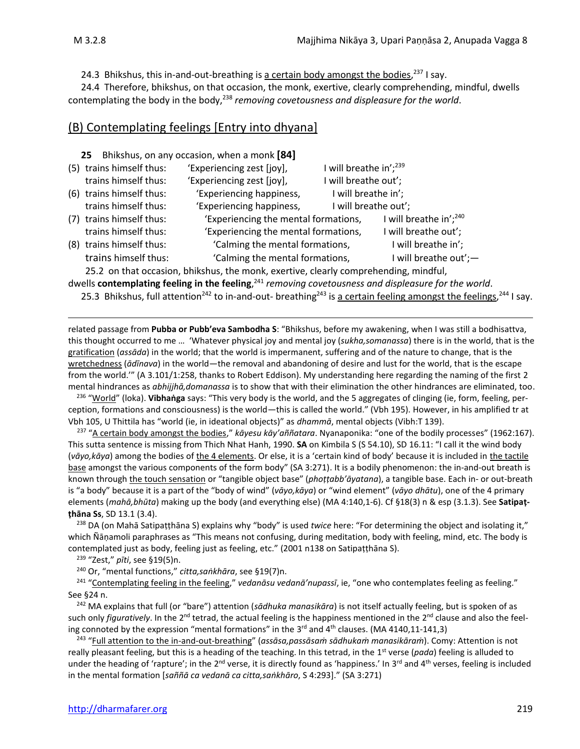24.3 Bhikshus, this in-and-out-breathing is a certain body amongst the bodies,<sup>237</sup> I say.

24.4 Therefore, bhikshus, on that occasion, the monk, exertive, clearly comprehending, mindful, dwells contemplating the body in the body,<sup>238</sup> removing covetousness and displeasure for the world.

### (B) Contemplating feelings [Entry into dhyana]

| 25                       | Bhikshus, on any occasion, when a monk [84] |                                    |                           |
|--------------------------|---------------------------------------------|------------------------------------|---------------------------|
| (5) trains himself thus: | 'Experiencing zest [joy],                   | I will breathe in'; <sup>239</sup> |                           |
| trains himself thus:     | 'Experiencing zest [joy],                   | I will breathe out';               |                           |
| (6) trains himself thus: | 'Experiencing happiness,                    | I will breathe in';                |                           |
| trains himself thus:     | 'Experiencing happiness,                    | I will breathe out';               |                           |
| (7) trains himself thus: | 'Experiencing the mental formations,        |                                    | I will breathe in'; $240$ |
| trains himself thus:     | 'Experiencing the mental formations,        |                                    | I will breathe out';      |
| (8) trains himself thus: | 'Calming the mental formations,             |                                    | I will breathe in';       |
| trains himself thus:     | 'Calming the mental formations,             |                                    | I will breathe out';-     |
|                          |                                             |                                    |                           |

25.2 on that occasion, bhikshus, the monk, exertive, clearly comprehending, mindful, dwells **contemplating feeling in the feeling**, <sup>241</sup> *removing covetousness and displeasure for the world*.

25.3 Bhikshus, full attention<sup>242</sup> to in-and-out- breathing<sup>243</sup> is <u>a certain feeling amongst the feelings</u>,<sup>244</sup> I say.

related passage from **Pubba or Pubb'eva Sambodha S**: "Bhikshus, before my awakening, when I was still a bodhisattva, this thought occurred to me … 'Whatever physical joy and mental joy (*sukha,somanassa*) there is in the world, that is the gratification (*assāda*) in the world; that the world is impermanent, suffering and of the nature to change, that is the wretchedness (*ādīnava*) in the world—the removal and abandoning of desire and lust for the world, that is the escape from the world.'" (A 3.101/1:258, thanks to Robert Eddison). My understanding here regarding the naming of the first 2 mental hindrances as *abhijjhā,domanassa* is to show that with their elimination the other hindrances are eliminated, too.

236 "World" (loka). **Vibhaṅga** says: "This very body is the world, and the 5 aggregates of clinging (ie, form, feeling, perception, formations and consciousness) is the world—this is called the world." (Vbh 195). However, in his amplified tr at Vbh 105, U Thittila has "world (ie, in ideational objects)" as *dhammā*, mental objects (Vibh:T 139).

237 "A certain body amongst the bodies," *kāyesu kāy'aññatara*. Nyanaponika: "one of the bodily processes" (1962:167). This sutta sentence is missing from Thich Nhat Hanh, 1990. **SA** on Kimbila S (S 54.10), SD 16.11: "I call it the wind body (*vāyo,kāya*) among the bodies of the 4 elements. Or else, it is a 'certain kind of body' because it is included in the tactile base amongst the various components of the form body" (SA 3:271). It is a bodily phenomenon: the in-and-out breath is known through the touch sensation or "tangible object base" (*phoṭṭabb'āyatana*), a tangible base. Each in- or out-breath is "a body" because it is a part of the "body of wind" (*vāyo,kāya*) or "wind element" (*vāyo dhātu*), one of the 4 primary elements (*mahā,bhūta*) making up the body (and everything else) (MA 4:140,1-6). Cf §18(3) n & esp (3.1.3). See **Satipaṭṭhāna Ss**, SD 13.1 (3.4).

<sup>238</sup> DA (on Mahā Satipaṭṭhāna S) explains why "body" is used *twice* here: "For determining the object and isolating it," which Ñāṇamoli paraphrases as "This means not confusing, during meditation, body with feeling, mind, etc. The body is contemplated just as body, feeling just as feeling, etc." (2001 n138 on Satipaṭṭhāna S).

<sup>239</sup> "Zest," *pīti*, see §19(5)n.

<sup>240</sup> Or, "mental functions," *citta,saṅkhāra*, see §19(7)n.

<sup>241</sup> "Contemplating feeling in the feeling," *vedanāsu vedanā'nupassī*, ie, "one who contemplates feeling as feeling." See §24 n.

<sup>242</sup> MA explains that full (or "bare") attention (*sādhuka manasikāra*) is not itself actually feeling, but is spoken of as such only *figuratively*. In the 2<sup>nd</sup> tetrad, the actual feeling is the happiness mentioned in the 2<sup>nd</sup> clause and also the feeling connoted by the expression "mental formations" in the 3<sup>rd</sup> and 4<sup>th</sup> clauses. (MA 4140,11-141,3)

243 "Full attention to the in-and-out-breathing" (*assāsa,passāsaṁ sādhukaṁ manasikāraṁ*). Comy: Attention is not really pleasant feeling, but this is a heading of the teaching. In this tetrad, in the 1<sup>st</sup> verse (*pada*) feeling is alluded to under the heading of 'rapture'; in the 2<sup>nd</sup> verse, it is directly found as 'happiness.' In 3<sup>rd</sup> and 4<sup>th</sup> verses, feeling is included in the mental formation [*saññā ca vedanā ca citta,saṅkhāro*, S 4:293]." (SA 3:271)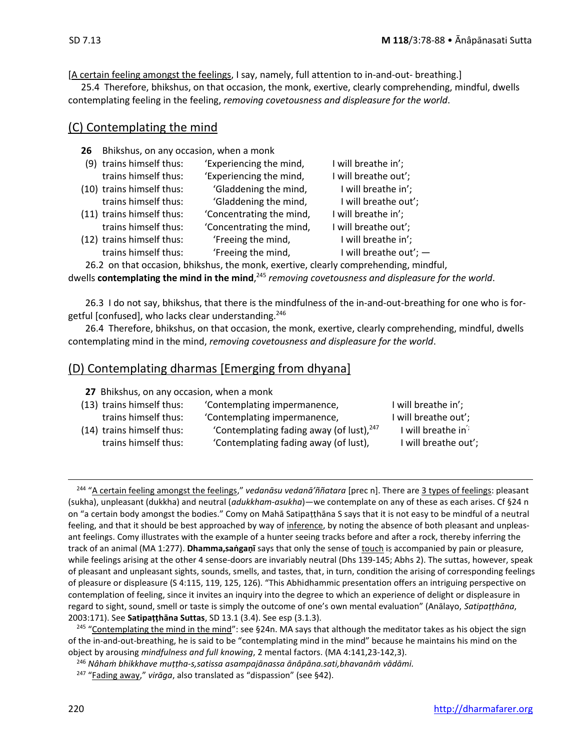[A certain feeling amongst the feelings, I say, namely, full attention to in-and-out- breathing.]

25.4 Therefore, bhikshus, on that occasion, the monk, exertive, clearly comprehending, mindful, dwells contemplating feeling in the feeling, *removing covetousness and displeasure for the world*.

### (C) Contemplating the mind

| 26 | Bhikshus, on any occasion, when a monk |                                                                                      |                        |
|----|----------------------------------------|--------------------------------------------------------------------------------------|------------------------|
|    | (9) trains himself thus:               | 'Experiencing the mind,                                                              | I will breathe in';    |
|    | trains himself thus:                   | 'Experiencing the mind,                                                              | I will breathe out';   |
|    | (10) trains himself thus:              | 'Gladdening the mind,                                                                | I will breathe in';    |
|    | trains himself thus:                   | 'Gladdening the mind,                                                                | I will breathe out';   |
|    | (11) trains himself thus:              | 'Concentrating the mind,                                                             | I will breathe in';    |
|    | trains himself thus:                   | 'Concentrating the mind,                                                             | I will breathe out';   |
|    | (12) trains himself thus:              | 'Freeing the mind,                                                                   | I will breathe in';    |
|    | trains himself thus:                   | 'Freeing the mind,                                                                   | I will breathe out'; - |
|    |                                        | 26.2 on that occasion, bhikshus, the monk, exertive, clearly comprehending, mindful, |                        |

dwells **contemplating the mind in the mind**, <sup>245</sup> *removing covetousness and displeasure for the world*.

26.3 I do not say, bhikshus, that there is the mindfulness of the in-and-out-breathing for one who is forgetful [confused], who lacks clear understanding.<sup>246</sup>

26.4 Therefore, bhikshus, on that occasion, the monk, exertive, clearly comprehending, mindful, dwells contemplating mind in the mind, *removing covetousness and displeasure for the world*.

### (D) Contemplating dharmas [Emerging from dhyana]

| 27 Bhikshus, on any occasion, when a monk         |                                                                                      |                                                        |
|---------------------------------------------------|--------------------------------------------------------------------------------------|--------------------------------------------------------|
| (13) trains himself thus:                         | 'Contemplating impermanence,                                                         | I will breathe in';                                    |
| trains himself thus:                              | 'Contemplating impermanence,                                                         | I will breathe out';                                   |
| (14) trains himself thus:<br>trains himself thus: | 'Contemplating fading away (of lust), $247$<br>'Contemplating fading away (of lust), | I will breathe in <sup>7</sup><br>I will breathe out'; |

<sup>244</sup> "A certain feeling amongst the feelings," *vedanāsu vedanā'ññatara* [prec n]. There are 3 types of feelings: pleasant (sukha), unpleasant (dukkha) and neutral (*adukkham-asukha*)—we contemplate on any of these as each arises. Cf §24 n on "a certain body amongst the bodies." Comy on Mahā Satipaṭṭhāna S says that it is not easy to be mindful of a neutral feeling, and that it should be best approached by way of inference, by noting the absence of both pleasant and unpleasant feelings. Comy illustrates with the example of a hunter seeing tracks before and after a rock, thereby inferring the track of an animal (MA 1:277). **Dhamma,saṅgaṇī** says that only the sense of touch is accompanied by pain or pleasure, while feelings arising at the other 4 sense-doors are invariably neutral (Dhs 139-145; Abhs 2). The suttas, however, speak of pleasant and unpleasant sights, sounds, smells, and tastes, that, in turn, condition the arising of corresponding feelings of pleasure or displeasure (S 4:115, 119, 125, 126). "This Abhidhammic presentation offers an intriguing perspective on contemplation of feeling, since it invites an inquiry into the degree to which an experience of delight or displeasure in regard to sight, sound, smell or taste is simply the outcome of one's own mental evaluation" (Anālayo, *Satipaṭṭhāna*, 2003:171). See **Satipaṭṭhāna Suttas**, SD 13.1 (3.4). See esp (3.1.3).

<sup>&</sup>lt;sup>245</sup> "Contemplating the mind in the mind": see §24n. MA says that although the meditator takes as his object the sign of the in-and-out-breathing, he is said to be "contemplating mind in the mind" because he maintains his mind on the object by arousing *mindfulness and full knowing*, 2 mental factors. (MA 4:141,23-142,3).

<sup>246</sup> *Nâhaṁ bhikkhave muṭṭha-s,satissa asampajānassa ānâpāna.sati,bhavanāṁ vādāmi.*

<sup>247</sup> "Fading away," *virāga*, also translated as "dispassion" (see §42).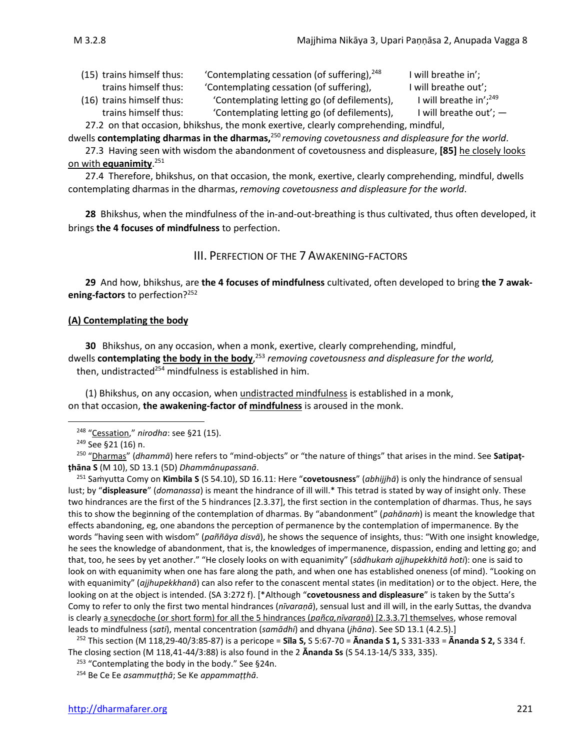(15) trains himself thus: 'Contemplating cessation (of suffering), $248$  I will breathe in'; trains himself thus: 'Contemplating cessation (of suffering), I will breathe out';

- I will breathe in';<sup>249</sup>
- (16) trains himself thus: 'Contemplating letting go (of defilements), trains himself thus: 'Contemplating letting go (of defilements), I will breathe out'; -

27.2 on that occasion, bhikshus, the monk exertive, clearly comprehending, mindful,

dwells **contemplating dharmas in the dharmas,** <sup>250</sup> *removing covetousness and displeasure for the world*.

27.3 Having seen with wisdom the abandonment of covetousness and displeasure, **[85]** he closely looks on with **equanimity**. 251

27.4 Therefore, bhikshus, on that occasion, the monk, exertive, clearly comprehending, mindful, dwells contemplating dharmas in the dharmas, *removing covetousness and displeasure for the world*.

**28** Bhikshus, when the mindfulness of the in-and-out-breathing is thus cultivated, thus often developed, it brings **the 4 focuses of mindfulness** to perfection.

### III. PERFECTION OF THE 7 AWAKENING-FACTORS

**29** And how, bhikshus, are **the 4 focuses of mindfulness** cultivated, often developed to bring **the 7 awakening-factors** to perfection?<sup>252</sup>

#### **(A) Contemplating the body**

**30** Bhikshus, on any occasion, when a monk, exertive, clearly comprehending, mindful, dwells **contemplating the body in the body**, <sup>253</sup> *removing covetousness and displeasure for the world,* then, undistracted<sup>254</sup> mindfulness is established in him.

(1) Bhikshus, on any occasion, when undistracted mindfulness is established in a monk, on that occasion, **the awakening-factor of mindfulness** is aroused in the monk.

248 "Cessation," *nirodha*: see §21 (15).

250 "Dharmas" (*dhammā*) here refers to "mind-objects" or "the nature of things" that arises in the mind. See **Satipaṭṭhāna S** (M 10), SD 13.1 (5D) *Dhammânupassanā*.

<sup>251</sup> Saṁyutta Comy on **Kimbila S** (S 54.10), SD 16.11: Here "**covetousness**" (*abhijjhā*) is only the hindrance of sensual lust; by "**displeasure**" (*domanassa*) is meant the hindrance of ill will.\* This tetrad is stated by way of insight only. These two hindrances are the first of the 5 hindrances [2.3.37], the first section in the contemplation of dharmas. Thus, he says this to show the beginning of the contemplation of dharmas. By "abandonment" (*pahānaṁ*) is meant the knowledge that effects abandoning, eg, one abandons the perception of permanence by the contemplation of impermanence. By the words "having seen with wisdom" (*paññāya disvā*), he shows the sequence of insights, thus: "With one insight knowledge, he sees the knowledge of abandonment, that is, the knowledges of impermanence, dispassion, ending and letting go; and that, too, he sees by yet another." "He closely looks on with equanimity" (*sādhukaṁ ajjhupekkhitā hoti*): one is said to look on with equanimity when one has fare along the path, and when one has established oneness (of mind). "Looking on with equanimity" (*ajjhupekkhanā*) can also refer to the conascent mental states (in meditation) or to the object. Here, the looking on at the object is intended. (SA 3:272 f). [\*Although "**covetousness and displeasure**" is taken by the Sutta's Comy to refer to only the first two mental hindrances (*nīvaraṇā*), sensual lust and ill will, in the early Suttas, the dvandva is clearly a synecdoche (or short form) for all the 5 hindrances (*pañca,nīvaraṇā*) [2.3.3.7] themselves, whose removal leads to mindfulness (*sati*), mental concentration (*samādhi*) and dhyana (*jhāna*). See SD 13.1 (4.2.5).]

<sup>252</sup> This section (M 118,29-40/3:85-87) is a pericope = **Sīla S,** S 5:67-70 = **Ᾱnanda S 1,** S 331-333 = **Ᾱnanda S 2,** S 334 f. The closing section (M 118,41-44/3:88) is also found in the 2 **Ananda Ss** (S 54.13-14/S 333, 335).

<sup>253</sup> "Contemplating the body in the body." See §24n.

<sup>249</sup> See §21 (16) n.

<sup>254</sup> Be Ce Ee *asammuṭṭhā*; Se Ke *appammaṭṭhā*.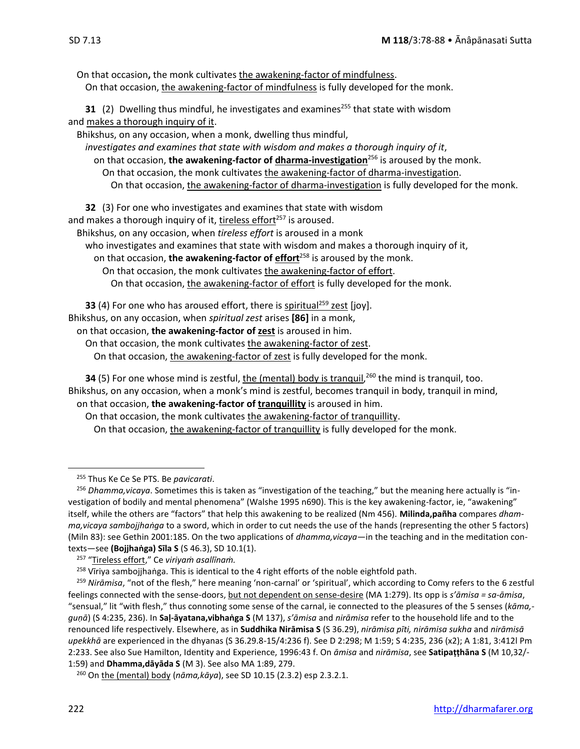On that occasion**,** the monk cultivates the awakening-factor of mindfulness. On that occasion, the awakening-factor of mindfulness is fully developed for the monk.

**31** (2) Dwelling thus mindful, he investigates and examines<sup>255</sup> that state with wisdom and makes a thorough inquiry of it.

Bhikshus, on any occasion, when a monk, dwelling thus mindful,

*investigates and examines that state with wisdom and makes a thorough inquiry of it*, on that occasion, **the awakening-factor of dharma-investigation**<sup>256</sup> is aroused by the monk. On that occasion, the monk cultivates the awakening-factor of dharma-investigation.

On that occasion, the awakening-factor of dharma-investigation is fully developed for the monk.

**32** (3) For one who investigates and examines that state with wisdom

and makes a thorough inquiry of it, tireless effort $257$  is aroused.

Bhikshus, on any occasion, when *tireless effort* is aroused in a monk

who investigates and examines that state with wisdom and makes a thorough inquiry of it,

on that occasion, **the awakening-factor of effort**<sup>258</sup> is aroused by the monk.

On that occasion, the monk cultivates the awakening-factor of effort.

On that occasion, the awakening-factor of effort is fully developed for the monk.

**33** (4) For one who has aroused effort, there is spiritual<sup>259</sup> zest [joy].

Bhikshus, on any occasion, when *spiritual zest* arises **[86]** in a monk,

on that occasion, **the awakening-factor of zest** is aroused in him.

On that occasion, the monk cultivates the awakening-factor of zest.

On that occasion, the awakening-factor of zest is fully developed for the monk.

**34** (5) For one whose mind is zestful, <u>the (mental) body is tranquil</u>,<sup>260</sup> the mind is tranquil, too. Bhikshus, on any occasion, when a monk's mind is zestful, becomes tranquil in body, tranquil in mind, on that occasion, **the awakening-factor of tranquillity** is aroused in him.

On that occasion, the monk cultivates the awakening-factor of tranquillity.

On that occasion, the awakening-factor of tranquillity is fully developed for the monk.

<sup>255</sup> Thus Ke Ce Se PTS. Be *pavicarati*.

<sup>256</sup> *Dhamma,vicaya*. Sometimes this is taken as "investigation of the teaching," but the meaning here actually is "investigation of bodily and mental phenomena" (Walshe 1995 n690). This is the key awakening-factor, ie, "awakening" itself, while the others are "factors" that help this awakening to be realized (Nm 456). **Milinda,pañha** compares *dhamma,vicaya sambojjhaṅga* to a sword, which in order to cut needs the use of the hands (representing the other 5 factors) (Miln 83): see Gethin 2001:185. On the two applications of *dhamma,vicaya*—in the teaching and in the meditation contexts—see **(Bojjhaṅga) Sīla S** (S 46.3), SD 10.1(1).

<sup>257</sup> "Tireless effort," Ce *viriyaṁ asallīnaṁ.*

<sup>&</sup>lt;sup>258</sup> Vīriya sambojjhaṅga. This is identical to the 4 right efforts of the noble eightfold path.

<sup>259</sup> *Nirāmisa*, "not of the flesh," here meaning 'non-carnal' or 'spiritual', which according to Comy refers to the 6 zestful feelings connected with the sense-doors, but not dependent on sense-desire (MA 1:279). Its opp is *s'āmisa = sa-āmisa*, "sensual," lit "with flesh," thus connoting some sense of the carnal, ie connected to the pleasures of the 5 senses (*kāma, guṇā*) (S 4:235, 236). In **Saḷ-āyatana,vibhaṅga S** (M 137), *s'āmisa* and *nirāmisa* refer to the household life and to the renounced life respectively. Elsewhere, as in **Suddhika Nirāmisa S** (S 36.29), *nirāmisa pīti, nirāmisa sukha* and *nirāmisā upekkhā* are experienced in the dhyanas (S 36.29.8-15/4:236 f). See D 2:298; M 1:59; S 4:235, 236 (x2); A 1:81, 3:412l Pm 2:233. See also Sue Hamilton, Identity and Experience, 1996:43 f. On *āmisa* and *nirāmisa*, see **Satipaṭṭhāna S** (M 10,32/- 1:59) and **Dhamma,dāyāda S** (M 3). See also MA 1:89, 279.

<sup>260</sup> On the (mental) body (*nāma,kāya*), see SD 10.15 (2.3.2) esp 2.3.2.1.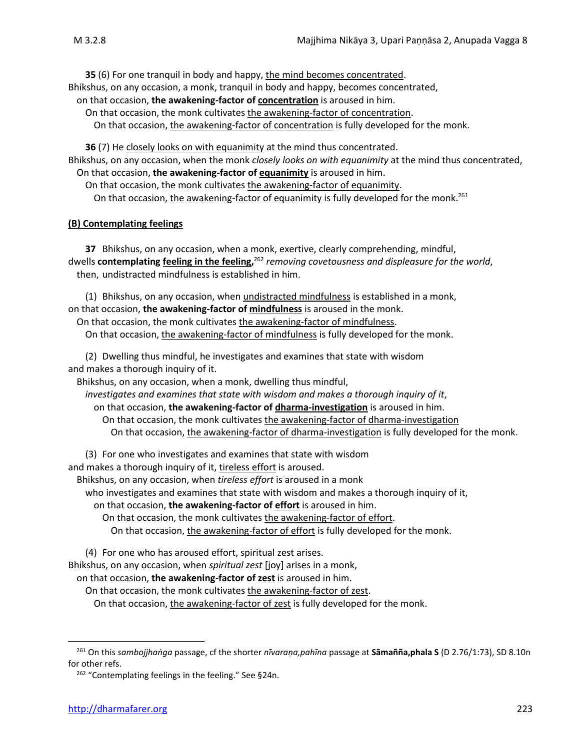**35** (6) For one tranquil in body and happy, the mind becomes concentrated.

Bhikshus, on any occasion, a monk, tranquil in body and happy, becomes concentrated,

on that occasion, **the awakening-factor of concentration** is aroused in him.

On that occasion, the monk cultivates the awakening-factor of concentration.

On that occasion, the awakening-factor of concentration is fully developed for the monk.

**36** (7) He closely looks on with equanimity at the mind thus concentrated. Bhikshus, on any occasion, when the monk *closely looks on with equanimity* at the mind thus concentrated, On that occasion, **the awakening-factor of equanimity** is aroused in him.

On that occasion, the monk cultivates the awakening-factor of equanimity. On that occasion, the awakening-factor of equanimity is fully developed for the monk.<sup>261</sup>

### **(B) Contemplating feelings**

**37** Bhikshus, on any occasion, when a monk, exertive, clearly comprehending, mindful, dwells **contemplating feeling in the feeling,** <sup>262</sup> *removing covetousness and displeasure for the world*, then, undistracted mindfulness is established in him.

(1) Bhikshus, on any occasion, when undistracted mindfulness is established in a monk, on that occasion, **the awakening-factor of mindfulness** is aroused in the monk.

On that occasion, the monk cultivates the awakening-factor of mindfulness.

On that occasion, the awakening-factor of mindfulness is fully developed for the monk.

(2) Dwelling thus mindful, he investigates and examines that state with wisdom and makes a thorough inquiry of it.

Bhikshus, on any occasion, when a monk, dwelling thus mindful,

*investigates and examines that state with wisdom and makes a thorough inquiry of it*,

on that occasion, **the awakening-factor of dharma-investigation** is aroused in him.

On that occasion, the monk cultivates the awakening-factor of dharma-investigation On that occasion, the awakening-factor of dharma-investigation is fully developed for the monk.

(3) For one who investigates and examines that state with wisdom

and makes a thorough inquiry of it, tireless effort is aroused.

Bhikshus, on any occasion, when *tireless effort* is aroused in a monk

who investigates and examines that state with wisdom and makes a thorough inquiry of it,

on that occasion, **the awakening-factor of effort** is aroused in him.

On that occasion, the monk cultivates the awakening-factor of effort.

On that occasion, the awakening-factor of effort is fully developed for the monk.

(4) For one who has aroused effort, spiritual zest arises.

Bhikshus, on any occasion, when *spiritual zest* [joy] arises in a monk,

on that occasion, **the awakening-factor of zest** is aroused in him.

On that occasion, the monk cultivates the awakening-factor of zest.

On that occasion, the awakening-factor of zest is fully developed for the monk.

<sup>262</sup> "Contemplating feelings in the feeling." See §24n.

<sup>261</sup> On this *sambojjhaṅga* passage, cf the shorter *nīvaraṇa,pahīna* passage at **Sāmañña,phala S** (D 2.76/1:73), SD 8.10n for other refs.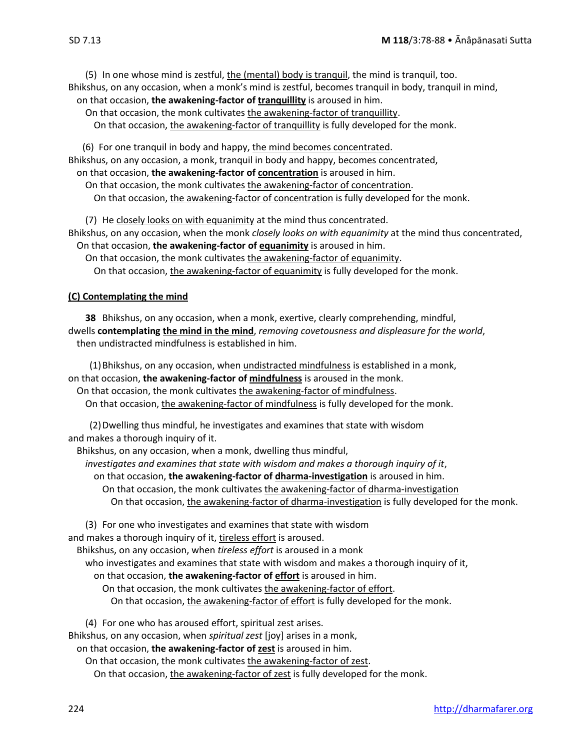(5) In one whose mind is zestful, the (mental) body is tranquil, the mind is tranquil, too. Bhikshus, on any occasion, when a monk's mind is zestful, becomes tranquil in body, tranquil in mind, on that occasion, **the awakening-factor of tranquillity** is aroused in him.

On that occasion, the monk cultivates the awakening-factor of tranquillity. On that occasion, the awakening-factor of tranquillity is fully developed for the monk.

 (6) For one tranquil in body and happy, the mind becomes concentrated. Bhikshus, on any occasion, a monk, tranquil in body and happy, becomes concentrated,

on that occasion, **the awakening-factor of concentration** is aroused in him.

On that occasion, the monk cultivates the awakening-factor of concentration.

On that occasion, the awakening-factor of concentration is fully developed for the monk.

(7) He closely looks on with equanimity at the mind thus concentrated. Bhikshus, on any occasion, when the monk *closely looks on with equanimity* at the mind thus concentrated, On that occasion, **the awakening-factor of equanimity** is aroused in him.

On that occasion, the monk cultivates the awakening-factor of equanimity.

On that occasion, the awakening-factor of equanimity is fully developed for the monk.

### **(C) Contemplating the mind**

**38** Bhikshus, on any occasion, when a monk, exertive, clearly comprehending, mindful, dwells **contemplating the mind in the mind**, *removing covetousness and displeasure for the world*, then undistracted mindfulness is established in him.

(1)Bhikshus, on any occasion, when undistracted mindfulness is established in a monk, on that occasion, **the awakening-factor of mindfulness** is aroused in the monk.

On that occasion, the monk cultivates the awakening-factor of mindfulness. On that occasion, the awakening-factor of mindfulness is fully developed for the monk.

(2)Dwelling thus mindful, he investigates and examines that state with wisdom and makes a thorough inquiry of it.

Bhikshus, on any occasion, when a monk, dwelling thus mindful,

*investigates and examines that state with wisdom and makes a thorough inquiry of it*,

on that occasion, **the awakening-factor of dharma-investigation** is aroused in him.

On that occasion, the monk cultivates the awakening-factor of dharma-investigation On that occasion, the awakening-factor of dharma-investigation is fully developed for the monk.

(3) For one who investigates and examines that state with wisdom and makes a thorough inquiry of it, tireless effort is aroused.

Bhikshus, on any occasion, when *tireless effort* is aroused in a monk

who investigates and examines that state with wisdom and makes a thorough inquiry of it,

on that occasion, **the awakening-factor of effort** is aroused in him.

On that occasion, the monk cultivates the awakening-factor of effort.

On that occasion, the awakening-factor of effort is fully developed for the monk.

(4) For one who has aroused effort, spiritual zest arises.

Bhikshus, on any occasion, when *spiritual zest* [joy] arises in a monk,

on that occasion, **the awakening-factor of zest** is aroused in him.

On that occasion, the monk cultivates the awakening-factor of zest.

On that occasion, the awakening-factor of zest is fully developed for the monk.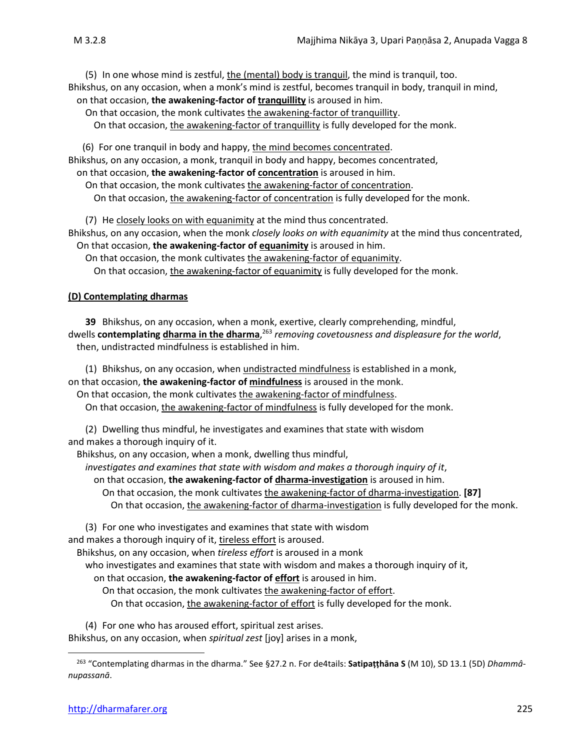(5) In one whose mind is zestful, the (mental) body is tranquil, the mind is tranquil, too. Bhikshus, on any occasion, when a monk's mind is zestful, becomes tranquil in body, tranquil in mind, on that occasion, **the awakening-factor of tranquillity** is aroused in him.

On that occasion, the monk cultivates the awakening-factor of tranquillity. On that occasion, the awakening-factor of tranquillity is fully developed for the monk.

 (6) For one tranquil in body and happy, the mind becomes concentrated. Bhikshus, on any occasion, a monk, tranquil in body and happy, becomes concentrated,

on that occasion, **the awakening-factor of concentration** is aroused in him.

On that occasion, the monk cultivates the awakening-factor of concentration.

On that occasion, the awakening-factor of concentration is fully developed for the monk.

(7) He closely looks on with equanimity at the mind thus concentrated. Bhikshus, on any occasion, when the monk *closely looks on with equanimity* at the mind thus concentrated, On that occasion, **the awakening-factor of equanimity** is aroused in him.

On that occasion, the monk cultivates the awakening-factor of equanimity.

On that occasion, the awakening-factor of equanimity is fully developed for the monk.

### **(D) Contemplating dharmas**

**39** Bhikshus, on any occasion, when a monk, exertive, clearly comprehending, mindful, dwells **contemplating dharma in the dharma**, <sup>263</sup> *removing covetousness and displeasure for the world*, then, undistracted mindfulness is established in him.

(1) Bhikshus, on any occasion, when undistracted mindfulness is established in a monk, on that occasion, **the awakening-factor of mindfulness** is aroused in the monk.

On that occasion, the monk cultivates the awakening-factor of mindfulness.

On that occasion, the awakening-factor of mindfulness is fully developed for the monk.

(2) Dwelling thus mindful, he investigates and examines that state with wisdom and makes a thorough inquiry of it.

Bhikshus, on any occasion, when a monk, dwelling thus mindful,

*investigates and examines that state with wisdom and makes a thorough inquiry of it*,

on that occasion, **the awakening-factor of dharma-investigation** is aroused in him.

On that occasion, the monk cultivates the awakening-factor of dharma-investigation. **[87]**

On that occasion, the awakening-factor of dharma-investigation is fully developed for the monk.

(3) For one who investigates and examines that state with wisdom and makes a thorough inquiry of it, tireless effort is aroused.

Bhikshus, on any occasion, when *tireless effort* is aroused in a monk

who investigates and examines that state with wisdom and makes a thorough inquiry of it,

on that occasion, **the awakening-factor of effort** is aroused in him.

On that occasion, the monk cultivates the awakening-factor of effort. On that occasion, the awakening-factor of effort is fully developed for the monk.

(4) For one who has aroused effort, spiritual zest arises.

Bhikshus, on any occasion, when *spiritual zest* [joy] arises in a monk,

<sup>263</sup> "Contemplating dharmas in the dharma." See §27.2 n. For de4tails: **Satipaṭṭhāna S** (M 10), SD 13.1 (5D) *Dhammânupassanā*.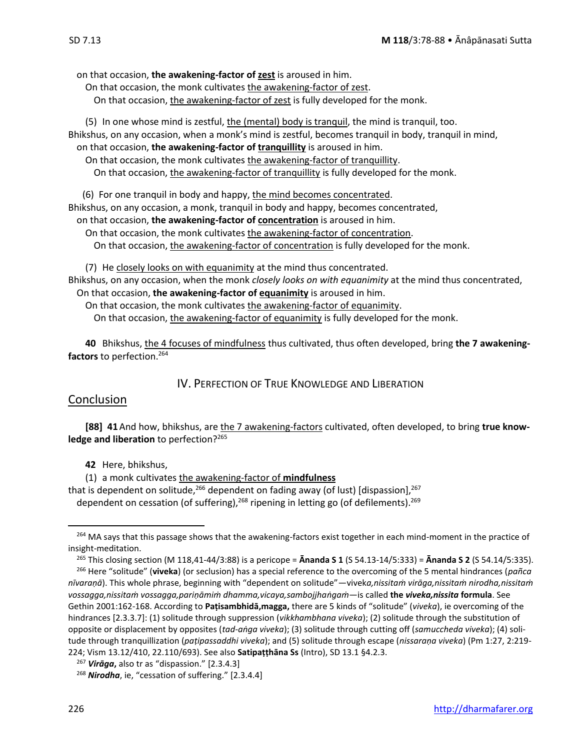on that occasion, **the awakening-factor of zest** is aroused in him.

- On that occasion, the monk cultivates the awakening-factor of zest.
	- On that occasion, the awakening-factor of zest is fully developed for the monk.

(5) In one whose mind is zestful, the (mental) body is tranquil, the mind is tranquil, too. Bhikshus, on any occasion, when a monk's mind is zestful, becomes tranquil in body, tranquil in mind, on that occasion, **the awakening-factor of tranquillity** is aroused in him. On that occasion, the monk cultivates the awakening-factor of tranquillity.

On that occasion, the awakening-factor of tranquillity is fully developed for the monk.

(6) For one tranquil in body and happy, the mind becomes concentrated.

Bhikshus, on any occasion, a monk, tranquil in body and happy, becomes concentrated,

on that occasion, **the awakening-factor of concentration** is aroused in him.

On that occasion, the monk cultivates the awakening-factor of concentration. On that occasion, the awakening-factor of concentration is fully developed for the monk.

(7) He closely looks on with equanimity at the mind thus concentrated. Bhikshus, on any occasion, when the monk *closely looks on with equanimity* at the mind thus concentrated, On that occasion, **the awakening-factor of equanimity** is aroused in him.

On that occasion, the monk cultivates the awakening-factor of equanimity.

On that occasion, the awakening-factor of equanimity is fully developed for the monk.

**40** Bhikshus, the 4 focuses of mindfulness thus cultivated, thus often developed, bring **the 7 awakeningfactors** to perfection. 264

IV. PERFECTION OF TRUE KNOWLEDGE AND LIBERATION

### **Conclusion**

**[88] 41**And how, bhikshus, are the 7 awakening-factors cultivated, often developed, to bring **true know**ledge and liberation to perfection?<sup>265</sup>

**42** Here, bhikshus,

(1) a monk cultivates the awakening-factor of **mindfulness** that is dependent on solitude,<sup>266</sup> dependent on fading away (of lust) [dispassion],<sup>267</sup> dependent on cessation (of suffering),<sup>268</sup> ripening in letting go (of defilements).<sup>269</sup>

<sup>265</sup> This closing section (M 118,41-44/3:88) is a pericope = **Ānanda S 1** (S 54.13-14/5:333) = **Ānanda S 2** (S 54.14/5:335).

<sup>266</sup> Here "solitude" (**viveka**) (or seclusion) has a special reference to the overcoming of the 5 mental hindrances (*pañca nīvaraṇā*). This whole phrase, beginning with "dependent on solitude"—vivek*a,nissitaṁ virāga,nissitaṁ nirodha,nissitaṁ vossagga,nissitaṁ vossagga,pariṇāmiṁ dhamma,vicaya,sambojjhaṅgaṁ*—is called **the** *viveka,nissita* **formula**. See Gethin 2001:162-168. According to **Paṭisambhidā,magga,** there are 5 kinds of "solitude" (*viveka*), ie overcoming of the hindrances [2.3.3.7]: (1) solitude through suppression (*vikkhambhana viveka*); (2) solitude through the substitution of opposite or displacement by opposites (*tad-aṅga viveka*); (3) solitude through cutting off (*samuccheda viveka*); (4) solitude through tranquillization (*paṭipassaddhi viveka*); and (5) solitude through escape (*nissaraṇa viveka*) (Pm 1:27, 2:219- 224; Vism 13.12/410, 22.110/693). See also **Satipaṭṭhāna Ss** (Intro), SD 13.1 §4.2.3.

<sup>&</sup>lt;sup>264</sup> MA says that this passage shows that the awakening-factors exist together in each mind-moment in the practice of insight-meditation.

<sup>267</sup> *Virāga***,** also tr as "dispassion." [2.3.4.3]

<sup>268</sup> *Nirodha*, ie, "cessation of suffering." [2.3.4.4]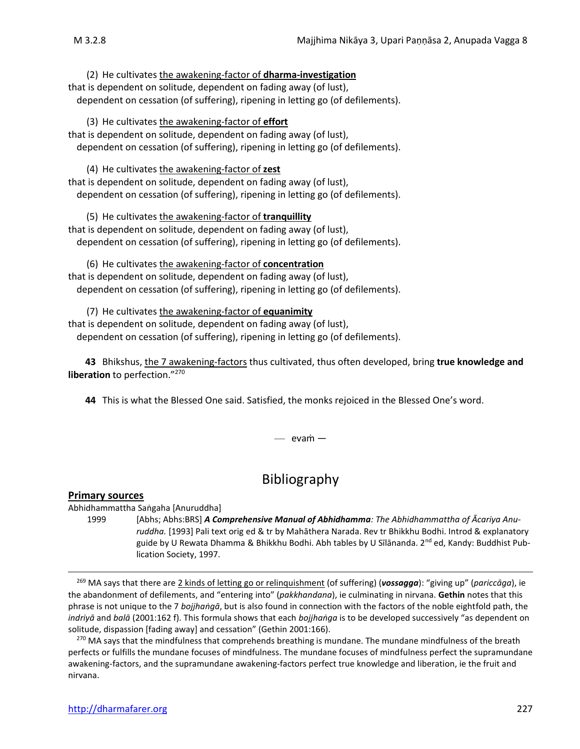(2) He cultivates the awakening-factor of **dharma-investigation** that is dependent on solitude, dependent on fading away (of lust), dependent on cessation (of suffering), ripening in letting go (of defilements).

(3) He cultivates the awakening-factor of **effort** that is dependent on solitude, dependent on fading away (of lust), dependent on cessation (of suffering), ripening in letting go (of defilements).

(4) He cultivates the awakening-factor of **zest** that is dependent on solitude, dependent on fading away (of lust), dependent on cessation (of suffering), ripening in letting go (of defilements).

(5) He cultivates the awakening-factor of **tranquillity** that is dependent on solitude, dependent on fading away (of lust), dependent on cessation (of suffering), ripening in letting go (of defilements).

(6) He cultivates the awakening-factor of **concentration** that is dependent on solitude, dependent on fading away (of lust), dependent on cessation (of suffering), ripening in letting go (of defilements).

(7) He cultivates the awakening-factor of **equanimity** that is dependent on solitude, dependent on fading away (of lust), dependent on cessation (of suffering), ripening in letting go (of defilements).

**43** Bhikshus, the 7 awakening-factors thus cultivated, thus often developed, bring **true knowledge and liberation** to perfection." 270

**44** This is what the Blessed One said. Satisfied, the monks rejoiced in the Blessed One's word.

— evaṁ —

## Bibliography

### **Primary sources**

Abhidhammattha Saṅgaha [Anuruddha]

1999 [Abhs; Abhs:BRS] **A Comprehensive Manual of Abhidhamma**: The Abhidhammattha of  $\bar{A}$ cariya Anu*ruddha.* [1993] Pali text orig ed & tr by Mahāthera Narada. Rev tr Bhikkhu Bodhi. Introd & explanatory guide by U Rewata Dhamma & Bhikkhu Bodhi. Abh tables by U Sīlānanda. 2<sup>nd</sup> ed, Kandy: Buddhist Publication Society, 1997.

<sup>269</sup> MA says that there are 2 kinds of letting go or relinquishment (of suffering) (*vossagga*): "giving up" (*pariccāga*), ie the abandonment of defilements, and "entering into" (*pakkhandana*), ie culminating in nirvana. **Gethin** notes that this phrase is not unique to the 7 *bojjhaṅgā*, but is also found in connection with the factors of the noble eightfold path, the *indriyā* and *balā* (2001:162 f). This formula shows that each *bojjhaṅga* is to be developed successively "as dependent on solitude, dispassion [fading away] and cessation" (Gethin 2001:166).

<sup>270</sup> MA says that the mindfulness that comprehends breathing is mundane. The mundane mindfulness of the breath perfects or fulfills the mundane focuses of mindfulness. The mundane focuses of mindfulness perfect the supramundane awakening-factors, and the supramundane awakening-factors perfect true knowledge and liberation, ie the fruit and nirvana.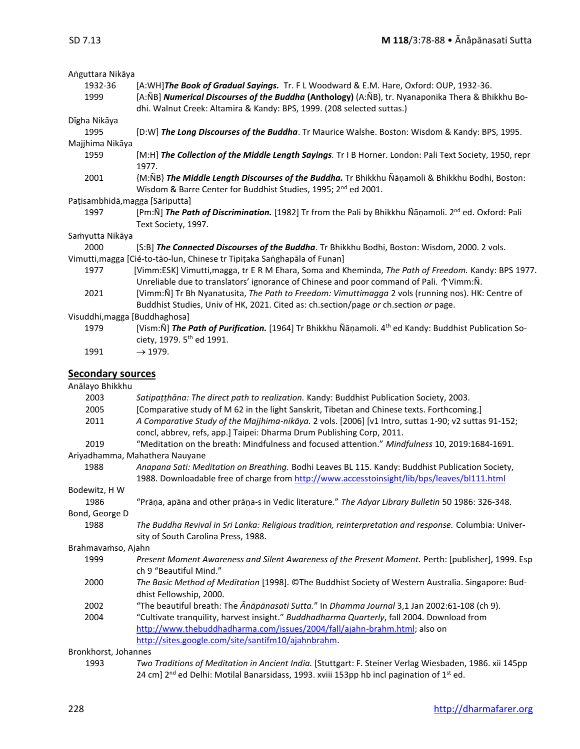| Anguttara Nikāya                |                                                                                                                                                                                                          |
|---------------------------------|----------------------------------------------------------------------------------------------------------------------------------------------------------------------------------------------------------|
| 1932-36<br>1999                 | [A:WH]The Book of Gradual Sayings. Tr. FL Woodward & E.M. Hare, Oxford: OUP, 1932-36.<br>[A:ÑB] Numerical Discourses of the Buddha (Anthology) (A:ÑB), tr. Nyanaponika Thera & Bhikkhu Bo-               |
|                                 | dhi. Walnut Creek: Altamira & Kandy: BPS, 1999. (208 selected suttas.)                                                                                                                                   |
| Dīgha Nikāya                    |                                                                                                                                                                                                          |
| 1995                            | [D:W] The Long Discourses of the Buddha. Tr Maurice Walshe. Boston: Wisdom & Kandy: BPS, 1995.                                                                                                           |
| Majjhima Nikāya                 |                                                                                                                                                                                                          |
| 1959                            | [M:H] The Collection of the Middle Length Sayings. Tr I B Horner. London: Pali Text Society, 1950, repr<br>1977.                                                                                         |
| 2001                            | {M:ÑB} The Middle Length Discourses of the Buddha. Tr Bhikkhu Ñāṇamoli & Bhikkhu Bodhi, Boston:<br>Wisdom & Barre Center for Buddhist Studies, 1995; 2 <sup>nd</sup> ed 2001.                            |
| Pațisambhidā, magga [Sāriputta] |                                                                                                                                                                                                          |
| 1997                            | [Pm:N] The Path of Discrimination. [1982] Tr from the Pali by Bhikkhu Nanamoli. 2 <sup>nd</sup> ed. Oxford: Pali<br>Text Society, 1997.                                                                  |
| Samyutta Nikāya                 |                                                                                                                                                                                                          |
| 2000                            | [S:B] The Connected Discourses of the Buddha. Tr Bhikkhu Bodhi, Boston: Wisdom, 2000. 2 vols.                                                                                                            |
|                                 | Vimutti, magga [Cié-to-tão-lun, Chinese tr Tipițaka Sanghapāla of Funan]                                                                                                                                 |
| 1977                            | [Vimm:ESK] Vimutti, magga, tr E R M Ehara, Soma and Kheminda, The Path of Freedom. Kandy: BPS 1977.<br>Unreliable due to translators' ignorance of Chinese and poor command of Pali. $\Upsilon$ Vimm: N. |
| 2021                            | [Vimm: Ñ] Tr Bh Nyanatusita, The Path to Freedom: Vimuttimagga 2 vols (running nos). HK: Centre of<br>Buddhist Studies, Univ of HK, 2021. Cited as: ch.section/page or ch.section or page.               |
| Visuddhi, magga [Buddhaghosa]   |                                                                                                                                                                                                          |
| 1979                            | [Vism:Ñ] The Path of Purification. [1964] Tr Bhikkhu Ñāṇamoli. 4 <sup>th</sup> ed Kandy: Buddhist Publication So-                                                                                        |
|                                 | ciety, 1979. 5 <sup>th</sup> ed 1991.                                                                                                                                                                    |
| 1991                            | $\rightarrow$ 1979.                                                                                                                                                                                      |
|                                 |                                                                                                                                                                                                          |
| <b>Secondary sources</b>        |                                                                                                                                                                                                          |
| Anālayo Bhikkhu                 |                                                                                                                                                                                                          |
| 2003                            | Satipațțhāna: The direct path to realization. Kandy: Buddhist Publication Society, 2003.                                                                                                                 |
| 2005                            | [Comparative study of M 62 in the light Sanskrit, Tibetan and Chinese texts. Forthcoming.]                                                                                                               |
| 2011                            | A Comparative Study of the Majjhima-nikāya. 2 vols. [2006] [v1 Intro, suttas 1-90; v2 suttas 91-152;                                                                                                     |
|                                 | concl, abbrev, refs, app.] Taipei: Dharma Drum Publishing Corp, 2011.                                                                                                                                    |
| 2019                            | "Meditation on the breath: Mindfulness and focused attention." Mindfulness 10, 2019:1684-1691.                                                                                                           |
| 1988                            | Ariyadhamma, Mahathera Nauyane<br>Anapana Sati: Meditation on Breathing. Bodhi Leaves BL 115. Kandy: Buddhist Publication Society,                                                                       |
|                                 | 1988. Downloadable free of charge from http://www.accesstoinsight/lib/bps/leaves/bl111.html                                                                                                              |
| Bodewitz, H W                   |                                                                                                                                                                                                          |
| 1986                            | "Prāņa, apāna and other prāņa-s in Vedic literature." The Adyar Library Bulletin 50 1986: 326-348.                                                                                                       |
| Bond, George D                  |                                                                                                                                                                                                          |
| 1988                            | The Buddha Revival in Sri Lanka: Religious tradition, reinterpretation and response. Columbia: Univer-<br>sity of South Carolina Press, 1988.                                                            |
| Brahmavamso, Ajahn              |                                                                                                                                                                                                          |
| 1999                            | Present Moment Awareness and Silent Awareness of the Present Moment. Perth: [publisher], 1999. Esp<br>ch 9 "Beautiful Mind."                                                                             |
| 2000                            | The Basic Method of Meditation [1998]. ©The Buddhist Society of Western Australia. Singapore: Bud-<br>dhist Fellowship, 2000.                                                                            |
| 2002                            | "The beautiful breath: The Anapanasati Sutta." In Dhamma Journal 3,1 Jan 2002:61-108 (ch 9).                                                                                                             |
| 2004                            | "Cultivate tranquility, harvest insight." Buddhadharma Quarterly, fall 2004. Download from                                                                                                               |
|                                 | http://www.thebuddhadharma.com/issues/2004/fall/ajahn-brahm.html; also on                                                                                                                                |
|                                 | http://sites.google.com/site/santifm10/ajahnbrahm.                                                                                                                                                       |
| Bronkhorst, Johannes            |                                                                                                                                                                                                          |
| 1993                            | Two Traditions of Meditation in Ancient India. [Stuttgart: F. Steiner Verlag Wiesbaden, 1986. xii 145pp                                                                                                  |
|                                 | 24 cm] 2 <sup>nd</sup> ed Delhi: Motilal Banarsidass, 1993. xviii 153pp hb incl pagination of 1 <sup>st</sup> ed.                                                                                        |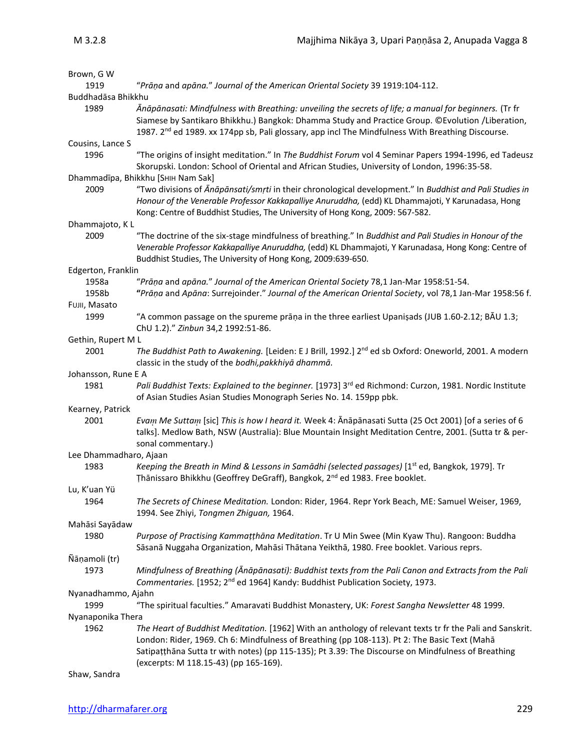| Brown, G W                 |                                                                                                                                                                                                                                                                                                                                                          |
|----------------------------|----------------------------------------------------------------------------------------------------------------------------------------------------------------------------------------------------------------------------------------------------------------------------------------------------------------------------------------------------------|
| 1919                       | "Prāņa and apāna." Journal of the American Oriental Society 39 1919:104-112.                                                                                                                                                                                                                                                                             |
| Buddhadāsa Bhikkhu         |                                                                                                                                                                                                                                                                                                                                                          |
| 1989                       | Ānāpānasati: Mindfulness with Breathing: unveiling the secrets of life; a manual for beginners. (Tr fr<br>Siamese by Santikaro Bhikkhu.) Bangkok: Dhamma Study and Practice Group. ©Evolution /Liberation,<br>1987. 2 <sup>nd</sup> ed 1989. xx 174pp sb, Pali glossary, app incl The Mindfulness With Breathing Discourse.                              |
| Cousins, Lance S           |                                                                                                                                                                                                                                                                                                                                                          |
| 1996                       | "The origins of insight meditation." In The Buddhist Forum vol 4 Seminar Papers 1994-1996, ed Tadeusz<br>Skorupski. London: School of Oriental and African Studies, University of London, 1996:35-58.                                                                                                                                                    |
|                            | Dhammadīpa, Bhikkhu [SHIH Nam Sak]                                                                                                                                                                                                                                                                                                                       |
| 2009                       | "Two divisions of Anapansati/smrti in their chronological development." In Buddhist and Pali Studies in<br>Honour of the Venerable Professor Kakkapalliye Anuruddha, (edd) KL Dhammajoti, Y Karunadasa, Hong<br>Kong: Centre of Buddhist Studies, The University of Hong Kong, 2009: 567-582.                                                            |
| Dhammajoto, KL             |                                                                                                                                                                                                                                                                                                                                                          |
| 2009                       | "The doctrine of the six-stage mindfulness of breathing." In Buddhist and Pali Studies in Honour of the<br>Venerable Professor Kakkapalliye Anuruddha, (edd) KL Dhammajoti, Y Karunadasa, Hong Kong: Centre of<br>Buddhist Studies, The University of Hong Kong, 2009:639-650.                                                                           |
| Edgerton, Franklin         |                                                                                                                                                                                                                                                                                                                                                          |
| 1958a                      | "Prāņa and apāna." Journal of the American Oriental Society 78,1 Jan-Mar 1958:51-54.                                                                                                                                                                                                                                                                     |
| 1958b                      | "Prāņa and Apāna: Surrejoinder." Journal of the American Oriental Society, vol 78,1 Jan-Mar 1958:56 f.                                                                                                                                                                                                                                                   |
| FUJII, Masato              |                                                                                                                                                                                                                                                                                                                                                          |
| 1999                       | "A common passage on the spureme prāṇa in the three earliest Upaniṣads (JUB 1.60-2.12; BAU 1.3;<br>ChU 1.2)." Zinbun 34,2 1992:51-86.                                                                                                                                                                                                                    |
| Gethin, Rupert M L         |                                                                                                                                                                                                                                                                                                                                                          |
| 2001                       | The Buddhist Path to Awakening. [Leiden: E J Brill, 1992.] 2 <sup>nd</sup> ed sb Oxford: Oneworld, 2001. A modern<br>classic in the study of the bodhi, pakkhiyā dhammā.                                                                                                                                                                                 |
| Johansson, Rune E A        |                                                                                                                                                                                                                                                                                                                                                          |
| 1981                       | Pali Buddhist Texts: Explained to the beginner. [1973] 3 <sup>rd</sup> ed Richmond: Curzon, 1981. Nordic Institute<br>of Asian Studies Asian Studies Monograph Series No. 14. 159pp pbk.                                                                                                                                                                 |
| Kearney, Patrick           |                                                                                                                                                                                                                                                                                                                                                          |
| 2001                       | Evam Me Suttam [sic] This is how I heard it. Week 4: Anapanasati Sutta (25 Oct 2001) [of a series of 6<br>talks]. Medlow Bath, NSW (Australia): Blue Mountain Insight Meditation Centre, 2001. (Sutta tr & per-<br>sonal commentary.)                                                                                                                    |
| Lee Dhammadharo, Ajaan     |                                                                                                                                                                                                                                                                                                                                                          |
| 1983                       | Keeping the Breath in Mind & Lessons in Samādhi (selected passages) [1 <sup>st</sup> ed, Bangkok, 1979]. Tr<br>Thānissaro Bhikkhu (Geoffrey DeGraff), Bangkok, 2 <sup>nd</sup> ed 1983. Free booklet.                                                                                                                                                    |
| Lu, K'uan Yü               |                                                                                                                                                                                                                                                                                                                                                          |
| 1964                       | The Secrets of Chinese Meditation. London: Rider, 1964. Repr York Beach, ME: Samuel Weiser, 1969,<br>1994. See Zhiyi, Tongmen Zhiguan, 1964.                                                                                                                                                                                                             |
| Mahāsi Sayādaw             |                                                                                                                                                                                                                                                                                                                                                          |
| 1980                       | Purpose of Practising Kammatthana Meditation. Tr U Min Swee (Min Kyaw Thu). Rangoon: Buddha<br>Sāsanā Nuggaha Organization, Mahāsi Thātana Yeikthā, 1980. Free booklet. Various reprs.                                                                                                                                                                   |
| Ñāņamoli (tr)              |                                                                                                                                                                                                                                                                                                                                                          |
| 1973                       | Mindfulness of Breathing (Ānāpānasati): Buddhist texts from the Pali Canon and Extracts from the Pali<br>Commentaries. [1952; 2 <sup>nd</sup> ed 1964] Kandy: Buddhist Publication Society, 1973.                                                                                                                                                        |
| Nyanadhammo, Ajahn<br>1999 | "The spiritual faculties." Amaravati Buddhist Monastery, UK: Forest Sangha Newsletter 48 1999.                                                                                                                                                                                                                                                           |
| Nyanaponika Thera          |                                                                                                                                                                                                                                                                                                                                                          |
| 1962                       | The Heart of Buddhist Meditation. [1962] With an anthology of relevant texts tr fr the Pali and Sanskrit.<br>London: Rider, 1969. Ch 6: Mindfulness of Breathing (pp 108-113). Pt 2: The Basic Text (Maha<br>Satipațțhāna Sutta tr with notes) (pp 115-135); Pt 3.39: The Discourse on Mindfulness of Breathing<br>(excerpts: M 118.15-43) (pp 165-169). |
| Shaw, Sandra               |                                                                                                                                                                                                                                                                                                                                                          |